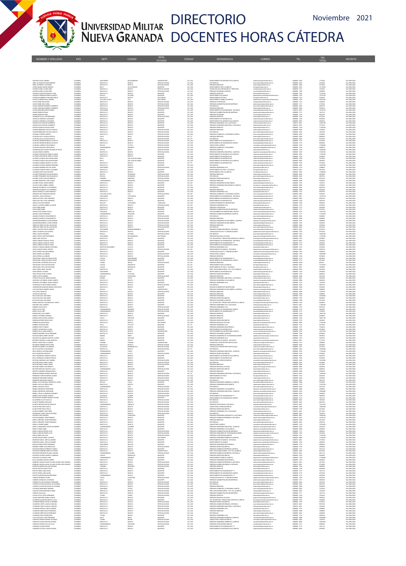

## UNIVERSIDAD MILITAR DIRECTORIO Noviembre 2021<br>NUEVA GRANADA DOCENTES HORAS CÁTEDRA

| ibaunza galvis anerea<br>iere, galeano giovanni en<br>iere, gutierrez luis daniel<br>icero omaña anggie mari<br>AN ENDING<br>ICEVEDO ARDILA GLORIA INES<br>ICEVEDO ARDILA GLORIA INES                                                                        | COLOMBIA<br>COLOMBIA<br>COLOMBIA<br>COLOMBIA<br>COLOMBIA | SANTANDER<br><b>BOGOTA D.C</b><br>BOGOTA D.C.<br>META<br>BOGOTA D.<br><b>DOGOTA D.C</b> | <b>BUCARAMANG</b><br>BOGOTA<br><b>DOGOTA</b><br>VILLAVIC<br>DOGOTA<br>DOGOTA | UNIVERSITARIO<br>ESPECIALIZACION<br>ESPECIALIZACION<br>MAGISTER<br>ESPECIALIZACIO<br>ESPECIALIZACION | CAT_AUX<br>CAT_ASD<br>CAT_ASC<br>CAT_ASC<br>CAT_ASC<br>CAT_AU)<br>CAT_AU) | DEPARTAMENTO DE MATEMATICAS (CAMPUS)<br>ESP. MEDICAS<br>-<br>PREGRADO MEDICINA<br>DEPARTAMENTO FISICA (CAMPUS)<br>TECNOLOGIA EN CONTABILIDAD Y TRIBUTARIA<br>PREGRADO ECONOMIA (CAMPUS) | post medicina@unimilitar.edu.co<br>medicina@unimilitar.edu.co<br>fisica@unimilitar.edu.co<br>conteduris@unimilitar.edu.c<br>conomia@unimilitar.edu.co                                                                                 | 6500000 - 3055<br>6500000-2042<br>0000000-2040<br>6500000-2040<br>6500000-2050<br>6500000-3191<br>6500000 - 1300 | 7772960<br>2414880<br>2012400<br>7234240<br>2308800 | Res 2984/2020<br>Res 2984/2020<br>Res 2984/2020<br>Res 2984/2020<br>Res 2984/2020<br>Res 2986/2020 |
|--------------------------------------------------------------------------------------------------------------------------------------------------------------------------------------------------------------------------------------------------------------|----------------------------------------------------------|-----------------------------------------------------------------------------------------|------------------------------------------------------------------------------|------------------------------------------------------------------------------------------------------|---------------------------------------------------------------------------|-----------------------------------------------------------------------------------------------------------------------------------------------------------------------------------------|---------------------------------------------------------------------------------------------------------------------------------------------------------------------------------------------------------------------------------------|------------------------------------------------------------------------------------------------------------------|-----------------------------------------------------|----------------------------------------------------------------------------------------------------|
| cevedo calcedo francisco Jose<br>Cevedo corredor sergio alberto                                                                                                                                                                                              | COLOMBIA<br>COLOMBIA                                     | BOGOTA D.C.<br>DOYACA                                                                   | DOGOTA<br>DUTAM                                                              | MAGISTER<br>MAGISTER                                                                                 | CAT_ASI<br>CAT_ASD                                                        | PREGRADO DERECHO<br>DEPARTAMENTO DE QUIMICA                                                                                                                                             | derecho@unimilitar.edu.co<br>departamento quimica@unimilitar.edu.co                                                                                                                                                                   | 6500000-1244<br>6500000-1526                                                                                     | 13725520<br>15797340                                | Res 2984/2020<br>Res 2984/2020                                                                     |
|                                                                                                                                                                                                                                                              | COLOMBIA<br>COLOMBIA                                     | BOGOTA D.C.<br>VALLE DEL CAUCA                                                          | <b>BOGOTA</b><br>CALL                                                        | DOCTORADO<br>DOCTORADO                                                                               | CAT TIT<br>CAT AS                                                         | DEPARTAMENTO DE FISICA<br>DEPARTAMENTO QUIMICA (CAMPUS)                                                                                                                                 | could an additional control and                                                                                                                                                                                                       | 6500000-1523<br>6500000-1526                                                                                     | 4350540<br>10263240                                 | Res 2984/2020<br>Res 2984/2020                                                                     |
|                                                                                                                                                                                                                                                              | COLOMBIA<br>COLOMBIA                                     | BOGOTA D.C.<br>BOGOTA D.C.<br>DOGOTA D.C                                                | BOGOTA                                                                       | ESPECIALIZACI<br>ESPECIALIZACI<br>ESPECIALIZACIO                                                     | CAT_AUX<br>CAT_AUX<br>CAT_AUX                                             | PRIGRADO CONTADURIA<br>PRIGRADO AOMINISTRACION DE EMPRESAS                                                                                                                              | fisica@unimilitar.edu.co<br>departamento.quimica@unimilitar.edu.co<br>contaduria@unimilitar.edu.co<br>administracion@unimilitar.edu.co<br>post.medicina@unimilitar.edu.co<br>medicina@unimilitar.edu.co<br>medicina@unimilitar.edu.co | 6500000 - 2042                                                                                                   | 4829760                                             | Res 2984/202<br>Res 2984/202                                                                       |
| ICIVIDO CASRIDOS SERGIO ALEISTO<br>LCIVIDO CASRIDINTO OSLANDO IMLIO<br>LCISTA GUZMAN PACLA ANDREA<br>LCISTA GUZMAN PACLA ANDREA<br>LCISTA MÉD LIBA ELENA<br>LCISTA NON DUBA ELENA<br>MERA CORDIND PARANIENY HUMBERTO<br>LCISTA NONTARIEZ NIEVES MAR          | COLOMBIA<br>COLOMBIA<br>COLOMBIA                         | DOGOTA D.C<br>SANTANDER                                                                 | DOGOT/<br>MALAGA                                                             | ESPECIALIZACIO<br>MAGISTER                                                                           | CAT_ASD<br>CAT_ASD<br>CAT_ASD                                             | ESP. MEDICAS<br>PREGRADO MEDICINA<br>DEPARTAMENTO DE HUMANIDADES - DISTANCIA                                                                                                            | humanidades@unimilitar.edu.co                                                                                                                                                                                                         | 6500000 - 204<br>7400333-6841                                                                                    | 3823560<br>12678120                                 | Res 2986/2020<br>Res 2986/2020<br>Res 2984/2020                                                    |
| .<br>JAMS DUEÑAS EFRAIN<br>JANADOR PLATA JOSE BERNARDO                                                                                                                                                                                                       | COLOMBIA<br>COLOMBIA<br>COLOMBIA                         | BOGOTA D.C.<br>BOGOTA D.C<br>BOGOTA D.C                                                 | DOGOTA<br><b>BOGOTA</b><br>BOGOTA                                            | MAGISTER<br>MAGISTER<br>ESPECIALIZACIÓN                                                              | CAT_ASD<br>CAT_ASD<br>CAT AUT                                             | PREGRADO ADMINISTRACION DE EMPRESAS<br>PREGRADO ECONOMIA<br>PREGRADO DERECHO                                                                                                            | administracion@unimilitar.edu.co<br>mia@unimilitar.edu.co<br>derecho@unimilitar.edu.co                                                                                                                                                | 6500000-1317<br>6500000-1318<br>6500000-1244                                                                     | 7647120<br>0552700<br>0519520                       | Res 2984/2020<br>Res 2984/2020<br>Res 2986/2021                                                    |
| NANNON PORTUGAL MONARCHI<br>NANDELO CARDENAS ALEXANDER                                                                                                                                                                                                       | COLOMBIA<br>COLOMBIA                                     | COOTA D.C.<br>BOGOTA D.C                                                                | BOGOTA<br>DOGOT/                                                             | MAGISTER                                                                                             | CAT_ASO<br>CAT_ASO                                                        | <b>SEPARTAMENTO DE MATEMATICAS</b><br>DEPARTAMENTO DE MATEMATICAS (CAMPUS)                                                                                                              | as@unimilitar.edu.c<br>matematicas@unimilitar.edu.co                                                                                                                                                                                  | 6500000-152<br>6500000-3055                                                                                      | 845208<br>5835960                                   | Pes 2984/2020<br>Res 2984/2020                                                                     |
| GUDELO DIAZ NESTOR HUMBERTO<br>GUDELO DIAZ NESTOR HUMBERTO                                                                                                                                                                                                   | COLOMBIA<br>COLOMBIA                                     | BOGOTA D.C.<br>BOGOTA D.C.                                                              | DOGOTA<br><b>BOGOTA</b>                                                      | MAGISTER<br>MAGISTER                                                                                 | CAT_ASD<br>CAT ASD                                                        | PREGRADO INGENIERIA CIVIL A DISTANCIA<br>PREGRADO INGENIERIA INDUSTRIAL A DISTANCIA                                                                                                     | icolistancia@unimilitar.edu.co<br><b>Idatancia@unimilitar.edu.co</b>                                                                                                                                                                  | 7400333-6841<br>7400333-6041                                                                                     | 13583700<br>2716740                                 | Res 2986/2020<br>Res 2984/2020                                                                     |
| MOUNT D'ORALDO DSCAR ALEXIS<br>GUIRRE BERMUDEZ GUSTAVO ADOLFO<br>GUIRRE BERMUDEZ GUSTAVO ADOLFO<br>HUMADA TORRES ALBERTO                                                                                                                                     | COLOMBA<br>COLOMBA<br>COLOMBA                            | BOGOTA D.C.<br>BOGOTA D.C.                                                              | BOGOT.<br>BOGOT.                                                             | MAGISTER<br>ESPECIALIZACIO                                                                           | CAT_ASD<br>CAT_ASD<br>CAT_AUX                                             | REGRADO DERECHO<br>REGRADO MEDICINA                                                                                                                                                     | derecho@unimilitar.edu.co<br>medicina@unimilitar.edu.co                                                                                                                                                                               |                                                                                                                  |                                                     | Res 2986/2020<br>Res 2986/2020<br>Res 2986/2020                                                    |
|                                                                                                                                                                                                                                                              | COLOMBIA<br>COLOMBIA                                     | <b>DOGOTA D.C</b><br>BOGOTA D.C.<br><b>HULA</b>                                         | DOGOTA<br>DOGOTA<br><b>NETVA</b>                                             | ESPECIALIZACIÓN<br>ESPECIALIZACIÓN<br>ESPECIALIZACION                                                | CAT_AUX<br>CAT TIT                                                        | ESP. MEDICAS<br>PREGRADO ADMON DE LA SEGURIDAD CAMPUS<br>PREGRADO MEDICINA                                                                                                              | post medicina@unimilitar.edu.co<br>asso campus@unimilitar.edu.co<br>medicina@unimilitar.edu.co                                                                                                                                        | 6500000-2042<br>6500000-3093<br>6500000-2040                                                                     | 1847040<br>3078400<br>8280000                       | Res 2984/2020<br>Res 2984/2020                                                                     |
| LARCON AVLA CLAUDIA PATRICIA<br>LARCON AVLA CLAUDIA PATRICIA<br>LARCON CORREDOR MESIAS AUGUSTO                                                                                                                                                               | COLOMBIA<br>COLOMBIA                                     | HULA<br><b>DOGOTA D.C</b>                                                               | NETVA<br>DOGOTA                                                              | ESPECIALIZACIO<br>ESPECIALIZACION                                                                    | CAT_TIT<br>CAT_ASO                                                        | ESP. MEDICAS<br>DEPARTAMENTO DE HUMANIDADES *                                                                                                                                           | post medicina@unimilitar.edu.co<br>manidades@unimilitar.edu.co                                                                                                                                                                        | 6500000-204<br>6500000 - 3179                                                                                    | 6736320<br>2012400                                  | Res 2984/2021<br>Res 2986/2020                                                                     |
| LARCON CORREDOR MESIAS AUGUSTO                                                                                                                                                                                                                               | COLOMBIA<br>COLOMBIA                                     | BOGOTA D.C.<br><b>BOYACA</b>                                                            | DOGOTA<br>CUTTA                                                              | ESPECIALIZACIÓN<br>ESPECIALIZACION                                                                   | CAT_ASD<br>CAT_AS                                                         | DEPARTAMENTO DE HUMANIDADES CAMPUS<br>CONSULTORIO JURIDICO                                                                                                                              | humanidades@unimilitar.edu.co<br>searches in batches (Committee adults)                                                                                                                                                               | 6500000-3179<br>6500000-1239                                                                                     | 4024800<br>17608500                                 | Res 2986/2020<br>Res 2984/2020                                                                     |
| LIARON LORRIDIK MESIK SUSIDI<br>LAROCRI VASQUEZ PEDAD ROCIO<br>LAROCRI VASQUEZ PEDAD ROCIO<br>LEARRACRI BLACIEREA<br>LEARRA ORISTANCHO AMED ALFORSO<br>LEORSO VALENCIA VILLIAM EDUARDO<br>LEORSO VALENCIA VILLIAM EDUARDO                                    | COLOMBIA<br>COLOMBIA                                     | DOYACA                                                                                  | DELEN                                                                        | SPECIALIZACIO<br>ESPECIALIZACION                                                                     | CAT_AUX<br>CAT_ASD                                                        | PRIGRADO ADMON DE LA SEGURIDAD<br>PRIGRADO DERECHO                                                                                                                                      | segundad integral@unimilitar.edu.co<br>derecho@unimilitar.edu.co                                                                                                                                                                      | 6500000 - 1244                                                                                                   | 13080500                                            | Res 2986/2020<br>Res 2986/2020                                                                     |
|                                                                                                                                                                                                                                                              | COLOMBIA<br>COLOMBIA                                     | BOGOTA D.C.<br>BOGOTA D.C.                                                              | DOGOTA<br><b>BOGOTA</b>                                                      | ESPECIALIZACION<br>MAGISTER                                                                          | CAT_ASD<br>CAT ASD                                                        | PREGRADO INGENIERIA INDUSTRIAL (CAMPUS)<br>DEPARTAMENTO DE MATEMATICAS (CAMPUS)                                                                                                         | Ingenieria.campus@unimilitar.edu.co<br>and arms and in an arms of the series of the                                                                                                                                                   | 6500000-3245<br>6500000-3055                                                                                     | 16702920<br>11269440                                | Res 2984/2020<br>Res 2984/2020                                                                     |
| LFONSO VALENCIA WILLIAM EDUARDO                                                                                                                                                                                                                              | COLOMBIA<br>COLOMBIA                                     | BOGOTA D.C<br><b>META</b>                                                               | monte<br>SAN JUAN DE ARAM                                                    | MAGISTER<br>MAGISTER                                                                                 | CAT_ASC<br>CAT_ASD                                                        | <b>DEDARTAMENTO DE MATEMATICAS</b><br>DEPARTAMENTO DE MATEMATICAS                                                                                                                       | matematicas@unimilitar.edu.co<br>matematicas@unimilitar.edu.co                                                                                                                                                                        | 6500000-152<br>6500000 - 1520                                                                                    | 3010500<br>5735340                                  | Res 2984/2021<br>Res 2986/2020                                                                     |
| LEONSO VALENCIA WILLIAM EDUARDO<br>LYARADO GAMBOA MARTHA YAJAIRA                                                                                                                                                                                             | COLOMBIA<br>COLOMBIA<br>COLOMBIA                         | <b>META</b><br>BOGOTA D.C.<br>BOGOTA D.C.                                               | SAN JUAN DE ARAMA<br>DOGOTA<br><b>BOGOTA</b>                                 | MAGISTER<br>MAGISTER<br>MAGISTER                                                                     | CAT_ASD<br>CAT_TIT<br>CAT ASD                                             | DEPARTAMENTO DE MATEMATICAS (CAMPUS)<br>DEPARTAMENTO DE MATEMATICAS<br>ESP. MEDICAS                                                                                                     | matematicas@unimilitar.edu.co<br>natematicas@unimilitar.edu.co<br>oost.medicina@unimilitar.edu.co                                                                                                                                     | 6500000 - 3055<br>6500000 - 1520<br>6500000-2042                                                                 | 5035900<br>4210200<br>14409280                      | Res 2986/2020<br>Res 2984/2020<br>Res 2984/2020                                                    |
| LINRADO GARZON ANDRES FERNANDO<br>LINRADO MORENO HECTOR JAVIER<br>LINRADO PUENTES KEEV ALEJANDRA                                                                                                                                                             | COLOMBIA<br>COLOMBIA                                     | ANTANDE<br>BOGOTA D.C                                                                   | BOGOTA                                                                       | ESPECIALIZACION<br>MAGISTER                                                                          | CAT_AUX<br>CAT_AUX<br>CAT_ASO                                             | <b>PRIGRADO INGENIERA CIVIL<br/>DEPARTAMENTO DE FISICA - DISTANCIA</b>                                                                                                                  | ingcivil@unimilitax.edu.co<br>fisica@unimilitax.edu.co<br>fisica@unimilitax.edu.co                                                                                                                                                    | 6500000-127<br>1400333-6041                                                                                      | 9961380                                             | Pas 2986/2020<br>Res 2986/2020                                                                     |
| LIARADO REYES ANA CRISTINA                                                                                                                                                                                                                                   | COLOMBIA<br>COLOMBIA                                     | BOGOTA D.C.<br><b>BOYACA</b>                                                            | <b>BOGOTA</b><br>SOGAMOSO                                                    | MAGISTER<br>ESPECIALIZACIÓN                                                                          | CAT_ASD<br>CAT ASD                                                        | DEPARTAMENTO FISICA (CAMPUS)<br>PREGRADO MEDICINA                                                                                                                                       | fisica@unimilitar.edu.co<br>medicina@unimilitar.edu.co                                                                                                                                                                                | 6500000-3053<br>6500000-2040                                                                                     | 17608500<br>4024800                                 | Res 2984/2020<br>Res 2984/2020                                                                     |
| LIMREZ FERNANDEZ OSCAR MAURICIO<br>LIMREZ FERNANDEZ OSCAR MAURICIO<br>LIMREZ LOPEZ GUSTANO ERNESTO                                                                                                                                                           | COLOMBIA<br>COLOMBIA                                     | <b>DYACA</b><br>CORDOBA                                                                 | MONTERIA                                                                     | ESPECIALIZACIO<br>ESPECIALIZACION                                                                    | CAT_ASC<br>CAT_AUX                                                        | ESP. MEDICAS<br>PREGRADO DERECHO (CAMPUS)                                                                                                                                               | post medicina@unimilitar.edu.co<br>derecho@unimilitar.edu.co                                                                                                                                                                          | 6500000-3199                                                                                                     | 0619520                                             | Res 2984/202<br>Res 2986/2020                                                                      |
| LIVAREZ RODRIGUEZ JOSE CAMILO                                                                                                                                                                                                                                | COLOMBIA<br>COLOMBIA<br>CLOMBA                           | CUNDINAMARC:<br>BOGOTA D.C.<br><b>DOGOTA D.C</b>                                        | MOSQUERA<br><b>BOGOTA</b><br><b>DOGOTA</b>                                   | ESPECIALIZACIÓN<br>MAGISTER<br>MAGISTER                                                              | CAT_AUD<br>CAT AS                                                         | PREGRADO MEDICINA<br>PREGRADO INGENIERIA EN MULTIMEDIA<br><b>REGRADO INGENIERIA MECATRONICA (CAMPUS)</b>                                                                                | medicina@unimilitar.edu.co<br>amultimedia@unimilitar.edu.co                                                                                                                                                                           | 6500000-2048<br>6500000-1293<br>6500000-300                                                                      | 3078400<br>1530210                                  | Res 2986/2020<br>Res 2984/2020                                                                     |
| LINNIZ HUMALIZZ JUST LAMILI<br>LINERZ TRANA JORGE ANDRES<br>LIZATE ACUÑA GABRIEL ANDRES<br>MADOR PATARROYO JULIO ROBERTO<br>MAYA PEDRAZA CLAUDIA MARCELA                                                                                                     | COLOMBIA<br>COLOMBIA                                     | BOGOTA D.C<br>BOGOTA D.C.                                                               | DOGOTA<br>DOGOTA                                                             | MAGISTER<br>MAGISTER                                                                                 | CAT_ASI<br>CAT_ASI<br>CAT_ASD                                             | ESP. MEDICAS<br>PREGRADO MEDICINA                                                                                                                                                       | organization and approximate and a computation of the state of the computation of the state of the state of th<br>post medicinal particular adults of the co<br>nedicina@unimilitar.edu.co                                            | 6500000-2042<br>6500000-2048                                                                                     | 4829760<br>4024800                                  | Pas 2986/2020<br>Res 2986/2020<br>Res 2986/2020                                                    |
|                                                                                                                                                                                                                                                              | COLOMBIA<br>COLOMBIA                                     | BOGOTA D.C.<br>VALLE DEL CAUCA                                                          | <b>BOGOTA</b><br>CALL                                                        | MAGISTER<br>ESPECIALIZACIÓN                                                                          | CAT_ASD<br>CAT AS                                                         | PREGRADO INGENIERIA CIVIL<br>PREGRADO ADMON DE LA SEGURIDAD CAMPUS                                                                                                                      | ingcivil@unimilitar.edu.co<br>.<br>1850. campus@unimilitar.edu.co<br>humanidades@unimilitar.edu.co                                                                                                                                    | 6500000-1276<br>6500000-3093                                                                                     | 0552700<br>2702200                                  | Res 2984/2020<br>Res 2984/2020                                                                     |
| NORADE CRUZ FRANCISCO MIGUEL<br>NGARITA OSCAR GONZALO<br>NGEL BAUTISTA JOSE LEONARDO<br>NGEL BAUTISTA JOSE LEONARDO                                                                                                                                          | COLOMBIA<br>COLOMBIA                                     | BOGOTA D.C                                                                              | CAPITANEJI<br>DOGOTA                                                         | MAGISTER                                                                                             | CAT_ASD<br>CAT_ASD                                                        | DEPARTAMENTO DE HUMANIDADES - DISTANCIONATION CARRIAMENTO DE HUMANIDADES - DISTANCI                                                                                                     | matematicas@unimilitar.edu.co                                                                                                                                                                                                         | 400333-684<br>6500000 - 3055                                                                                     | 8552700                                             | Res 2986/2020<br>Res 2986/2020                                                                     |
| INGULO DIAZ ENA FARIDES<br>INGULO DIAZ ENA FARIDES<br>IPAZA NIÑO DANEL                                                                                                                                                                                       | COLOMBIA<br>COLOMBIA                                     | BOGOTA D.C.<br><b>BOLIVAR</b><br>OGOTA D.C.                                             | <b>BOGOTA</b><br>CARTAGENA<br><b>DOGOTA</b>                                  | MAGISTER<br>LICENCIADO<br>ESPECIALIZACIÓN                                                            | CAT_ASD<br>CAT AUX<br>CAT_AS                                              | DEPARTAMENTO DE MATEMATICAS<br>DEVISION DE BIENESTAR I NEVERSITARIO<br>FEGRADO INGENIERIA CIVIL                                                                                         | matematicas@unimilitar.edu.co<br>bienestar@unimilitar.edu.co<br>ingcivil@unimilitar.edu.co                                                                                                                                            | 6500000-1520<br>6500000 - 1060<br>6500000-127                                                                    | 5282550<br>0000000<br>5370920                       | Res 2986/2020<br>Res 2984/2020                                                                     |
|                                                                                                                                                                                                                                                              | COLOMBIA<br>COLOMBIA<br>COLOMBIA                         | BOGOTA D.C.<br>BOGOTA D.C.                                                              | DOGOTA<br>DOGOTA                                                             | MAGISTER<br>MAGISTER                                                                                 | CAT_AU<br>CAT_AUX                                                         | PREGRADO CONTADURIA<br>PREGRADO ADMINISTRACION DE EMPRESAS                                                                                                                              | contaduria@unimilitar.edu.co<br>administracion@unimilitar.edu.co                                                                                                                                                                      | 6500000-1313<br>6500000-1317                                                                                     | 3078400<br>0619520                                  | Res 2984/2021<br>Res 2986/2020<br>Res 2984/2020                                                    |
| PACA NINO DANIEL<br>FROA NIÑO DANIEL<br>FRONTE ISAZA MARIA CECILIA<br>FRANGO FILONIETA CESAR ERNESTO<br>FRANGO PILONIETA CESAR ERNESTO                                                                                                                       | COLOMBIA<br>COLOMBIA<br>COLOMBIA                         | ANTIQQUIA                                                                               | MEDILLIN                                                                     | MAGISTER<br>www.                                                                                     | CAT AUT<br>CAT_ASC<br>CAT_ASC<br>CAT_AUX                                  | SECOND BENESTAD INNERSTARIO CAMPUS<br>GRADO ADMON DE EMPRESAS (CAMPUS                                                                                                                   | ieccion.bienestar@unimilitar.edu.co<br>idministracion@unimilitar.edu.co                                                                                                                                                               | 6500000-3310                                                                                                     | 12467520<br>1269440                                 | Res 2984/2020<br>Pas 2986/2020<br>Res 2986/2020                                                    |
|                                                                                                                                                                                                                                                              | COLOMBIA                                                 | BOGOTA D.C.<br>BOGOTA D.C.                                                              | DOGOTA<br>DOGOTA                                                             | ESPECIALIZACIÓN<br>ESPECIALIZACION                                                                   | CAT_AUX                                                                   | ESP. MEDICAS<br>PREGRADO MEDICINA                                                                                                                                                       | post medicina@unimilitar.edu.co<br>nedicina@unimilitar.edu.co                                                                                                                                                                         | 6500000 - 2042<br>6500000-2048                                                                                   | 3694080<br>2208800                                  | Res 2986/2020                                                                                      |
| <b>URANGO PILONIETA CESAR ERNESTO<br/>URANGUREN MORENO JAVIER HERNAN<br/>URANGUREN MORENO JAVIER HERNAN<br/>URIELAEZ ARIIELAEZ WILLIAM RAFAEL<br/>URIELAEZ ARIIELAEZ WILLIAM RAFAEL<br/>URIELAEZ ARIIELAEZ WILLIAM RAFAEL<br/>URIELA CASTRO CARLOS ALIIE</b> | COLOMBIA<br>COLOMBIA                                     | BOGOTA D.C.<br>BOGOTA D.C<br>SOGOTA D.C                                                 | <b>BOGOTA</b><br>BOGOTA<br>DOGOT/                                            | ESPECIALIZACION<br>ESPECIALIZACIO<br>SPECIALIZACIO                                                   | CAT AUT<br>CAT AUT                                                        | PREGRADO INGENIERIA DE MULTIMEDIA (CAMPUS)<br>PREGRADO INGENIERIA EN MULTIMEDIA<br>ANDIDIA ODARD                                                                                        | ingenieria.campus@unimilitar.edu.co<br>ingmultimedia@unimilitar.edu.co                                                                                                                                                                | 6500000-3247<br>6500000-1292                                                                                     | 2208800<br>4453580                                  | Res 2984/2020<br>Res 2984/2020                                                                     |
|                                                                                                                                                                                                                                                              | COLOMBIA<br>COLOMBIA<br>COLOMBIA                         | BOGOTA D.C.<br>SANTANDER                                                                | DOGOTA<br>BARRANCABERMEJA                                                    | ESPECIALIZACION<br>MAGISTER                                                                          | CAT_ASC<br>CAT_ASD<br>CAT_ASD                                             | ESP. MEDICAS<br>PREGRADO ADMON SEGURIDAD A DISTANCIA                                                                                                                                    | medicina@unimilitar.edu.co<br>post medicina@unimilitar.edu.co<br>asso distancia@unimilitar.edu.co                                                                                                                                     | 6500000-2042<br>7400333-6841                                                                                     | 6037200<br>8150220                                  | Res 2984/202<br>Res 2986/2020<br>Res 2984/2020                                                     |
| AROLA CHANTRE LUS ALFREDO<br>AROLA CHARTE GERARDO<br>AROLA ESPITIA NESTOR ENRIQUE                                                                                                                                                                            | COLOMBIA<br>COLOMBIA                                     | BOGOTA D.C.<br><b>DYACA</b>                                                             | <b>BOGOTA</b><br><b>DISTANT</b>                                              | ESPECIALIZACIÓN<br>ESPECIALIZACIO                                                                    | CAT AUT<br>CAT_ASO<br>CAT_ASO                                             | TECNOLOGIA EN ELECTY COMUNICACIONES<br>ESP. MEDICAS                                                                                                                                     | telecomunicaciones@unimilitar.edu.co<br>post.medicina@unimilitar.edu.co                                                                                                                                                               | 6500000-1282<br>6500000-204                                                                                      | 0519520<br>1440928                                  | Res 2984/2020<br>Pas 2986/2020<br>Res 2986/2020                                                    |
| <b>CIVATIZUA ROA GUSTAVO</b>                                                                                                                                                                                                                                 | COLOMBIA<br>COLOMBIA                                     | SANTANCES<br>BOGOTA D.C.                                                                | <b>BUCARA</b><br>DOGOTA                                                      | DOCTORADO<br>MAGISTER                                                                                | CAT_AUX                                                                   | PREGRADO BIOLOGIA APLICADA<br>TEC. EN GESTION Y PRODUCCION HORTICOLA CAMPUS                                                                                                             | programa biologia@unimilitar.edu.c<br>tecnologia horticultura@unimilitar.edu.co                                                                                                                                                       | 6500000-3085<br>6500000-3183                                                                                     | 11269440<br>3078400                                 | Res 2986/2020                                                                                      |
|                                                                                                                                                                                                                                                              | COLOMBIA<br>COLOMBIA<br>COLOMBIA                         | BOGOTA D.C.<br>IOGOTA D.C                                                               | <b>BOGOTA</b><br>ocot                                                        | MAGISTER                                                                                             | CAT AS<br>CAT_ASC                                                         | DEPARTAMENTO DE HUMANIDADES - DISTANCIA<br>EPARTAMENTO DE HUMANIDADES *<br>DEPARTAMENTO DE HUMANIDADES CAMPUS                                                                           | humanidades@unimilitar.edu.co<br>umanidades@unimilitar.edu.c                                                                                                                                                                          | 7400333-6841                                                                                                     | 7244540                                             | Res 2984/2020<br>Res 2984/202                                                                      |
| ARIALA RA GUISTAVO<br>ARIZA ARENAS CESAR DE JESUS<br>ARIZA ARENAS CESAR DE JESUS<br>ARIZA ARENAS CESAR DE JESUS<br>ARIZA ARENAS CESAR DE JESUS<br>ARIAS CAPIDA PALLANDRO<br>ARAS CEPRIA ALEJANDRO<br>ARIAS CEPRIA ALEJANDRO<br>ARIAS CEPRIA ALEJANDRO<br>    | COLOMBIA<br>COLOMBIA                                     | BOGOTA D.C.<br>NORTE DE SANTANDER<br>BOGOTA D.C.                                        | DOGOTA<br><b>CUCUTA</b><br><b>BOGOTA</b>                                     | MAGISTER<br>MAGISTER<br>ESPECIALIZACIÓN                                                              | CAT_ASD<br>CAT_ASD<br>CAT AS                                              | PREGRADO INGENIERIA CIVIL<br>DEDAPTAMENTO DE OUMICA - DETANCIA                                                                                                                          | humanidades@unimilitar.edu.co<br>ingcivi@unimilitar.edu.co<br>departamento pulmica@unimilitar.edu.co                                                                                                                                  | 6500000-3179<br>6500000-1276<br>7400333-6841                                                                     | 4024800<br>3010600<br>5007960                       | Res 2986/2020<br>Res 2984/2020<br>Res 2984/2020                                                    |
|                                                                                                                                                                                                                                                              | COLOMBIA                                                 | BOGOTA D.C.<br>BOGOTA D.C.<br>BOGOTA D.C.                                               | BOGOTA<br>BOGOTA                                                             | MAGISTER<br>ESPECIALIZACION                                                                          | CAT_ASC<br>CAT_ASC<br>CAT_AUX                                             | TECNOLOGIA EN ELECT Y COMUNICACIONES                                                                                                                                                    |                                                                                                                                                                                                                                       | 6500000-1282<br>6500000-1239                                                                                     | 9450200<br>1000400                                  | Nes 2986/2021<br>Res 2986/2021                                                                     |
| <b>PISTIZABAL CEBALLOS DEGO FELIPE</b>                                                                                                                                                                                                                       | COLOMBIA<br>COLOMBIA                                     | CALDAS                                                                                  | DOGOTA<br>MANZANARES                                                         | ESPECIALIZACION<br>MAGISTER                                                                          | CAT_AU<br>CAT_ASD                                                         | PREGRADO DERECHO<br>DEPARTAMENTO DE HUMANIDADES ****<br><b>DEDARTAMENTO DE HUMANIDADES CAMPUS</b>                                                                                       | derecho@unimilitatedu.co<br>humanidades@unimilitar.edu.co                                                                                                                                                                             | 6500000 - 1244<br>6500000-3179                                                                                   | 3078400<br>5035960                                  | Res 2986/2020<br>Res 2986/2020                                                                     |
| <b>FISTIZABAL CEBALLOS DEGO FELIPE<br/>FISTIZABAL SANYERA OLGA LUCIA<br/>FISTIZABAL SOTO HECTOR DARIO</b>                                                                                                                                                    | COLOMBIA<br>COLOMBIA<br>COLOMBIA                         | CALDAS<br>$_{\text{c.m.}}$                                                              | MANZANARES<br>nacut<br>MANZALES                                              | MAGISTER<br>SPECIALIZACION                                                                           | CAT AS<br>CAT_ASI<br>CAT_ASI                                              | PREGRADO MEDICINA<br>DEPARTAMENTO FISICA (CAMPUS)                                                                                                                                       | anidades@unimilitar.edu.co<br>edicina@unimilitar.edu.co                                                                                                                                                                               | 6500000-3179<br>533330-204<br>6500000-3052                                                                       | 2012400                                             | Res 2984/2020<br>Pas 2986/2020<br>Res 2986/2020                                                    |
| <b>PISTIZABAL SOTO HECTOR DARIO</b>                                                                                                                                                                                                                          | COLOMBIA<br>COLOMBIA                                     | CALDAS<br>CALDAS<br>BOGOTA D.C.                                                         | MANZALES<br><b>BOGOTA</b>                                                    | MAGISTER<br>MAGISTER<br>MAGISTER                                                                     | CAT_ASI<br>CAT ASD                                                        | DEPARTAMENTO DE FISICA - DISTANCIA<br>PREG. RELACIONES INTERN, Y EST. POL (CAMPUS)                                                                                                      | fisica@unimilitar.edu.co<br>fisica@unimilitar.edu.co<br>relinternal@unimilitar.edu.co                                                                                                                                                 | 7400333-6841<br>6500000-3033                                                                                     | 13725520<br>2503980<br>3010500                      | Res 2984/2020<br>Res 2984/2020                                                                     |
| RIZA GRON JAME JOAQUN<br>RIZA NEVES LUZ MARY<br>RIZA TRIANA HUGO LIZARDO                                                                                                                                                                                     | CLOMBA<br>COLOMBIA                                       | SANTANDER<br>CLINDINAMARC                                                               | VELEZ<br>LA PALMA                                                            | MAGISTE<br>MAGISTER                                                                                  | CAT_ASC<br>CAT_AUX                                                        | <b>SEPARTAMENTO DE MATEMATICAS</b><br>PREGRADO DERECHO(CAMPUS)                                                                                                                          | matematicas@unimilitar.edu.co<br>derecho@unimilitatedu.co                                                                                                                                                                             | 6500000-152<br>6500000-3199                                                                                      | ,,,,,,<br>5040900                                   | Res 2984/202<br>Res 2986/2020                                                                      |
| <b><i>USRETA CRTIZ MARIBEL</i></b>                                                                                                                                                                                                                           | COLOMBIA<br>COLOMBIA                                     | <b>DOLIVAR</b><br><b>MRSNC</b>                                                          | CARTAGENA<br>PASTO                                                           | ESPECIALIZACION<br>MAGISTER                                                                          | CAT_ASD<br>CAT AS                                                         | PREGRADO MEDICINA<br>PREGRADO INGENIERIA INDUSTRIAL A DISTANCIA                                                                                                                         | medicina@unimilitar.edu.co<br>Idistancia@unimilitar.edu.c                                                                                                                                                                             | 6500000-2048<br>1400333-0041                                                                                     | 5031000<br>5433480                                  | Res 2986/2020<br>Res 2984/2020                                                                     |
| MHIN A KIIL MMERIK<br>UKUNO CASTAÑIDA JARE EDIARDO<br>UKUNO CASTAÑIDA JORGE ALBERTO<br>UKUNO CASTAÑIDA JORGE ALBERTO<br>UKURQUEA DIAVEZ MARIA HELENA<br>UKURAÑO ROCANEGRA NORMA CONSTANZA                                                                    | COLOMBIA<br>COLOMBIA<br>COLOMBIA                         | BOGOTA D.C.<br>BOGOTA D.C<br>BOGOTA D.C                                                 | <b>DOGOTA</b><br>BOGOTA<br>DOGOTA                                            | MAGISTER<br>MAGISTER<br>ESPECIALIZACIÓN                                                              | CAT_AUX<br>CAT_AUX<br>CAT_ASD                                             | EGRADO INGENIERIA CIVIL(CAMPUS)<br>PREGRADO INGENIERIA CIVIL<br>ESP. MEDICAS                                                                                                            | Ingenieria campua@unimilitar.edu.c<br>ingcivil@unimilitar.edu.co<br>post.medicina@unimilitar.edu.co                                                                                                                                   | 6500000-3008<br>6500000-1276<br>6500000 - 2042                                                                   | 1539200<br>4829760                                  | Res 2984/202<br>Res 2986/2020<br>Res 2986/2020                                                     |
|                                                                                                                                                                                                                                                              | COLOMBIA<br>COLOMBIA                                     | BOGOTA D.C.<br><b>BOYACA</b>                                                            | DOGOTA<br>TUNJA                                                              | MAGISTER<br>UNIVERSITARIO                                                                            | CAT_AUX<br>CAT_AUX                                                        | DIVISION DE BIENESTAR UNIVERSITARIO<br>PREGRADO INGENIERIA DE MULTIMEDIA (CAMPUS)                                                                                                       | blenestar@unimilitar.edu.co                                                                                                                                                                                                           | 6500000 - 1060<br>6500000-3247                                                                                   | 6926400<br>2208800                                  | Res 2984/2020<br>Res 2984/2020                                                                     |
| OILA BUITRAGO SANDRA YAMLE<br>OILA BUITRAGO SANDRA YAMLE<br>OILES LEE SANTIAGO                                                                                                                                                                               | COLOMBIA<br>COLOMBIA                                     | IOGOTA D.C<br>BOGOTA D.C                                                                | <b>BOGOT</b><br>DOGOTA                                                       | ESPECIALIZACIO<br>MAGISTER                                                                           | CAT_AUD<br>CAT_AUD                                                        | PRIGRADO MEDICINA                                                                                                                                                                       | ingenieria campus@unimilitar.edu.ci<br>medicina@unimilitar.edu.co<br>medicina@unimilitar.edu.co                                                                                                                                       | 6500000-2040                                                                                                     | 2208800                                             | Res 2986/2020                                                                                      |
| ALCAZAR DAZA ANA MARU                                                                                                                                                                                                                                        | COLOMBIA<br>COLOMBIA<br>COLOMBIA                         | BOGOTA D.C.<br>BOGOTA D.C.                                                              | DOGOTA<br><b>BOGOTA</b><br><b>BOGOTA</b>                                     | MAGISTER<br>MAGISTER<br>MAGISTER                                                                     | CAT_ASD<br>CAT ASD                                                        | PREGRADO ECONOMIA<br>PREGRADO DERECHO/CAMPUS)                                                                                                                                           | economia@unimilitar.edu.co<br>derecho@unimilitar.edu.co                                                                                                                                                                               | 6500000-1318<br>6500000-3199                                                                                     | 10363860<br>4024800                                 | Res 2986/2020<br>Res 2984/2020                                                                     |
| IALCAZAR DAZA ANA MARIA<br>IALCAZAR DAZA ANA MARIA<br>IANDA SANCHIZ LAGUANDIO DEL ORISTO<br>IAQUERO VEGA ALBERTO                                                                                                                                             | COLOMBIA<br>COLOMBIA                                     | <b>DOGOTA D.C</b><br>BOGOTA D.C.<br>BOGOTA D.C.                                         | DOGOTA<br>DOGOTA                                                             | MAGISTER<br>MAGISTER                                                                                 | CAT_ASC<br>CAT_ASD<br>CAT_ASD                                             | PRIGRADO ECONOMIA (CAMPUS)<br>PRIGRADO ECONOMIA (CAMPUS)<br>TEC. EN GESTION Y PRODUCCION HORTICOLA CAMPUS<br>PREGRADO INGENIERIA CIVIL A DISTANCIA                                      | onomia@unimilitar.edu.co<br>cnologia.horticultura@unimilitar.edu.co<br>icdistancia@unimilitar.edu.co                                                                                                                                  | 5500000-110<br>6500000-3183<br>7400333-6841                                                                      | 2012400<br>4024800<br>17206020                      | Res 2984/2020<br>Res 2986/2020<br>Res 2984/2020                                                    |
| IARBOSA ROCHA ELSY<br>IARDO CALVO YMY<br>IARDO CALVO YMY                                                                                                                                                                                                     | COLOMBIA<br>COLOMBIA                                     | BOGOTA D.C.<br><b>LINDINA</b>                                                           | <b>BOGOTA</b>                                                                | ESPECIALIZACIÓN                                                                                      | CAT ASD<br>CAT_AUD<br>CAT_AUD                                             | PREGRADO INGENIERIA CIVIL<br>EPARTAMENTO DE HUMANIDADES CAMPUS                                                                                                                          | ingcivil@unimilitar.edu.co<br>humanidades@unimilitar.edu.co                                                                                                                                                                           | 6500000-1276                                                                                                     | 0552700                                             | Res 2984/2020                                                                                      |
| IARON BAEZ LUIS ALBERTO<br>IARON CASTAÑEDA GERMAN                                                                                                                                                                                                            | COLOMBIA<br>COLOMBIA                                     | CUNDINAMARD.<br>BOGOTA D.C.                                                             | GRARDOT<br>DOGOTA                                                            | ESPECIALIZACION<br>MAGISTER                                                                          | CAT_ASD                                                                   | DEPARTAMENTO DE HUMANIDADES ***<br>PREGRADO DERECHO                                                                                                                                     | humanidades@unimilitar.edu.co<br>derecho@unimilitatedu.co                                                                                                                                                                             | 6500000-3179<br>6500000-1244                                                                                     | 1539200<br>14091760                                 | Res 2986/2020<br>Res 2986/2020                                                                     |
|                                                                                                                                                                                                                                                              | COLOMBIA<br>COLOMBIA                                     | BOGOTA D.C.<br>CAUCA<br>OGOTA D.C.                                                      | DOGOTA<br>POPAYAN<br>DOGOT/                                                  | ESPECIALIZACIÓN<br>MAGISTER<br>MAGISTER                                                              | CAT_ASD<br>CAT ASD<br>CAT_AUX                                             | PREGRADO MEDICINA<br>PREGRADO DERECHO<br>REGRADO DERECHO CAMPUS                                                                                                                         | medicina@unimilitar.edu.co<br>derecho@unimilitar.edu.co<br>eecho@unimilitar.edu.co                                                                                                                                                    | 6500000-2048<br>6500000-1244<br>6500000-319                                                                      | 4024800<br>14091760<br>663580                       | Res 2984/2020<br>Res 2984/2020<br>Res 2984/202                                                     |
| iarona garcia erra vanessa<br>Iarona garcia erra vanessa<br>Iarrasan ferro dievana<br>Iarrera bailon bivana                                                                                                                                                  | COLOMBIA<br>COLOMBIA<br>COLOMBIA                         | DOGOTA D.C.<br>HULA                                                                     | DOGOTA<br>PITALITO                                                           | DOCTORADO<br>MAGISTER                                                                                | CAT_ASD<br>CAT_TIT                                                        | PREGRADO BIOLOGIA APLICADA<br>PREGRADO INGENIERIA CIVIL                                                                                                                                 | programa biologia@unimilitar.edu.co<br>ingcivi@unimilitar.edu.co                                                                                                                                                                      | 6500000 - 3085<br>6500000-1276                                                                                   | 11269440<br>4210200                                 | Res 2986/2020<br>Res 2984/2020                                                                     |
| MARERA PRETO FAILAN<br>MARETO ARCINIDAS LILIANA                                                                                                                                                                                                              | COLOMBIA<br>CLOMBA                                       | BOGOTA D.C.<br>COOTA D.C.                                                               | <b>BOGOTA</b>                                                                | MAGISTER<br>WAGISTER                                                                                 | CAT AUX<br>CAT_ASC<br>CAT_ASC<br>CAT_AUX                                  | PREGRADO INGENIERIA MECATRONICA<br><b>EPARTAMENTO DE MATEMATICAS</b>                                                                                                                    | tatronica@unimilitar.edu.co<br>gme.<br>atenaticas@unimilitar.edu.co                                                                                                                                                                   | 6500000-1279<br><b>MODOS</b> - 152                                                                               | 7234240                                             | Res 2984/2020<br>Pes 2984/2020<br>Res 2984/2020                                                    |
| OTHERS SINA JAME ALBERTO<br>OGAMARIY 2U23L SISRO 20RBA                                                                                                                                                                                                       | COLOMBIA<br>COLOMBIA<br>COLOMBIA                         | BOGOTA D.C<br>BOGOTA D.C.<br>NARINO                                                     | DOGOTA<br>DOGOTA<br>MUES                                                     | UNIVERSITARI<br>MAGISTER<br>MAGISTER                                                                 | CAT_ASD<br>CAT ASD                                                        | SECCION BIENESTAR UNIVERSITARIO CAMPUS<br>PREGRADO ECONOMIA (CAMPUS)<br>PRECRADO INCENTRA DE TELECOMINICACIONES                                                                         | seccion.bienestar@unimilitar.edu.co<br>economia@unimilitar.edu.co<br>ingtelecomunicaciones (liun imilitar.edu.co                                                                                                                      | 6500000 - 3310<br>6500000-1200<br>6500000-1282                                                                   | 12467520<br>8452080<br>5035960                      | Res 2986/2020<br>Res 2984/2020                                                                     |
| MSTIDAS MORA HENRY ARTURO<br>MSTIDAS SALAMANCA MARTHA LUCERO<br>ECERRA FIGUEROA LILIANA MARCELA<br>EDOYA YEPES PAOLA CLARENA                                                                                                                                 | COLOMBIA<br>COLOMBIA                                     | :AUCA<br>GARINO                                                                         | PALES                                                                        | MAGISTER<br>MAGISTER                                                                                 | CAT_ASC<br>CAT_ASD                                                        | REGRADO INGENIERIA CIVIL<br>DEPARTAMENTO DE QUIMICA - DISTANCIA                                                                                                                         | ingcivil@unimilitar.edu.co<br>departamento quimica@unimilitar.edu.co                                                                                                                                                                  | 7400333 - 6841                                                                                                   | 2716740                                             | Res 2984/202<br>Res 2986/2020                                                                      |
| .<br>IELARANO HERRERA ERICK YESID<br>IELEÑO GUTIERREZ LUIS ENRIQUE                                                                                                                                                                                           | <b>PANAMA</b><br>COLOMBIA                                | <b>PANAMA</b><br>BOGOTA D.C.                                                            | PANAMA<br><b>BOGOTA</b>                                                      | UNIVERSITARIO<br>ESPECIALIZACION                                                                     | CAT_AUX<br>CAT AUT                                                        | TECNOLOGIA ATENCION PRE HOSPITALARIA<br>PREGRADO MEDICINA                                                                                                                               | medicina.social@unimilitar.edu.co<br>.<br>medicina@unimilitar.edu.co<br>medicina.social@unimilitar.edu.co                                                                                                                             | 6500000-3197<br>6500000-2040                                                                                     | 2208800<br>3078400                                  | Res 2984/2020<br>Res 2984/2020                                                                     |
| ELLO MURCIA JOSE BENJAMIN<br>IELLO GUALTERO JUAN MANUEL<br>                                                                                                                                                                                                  | COLOMBIA<br>CLOMBA                                       | <b>ATLANTICE</b><br>BOGOTA D.C.                                                         | <b>BARBANOLILLA</b><br>BOGOTA                                                | ESPECIALIZACIO<br>ESPECIALIZACIO                                                                     | CAT AUT<br>CAT_TIT                                                        | TECNOLOGIA ATENCION PRE HOSPITALARIA<br>ESP. MEDICAS                                                                                                                                    | post medicina@unimilitar.edu.co                                                                                                                                                                                                       | 6500000-3197<br>6500000-204                                                                                      | 5156220<br>052400                                   | Res 2984/2020<br>Res 2984/202                                                                      |
| ELLO QUINTANA ANGELICA                                                                                                                                                                                                                                       | COLOMBIA<br>COLOMBIA<br>COLOMBIA                         | CUNDINAMARC<br>CUNDINAMARCA<br>BOGOTA D.C.                                              | COGUA<br>CAJICA<br>BOGOTA                                                    | MAGISTER<br>ESPECIALIZACION                                                                          | CAT_ASD<br>CAT_AUX<br>CAT AS                                              | PREGRADO INGENIERIA INDUSTRIAL (CAMPUS)<br>PREGRADO DERECHO (CAMPUS)<br><b>DEDARTAMENTO DE MATEMATICAS (CAMPIES)</b>                                                                    | ingenieria.campus@unimilitar.edu.ci<br>derecho@unimilitar.edu.co<br>atematicas@unimilitar.edu.co                                                                                                                                      | 6500000 - 3245<br>6500000-3199<br>6500000-3055                                                                   | 11269440<br>3078400                                 | Res 2986/2020<br>Res 2986/2020<br>Res 2984/2020                                                    |
| IELLO RODISGUEZ SANORA PATRICIA<br>IELLO RODISGUEZ SANORA PATRICIA<br>IELTRAN CARDENAS LADY ANDREA<br>IELTRAN DIMAS CAMILA MARIA                                                                                                                             | COLOMBIA<br>COLOMBIA                                     | <b>DGOTA D.0</b><br>DOGOTA D.C                                                          | BOGOTA<br>DOGOTA                                                             | MAGISTER<br>WAGISTER<br>ESPECIALIZACIÓN                                                              | CAT_ASC<br>CAT_AS                                                         | EPARTAMENTO DE MATEMATICAS<br>CONSULTORIO JURIDICO (CAMPUS)                                                                                                                             | matematicas@unimilitar.edu.co<br>consultorio juridico@unimilitar.edu.cc                                                                                                                                                               | 6500000 - 3206                                                                                                   | 0552700<br>16229500                                 | Res 2984/202<br>Res 2986/2020                                                                      |
|                                                                                                                                                                                                                                                              | COLOMBIA<br>COLOMBIA                                     | BOGOTA D.C.<br>BOGOTA D.C.                                                              | DOGOTA<br><b>BOGOTA</b>                                                      | ESPECIALIZACIÓN<br>ESPECIALIZACIÓN                                                                   | CAT_ASD<br>CAT ASD                                                        | ESP. MEDICAS<br>PREGRADO MEDICINA                                                                                                                                                       | post medicina@unimilitar.edu.co<br>medicina@unimilitar.edu.co                                                                                                                                                                         | 6500000-2042<br>6500000-2040                                                                                     | 2414880<br>2012400                                  | Res 2984/2020<br>Res 2986/2020                                                                     |
| IELTRAN DIMAS CAMILA MARIA<br>IELTRAN FORERO LUIS ERNESTO<br>ELTRAN MONCADA MARTHA LUCU                                                                                                                                                                      | COLON<br>COLOMBIA                                        | CUNDINAMARC:                                                                            | <b>ZIPAQUIRA</b>                                                             | ESPECIALIZACION                                                                                      | CAT_AS<br>CAT_AUD                                                         | PREGRADO BIOLOGIA APLICADA<br>PREGRADO DERECHO/CAMPUS)                                                                                                                                  | derecho@unimilitar.edu.co                                                                                                                                                                                                             | 6500000 - 3199                                                                                                   |                                                     | Res 2984/2020                                                                                      |
| ENITEZ CARDENAS GERMAN DARIO                                                                                                                                                                                                                                 | <b>COLOMBIA</b><br>COLOMBIA                              | BOGOTA D.C.<br>BOGOTA D.C.                                                              | <b>BOGOTA</b><br>BOGOTA                                                      | MAGISTER<br>ESPECIALIZACIÓN                                                                          | CAT_AUX<br>CAT TIT                                                        | PREGRADO MEDICINA<br><b>PRICEADO INCENIERA INDIPERIAI A DISTANCIA</b>                                                                                                                   | medicina@unimilitar.edu.co<br>distancia@unimilitar.edu.co                                                                                                                                                                             | 6500000-2048<br>7400333-6041                                                                                     | 3078400<br>12092000                                 | Res 2986/2020<br>Res 2984/2020                                                                     |
|                                                                                                                                                                                                                                                              | CELOMEN<br>CELOMEN<br>COLOMBIA                           | IOGOTA D.0<br>IOGOTA D.0<br>BOGOTA D.C.                                                 | BOGOTA<br>BOGOTA<br>BOGOTA                                                   | SPECIALIZACIO<br>ISPECIALIZACIO<br>ESPECIALIZACION                                                   | CAT_AUX<br>CAT_ASO<br>CAT_ASO                                             | PARTAMENTO DE FISICA<br>ARIANNAIS S.<br>ISRADO MEDICINA<br>ESP. MEDICAS                                                                                                                 | .<br>post medicina@unimilitar.edu.co                                                                                                                                                                                                  | 6500000-2042                                                                                                     | 4029760                                             | Res 2986/2020<br>Res 2986/2020<br>Res 2986/2020                                                    |
|                                                                                                                                                                                                                                                              | COLOMBIA<br>COLOMBIA                                     | DOYACA<br>BOGOTA D.C.                                                                   | TUNJA<br><b>BOGOTA</b>                                                       | MAGISTER<br><b>MAGISTER</b>                                                                          | CAT_ASD<br>CAT ASD                                                        | PREGRADO INGENIERIA AMBIENTAL (CAMPUS)<br>PREGRADO INGENIERIA MECATRONICA                                                                                                               | ing ambiental@unimilitar.edu.co<br>gmecatronica@unimilitar.edu.co                                                                                                                                                                     | 6500000-3008<br>6500000-1279                                                                                     | 3010600<br>17407260                                 | Res 2986/2020<br>Res 2986/2020                                                                     |
| ININTEZ CARENAS GERMAN CARD<br>INTERNACIO DOMINIO DIVINNO CONNADO<br>INFRADEZ VALIDADE PORTIGO ALIMICO<br>INFRADEZ VALIDADE PORTIGO<br>INFRADEZ VALIDADE PORTIGO ANCHO<br>INFRADEZ VALIDADE PORTIGO PARA<br>INFRADEZ CARENT DIVINNO DIVINO DIVIN             | CLOMBIA<br>COLOMBIA                                      | DOGOTA D.C.                                                                             | CHA<br>DOGOT/                                                                | ESPECIALIZACIO<br>ESPECIALIZACION                                                                    | CAT_AS<br>CAT_AUX                                                         | SP. MEDICAL<br>PREGRADO INGENIERIA CIVIL(CAMPUS)                                                                                                                                        | post medicina@unimilitar.edu.co<br>ingenieria.campus@unimilitar.edu.c                                                                                                                                                                 | 6500000 - 3008                                                                                                   | 4451520<br>2208800                                  | Res 2984/202<br>Res 2986/2020                                                                      |
|                                                                                                                                                                                                                                                              | COLOMBIA<br>COLOMBIA<br>CLOMBA                           | BOGOTA D.C.<br>BOGOTA D.C.                                                              | DOGOTA<br><b>BOGOTA</b><br>GLARIN                                            | ESPECIALIZACIÓN<br>ESPECIALIZACION<br><b>ESPECIALIZACIÓ</b>                                          | CAT_AUX<br>CAT AUT                                                        | PREGRADO INGENIERIA INDUSTRIAL (CAMPUS)<br>ESP. MEDICAS<br><b>DARTAMENTO DE HI IMANIDADES ***</b>                                                                                       | Ingenieria campus@unimilitar.edu.co<br>at medicina@unimilitar.edu.co                                                                                                                                                                  | 6500000 - 3245<br>6500000-2042<br>6500000-317                                                                    | 10004800<br>2094000                                 | Res 2986/2020<br>Res 2984/2020                                                                     |
| LACKBURN VILLOTA NATALIA                                                                                                                                                                                                                                     | COLOMBIA<br><b>COLOMBIA</b>                              | wnoquy<br>BOGOTA D.C<br>BOGOTA D.C.                                                     | BOGOTA<br>DOGOTA                                                             | MAGISTER<br>ESPECIALIZACION                                                                          | CAT_AUX<br>CAT_ASD<br>CAT_AUX                                             | DEPARTAMENTO DE HUMANIDADES CAMPUS<br>ESP. MEDICAS                                                                                                                                      | .<br>humanidades@unimilitar.edu.co<br>humanidades@unimilitar.edu.co<br>post.medicina@unimilitar.edu.co                                                                                                                                | 6500000-3179<br>6500000-2042                                                                                     | 7647120<br>1847040                                  | Pas 2986/2020<br>Res 2986/2020<br>Res 2986/2020                                                    |
| ILANCO FERREIRA KAROLYNA<br>ILANCO ORTEGON OSCAR OSWI                                                                                                                                                                                                        | COLOMBIA<br>CLOMBIA                                      | BOGOTA D.C.                                                                             | <b>BOGOTA</b>                                                                | ESPECIALIZACIÓN<br>ESPECIALIZACIO                                                                    | CAT ASD<br>CAT_AUX                                                        | ESP. MEDICAS<br>EGRADO CONTADURIA A DISTANCIA                                                                                                                                           | cost medicinal/unimilitar.edu.co<br>nittar.edu.co                                                                                                                                                                                     | 6500000-2042<br>400333-684                                                                                       | 4029760<br>12467520                                 | Res 2984/2020<br>Res 2984/202                                                                      |
| ILANCO PEÑA ROSA CECILIA<br>ILANCO PEÑA ROSA CECILIA                                                                                                                                                                                                         | COLOMBIA<br>COLOMBIA                                     | BOGOTA D.C.<br>BOGOTA D.C                                                               | DOGOTA<br>DOGOTA                                                             | ESPECIALIZACION<br>ESPECIALIZACIO                                                                    | CAT_ASD<br>CAT_ASD                                                        | CONSULTORIO JURIDICO(CAMPUS)<br>PREGRADO DERECHO (CAMPUS)                                                                                                                               | consultorio juridico@unimilitar.edu.co<br>recho@unimilitar.edu.co                                                                                                                                                                     | 6500000 - 3206<br>6500000-3199                                                                                   | 13080500<br>2012400                                 | Res 2986/2020<br>Res 2986/2020                                                                     |
| LANCO ROMERO JOSE PEDRO<br>DROBOLEZ WINS CAR OS EDUARDO                                                                                                                                                                                                      | COLOMBIA<br>COLOMBIA                                     | BOGOTA D.C.<br>BOGOTA D.C.                                                              | DOGOTA<br><b>BOGOTA</b>                                                      | ESPECIALIZACIÓN<br>ESPECIALIZACIÓN                                                                   | CAT_AUX<br>CAT ASD                                                        | PREGRADO INGENIERIA CIVIL A DISTANCIA<br>ESP. MEDICAS                                                                                                                                   | icdistancia@unimilitar.edu.co<br>post medicinalizatimilitar.edu.co                                                                                                                                                                    | 7400333-6841<br>6500000-2042                                                                                     | 8311680<br>7244540                                  | Res 2986/2020<br>Res 2986/2020                                                                     |
| IOLAÑO LOPEZ FABRIZIO<br>IOLAÑO LOPEZ FABRIZIO<br>IOLIVAR RAMIREZ JORGE ENRIQUE                                                                                                                                                                              | COLOMBIA<br>COLOMBIA<br>COLOMBIA                         | MAGDALEN<br>BOGOTA D.C.<br>BOGOTA D.C.                                                  | <b>FUNDACI</b><br>DOGOTA<br>DOGOTA                                           | MAGISTER<br>MAGISTER<br>MAGISTER                                                                     | CAT_ASC<br>CAT_ASD<br>CAT_ASD                                             | GRADO INGENIERIA INFORMATICA A DISTANCIA<br>PREGRADO ADMON DE EMPRESAS A DISTANCIA<br>PREGRADO MEDICINA                                                                                 | itamatica distancia@unimilitar.edu.co<br>admon.distancia@unimilitar.edu.co<br>medicina@unimilitar.edu.co                                                                                                                              | 1000000-000<br>7480333-6841<br>6500000-2048                                                                      | 12678120<br>2012-000                                | Res 2984/2020<br>Res 2986/2020<br>Res 2986/2020                                                    |
| IULIVAN KAMBREZ JUNIG ENRIQUE<br>IONILIA ERICEÑO JAVIER FERNANDO<br>IONILIA ERICEÑO JAVIER FERNANDO<br>IONILIA HERNANDEZ CESAR ALEXANDER<br>IONILIA HERNANDEZ CESAR ALEXANDER<br>IONILIA HERNANDEZ CESAR ALEXANDER                                           | COLOMBIA                                                 | BOGOTA D.C.<br>CGOTA D.C.                                                               | <b>BOGOTA</b><br>scor/                                                       | MAGISTER<br>MAGISTE                                                                                  | CAT ASD<br>CAT_ASD                                                        | ESP. MEDICAS<br><b>KULTORIO URBICO</b>                                                                                                                                                  | cost medicinal/unimilitar.edu.co<br>sultorio jurídico@unimilitar.edu.                                                                                                                                                                 | 6500000-2042                                                                                                     | 4029760<br>670292                                   | Res 2984/2020                                                                                      |
|                                                                                                                                                                                                                                                              | COLOMBIA<br>COLOMBIA<br>COLOMBIA                         | CLINDINAMARC<br>BOGOTA D.C.                                                             | <b>FUCUENI</b><br>DOGOTA                                                     | MAGISTER<br>MAGISTER                                                                                 | CAT_AU<br>CAT_ASD                                                         | PRIGRADO INGENERIA INDUSTRIAL (CAMPUS)<br>PREGRADO INGENIERIA CIVIL(CAMPUS)                                                                                                             | Ingenieria.campus@unimilitar.edu.co<br>ingenieria.campus@unimilitar.edu.co                                                                                                                                                            | 6500000 - 3245<br>6500000-3008                                                                                   | 6541600<br>9450200                                  | Pas 2986/2020<br>Res 2986/2020<br>Res 2986/2020                                                    |
| IONELA RINCON PEDRO LUCIO<br>IONELA RINCON PEDRO LUCIO<br>IORJA PARRA ANA ELSA                                                                                                                                                                               | COLOMBIA<br>COLOMBIA<br>COLOMBIA                         | BOGOTA D.C.<br>1000TA D.C                                                               | <b>BOGOTA</b><br>scot/                                                       | ESPECIALIZACION<br>SPECIALIZACIO                                                                     | CAT AUX<br>CAT_AUX                                                        | DORCDARD ARABISTRACION DE EMODESAS<br>EGRADO INGENERIA DE TELECOMUNICACIONES                                                                                                            | inistracion@unimilitar.edu.co<br>ingtelecomunicaciones@unimilitar.edu.co                                                                                                                                                              | 6500000-1317                                                                                                     | 5040900<br>66368                                    | Res 2986/2020<br>Res 2984/2021                                                                     |
| IOTERO ROSAS DANIEL ALFONSO<br>IOURDON GARCIA JOSE ALE JANDRO                                                                                                                                                                                                | <b>COLOMBIA</b><br><b>COLOMBIA</b>                       | BOGOTA D.C.<br>BOGOTA D.C.<br>BOGOTA D.C.                                               | DOGOTA<br>DOGOTA<br>DOGOTA                                                   | ESPECIALIZACION<br>DOCTORADO<br>MAGISTER                                                             | CAT_ASD<br>CAT_ASD<br>CAT_AUX                                             | PRIGRADO CONTADURIA(CAMPUS)<br>PREGRADO INGENIERIA BIOMEDICA (CAMPUS)<br>DEPARTAMENTO DE QUIMICA - DISTANCIA                                                                            | contaduria@unimilitar.edu.co<br>ing biomedica@unimilitar.edu.co<br>departamento quimica@unimilitar.edu.co                                                                                                                             | 6500000-3191<br>6500000 - 3008<br>7400333-6841                                                                   | 11269440<br>11269440<br>2770560                     | Res 2986/2020<br>Res 2984/2020<br>Res 2984/2020                                                    |
| IOURDON GARCIA JOSE ALEJANDRO<br>IRAVO HIGUERA DEGO FERNANDO<br>IRCEÑO TORRES JUAN SEBASTIAN                                                                                                                                                                 | COLOMBIA<br>COLOMBIA                                     | BOGOTA D.C.<br>SANTANDEI                                                                | <b>BOGOTA</b><br>Mar aca                                                     | MAGISTER<br>MAGISTER                                                                                 | CAT AUX                                                                   | DEPARTAMENTO DE QUIMICA<br>REGRADO INGENIERIA MECATRONICA                                                                                                                               | departamento puimica@unimilitar.edu.c<br>ingmecatronica@unimilitar.edu.co                                                                                                                                                             | 6500000-1526<br>***0000-127                                                                                      | 5040900<br>5040960                                  | Res 2986/2020<br>Res 2984/2021                                                                     |
| LUTRAGO MORALES ERNESTO CAMILO                                                                                                                                                                                                                               | COLOMBIA<br>COLOMBIA                                     | BOGOTA D.C<br>BOGOTA D.C.                                                               | DOGOTA<br>DOGOTA                                                             | ESPECIALIZACIÓN<br>MAGISTER                                                                          | CAT_AUX<br>CAT_AUX<br>CAT_ASD                                             | PREGRADO DERECHO (CAMPUS)<br>PREGRADO ADMON DE EMPRESAS (CAMPUS)                                                                                                                        | derecho@unimilitar.edu.co<br>administracion@unimilitar.edu.co                                                                                                                                                                         | 6500000 - 3199<br>6500000-1317                                                                                   | 2308800<br>7647120                                  | Res 2986/2020<br>Res 2986/2020                                                                     |
| NUTRAGO PERDOMO MARTHA PATRICIA<br>IUTRAGO PORDOMO MARTHA PATRICIA<br>IUTRAGO VALENCIA MARIA CLEMENCIA<br>IUTRAGO VILLANUEVA IVON                                                                                                                            | COLOMBIA<br>COLOMBIA<br>COLOMBIA                         | BOGOTA D.C.                                                                             | <b>BOGOTA</b><br>GUAYABA                                                     | UNIVERSITARIO<br>ESPECIALIZACIO                                                                      | CAT AUT<br>CAT_AUX                                                        | PREG. RELACIONES INTERN, Y EST. POL/CAMPUS)<br>SRADO ADMON DE EMPRESAS A DISTANCIA                                                                                                      | eleterral@unimilitar.edu.co<br>admon.distancia@unimilitar.edu.co                                                                                                                                                                      | 6500000-3033<br>00333-684                                                                                        | 0619520<br>541120                                   | Res 2984/2020<br>Res 2986/202                                                                      |
|                                                                                                                                                                                                                                                              | COLOMBIA                                                 | CALDAS<br>CUNDINAMARCA                                                                  | MANZALES<br>GRARDOT                                                          | MAGISTER<br>MAGISTER                                                                                 | CAT_ASD<br>CAT_AUX                                                        | PREGRADO DERECHO (CAMPUS)<br>DEPARTAMENTO QUIMICA (CAMPUS)                                                                                                                              | derecho@unimilitar.edu.co<br>departamento.quimica@unimilitar.edu.co                                                                                                                                                                   | 6500000-3199<br>6500000-1526                                                                                     | 4024800<br>11390080                                 | Res 2986/2020<br>Res 2986/2020                                                                     |
| illa gazaron carlos alberto<br>Ilia gazaron carlos alberto<br>Ilirrano vargas Halma clalidia patricia del Rosario                                                                                                                                            | COLOMBIA<br>CLOMBIA<br>COLOMBIA                          | BOGOTA D.C.<br><b>IOSOTA D.C.</b><br>BOGOTA D.C.                                        | <b>BOGOTA</b><br><b>BOGOTA</b><br>DOGOTA                                     | MAGISTER<br>ESPECIALIZACIO<br>ESPECIALIZACIO                                                         | CAT ASD<br>CAT_AUX<br>CAT_AUX                                             | PREGRADO INGENIERIA MECATRONICA<br>PRIGRADO ADMON DE EMPRESAS A DISTANCIA<br>PRIGRADO ADMON SEGURIDAD A DISTANCIA                                                                       | .<br>Imecatronica@unimilitar.edu.co<br>admon.distancia@unimilitar.edu.co<br>asso distancia@unimilitar.edu.co                                                                                                                          | 6500000-1279<br>1400111.684<br>7480333-6841                                                                      | 5035900<br>2077920<br>4155840                       | Res 2986/2020<br>Pas 2986/2020<br>Res 2986/2020                                                    |
| IURGOS DURANGO WILLIAM ANTONIO<br>IUSTOS BUSTOS DIEGO FELIPE                                                                                                                                                                                                 | COLOMBIA<br>COLOMBIA                                     | CORDOBA<br>BOGOTA D.C.                                                                  | <b>MONTERIA</b><br>DOGOTA                                                    | ESPECIALIZACIÓN<br>MAGISTER                                                                          | CAT_AUX<br>CAT_ASD                                                        | PREGRADO DERECHO<br>PREGRADO DERECHO                                                                                                                                                    | derecho@unimilitat.edu.co<br>derecho@unimilitar.edu.co                                                                                                                                                                                | 6500000 - 1244<br>6500000 - 1244                                                                                 | 5040900<br>4024800                                  | Res 2986/2020<br>Res 2984/2020                                                                     |
| IUSTOS PARRA LINDA DIANA<br>IUSTOS PARRA LINDA DIANA<br>IUSTOS QUINTERO MARIA MERCEDES                                                                                                                                                                       | COLOMBIA<br>COLOMBIA<br>COLOMBIA                         | BOGOTA D.C.<br>1000TA D.C                                                               | <b>BOGOTA</b><br>ccoti                                                       | MAGISTER<br>MAGISTE                                                                                  | CAT ASD<br>CAT_ASC                                                        | DEPARTAMENTO DE HUMANIDADES ****<br>DEPARTAMENTO DE HUMANIDADES CAMPUS<br>DEPARTAMENTO DE HUMANIDADES CAMPUS<br>DEPARTAMENTO DE HUMANIDADES ****                                        | manidades@unimilitar.edu.co                                                                                                                                                                                                           | 6500000-3179<br>6500000-317                                                                                      | 7647120                                             | Res 2984/2020<br>Pas 2986/2020<br>Res 2986/2020                                                    |
| CRIDAY OMAILMAND TACING                                                                                                                                                                                                                                      | <b>COLOMBIA</b>                                          | CLINDINAMARC<br>CAUCA                                                                   | SUPATA<br><b>ALMAGUER</b>                                                    | MAGISTER<br>ESPECIALIZACIÓN                                                                          | CAT_AUX<br>CAT_AUX                                                        | TECNOLOGIA EN ELECT Y COMUNICACIONES                                                                                                                                                    | humanidades@unimilitar.edu.co<br>ingtelecomunicaciones@unimilitar.edu.co                                                                                                                                                              | 6500000-3179<br>6500000-1282                                                                                     | 4453580<br>6541600                                  | Res 2986/2020                                                                                      |
| :<br>ABRERA GONZALEZ LUS MIGUEL<br>ABRERA VILLEGAS MANUEL FERNANDO<br>ACERES CASTRILLON DOUGLAS ALDEMAR                                                                                                                                                      | COLOMBIA<br>CLOMBA                                       | <b>HULA</b><br>OGOTA D.C.                                                               | NETVA<br>BOGOTA                                                              | MAGISTER<br>ESPECIALIZACIO                                                                           | CAT ASD<br>CAT_ASD                                                        | PREGRADO ADMINISTRACION DE EMPRESAS<br>ESP. MEDICAS                                                                                                                                     | dministracion@unimilitar.edu.co<br>post medicina@unimilitar.edu.co                                                                                                                                                                    | 6500000-1317                                                                                                     | 5035960<br>603720                                   | Res 2986/2020<br>Res 2984/202                                                                      |
| ACERES CASTRILLON DOUGLAS ALDEMAR                                                                                                                                                                                                                            | COLOMBIA<br>COLOMBIA<br>COLOMBIA                         | BOGOTA D.C.<br>BOGOTA D.C.<br>AMAZONAS                                                  | DOGOTA<br>DOGOTA<br>LETICIA                                                  | ESPECIALIZACION<br>ESPECIALIZACIÓN<br>ESPECIALIZACION                                                | CAT_ASD<br>CAT_ASD<br>CAT AUT                                             | ESP. MEDICAS<br>PREGRADO MEDICINA<br>PREGRADO ADMON DE LA SEGURIDAD CAMPUS                                                                                                              | post medicina@unimilitar.edu.co<br>medicina@unimilitar.edu.co<br>a Gunimilitar edu co                                                                                                                                                 | 6500000 - 2042<br>6500000-2048<br>6500000-3093                                                                   | 4829760<br>4024800<br>7234240                       | Res 2986/2020<br>Res 2986/2020<br>Res 2984/2020                                                    |
| :<br>ACHIQUE HERNANDEZ GERMAN<br>:ADAVID OTERO MARGARITA MARIA<br>:ADENA VIDAL RALIL                                                                                                                                                                         | COLOMBIA<br>COLOMBIA                                     | <b>DOGOTA D.C.</b><br>SOGOTA D.C.                                                       | BOGOTA                                                                       | SPECIALIZACIO<br>ESPECIALIZACIÓN                                                                     | CAT_AUX<br>CAT_AUX<br>CAT_ASO                                             | FRAMENHO PARMON DE LA SEGUINIARI UMBRUS)<br>PREG. RELACIONES INTERN, Y EST. POL (CAMPUS)<br>PREGRADO ADMINISTRACION DE EMPRESAS                                                         | interral@unimilitar.edu.co<br>administracion@unimilitar.edu.co                                                                                                                                                                        | 6500000-1317                                                                                                     | 7647120                                             | Pas 2986/2020<br>Res 2986/2020                                                                     |
| ODMARTIN ZUSTE, AVYLI ZALDA:<br>ALDAS MARTINEZ MARIA LEONOR                                                                                                                                                                                                  | <b>COLOMBIA</b><br>COLOMBIA                              | TOLIMA<br>BOGOTA D.C.                                                                   | HONDA<br><b>BOGOTA</b>                                                       | ESPECIALIZACION<br>MAGISTER                                                                          | CAT_AUX<br>CAT ASD                                                        | PREGRADO DERECHO<br>PREGRADO BIOLOGIA APLICADA                                                                                                                                          | derecho@unimilitatedu.co<br>programa biologia@unimilitar.edu.co                                                                                                                                                                       | 6500000-1244<br>6500000-3083                                                                                     | 7234240<br>5035900                                  | Res 2986/2020<br>Res 2986/2020                                                                     |
| ALDERON ALVARADO MARTHA LUCIA<br>ALDERON BERNAL DIEGO ALEXANDER<br>ALDERON LOPEZ CLAUDIA CAROLINA                                                                                                                                                            | COLOMBIA<br>COLOMBIA                                     | BOGOTA D.C<br>BOGOTA D.C                                                                | BOGOTA<br>BOGOTA                                                             | MAGISTER<br>ESPECIALIZACION                                                                          | CAT_ASI<br>CAT_AUX                                                        | TEC. EN GESTION Y PRODUCCION HORTICOLA<br>PRISRADO DERECHO (CAMPUS)<br>PRISRADO ADMON SEGURIDAD A DISTANCIA<br>ORTICOLA CAMPUS                                                          |                                                                                                                                                                                                                                       |                                                                                                                  |                                                     | Res 2986/2020<br>Res 2986/2020<br>Res 2986/2020                                                    |
| ALDERON LOPEZ CLAUDIA CAROLINA<br>ALDERON ORTEGA CARLOS GABRIEL                                                                                                                                                                                              | COLOMBIA<br>COLOMBIA<br>COLOMBIA                         | BOGOTA D.C<br>BOGOTA D.C.<br>BOGOTA D.C.                                                | DOGOTA<br>DOGOTA<br><b>BOGOTA</b>                                            | ESPECIALIZACION<br>ESPECIALIZACIÓN<br>ESPECIALIZACION                                                | CAT_ASD<br>CAT_ASD<br>CAT AUX                                             | PREGRADO INGENIERIA INDUSTRIAL A DISTANCIA<br>PREGRADO INGENIERIA CIVIL                                                                                                                 | asso distancia@unimilitar.edu.co<br>Idistancia@unimilitar.edu.co<br>inscivil@unimilitar.edu.co                                                                                                                                        | 7400333-6841<br>7400333-6841<br>6500000-1276                                                                     | 9961380<br>7244540<br>2208800                       | Res 2986/2020<br>Res 2986/2020                                                                     |
| ALDERON URBE OSCAR HERNANDO<br>CALDERON URBE OSCAR HERNANDO                                                                                                                                                                                                  | CLOMBA<br><b>COLOMBIA</b>                                | BOGOTA D.C<br>BOGOTA D.C.                                                               | <b>BOGOTA</b><br>DOGOTA                                                      | <b>ESPECIALIZACIO</b><br>ESPECIALIZACION                                                             | CAT_AUX<br>CAT_AUX                                                        | REGRADO MEDICINA<br>ESP. MEDICAS                                                                                                                                                        | cina@unimiltar.edu.co<br>post medicina@unimilitar.edu.co                                                                                                                                                                              | 1000000-204<br>6500000 - 2042                                                                                    | 2308800<br>3694080                                  | Res 2984/2020<br>Res 2986/2020                                                                     |
| ALDERON VEGA SCHERAZADA                                                                                                                                                                                                                                      | <b>COLOMBIA</b><br>COLOMBIA                              | TOLIMA<br><b>HULA</b>                                                                   | magge<br>NETVA                                                               | MAGISTER<br>MAGISTER                                                                                 | CAT_ASD<br>CAT_AS                                                         | PREGRADO INGENIERIA CIVIL<br>PREGRADO INGENIERIA BIOMEDICA (CAMPUS)                                                                                                                     | ingcivi@unimilitar.edu.co<br>ing biomedica@unimilitar.edu.co                                                                                                                                                                          | 6500000-1276<br>6500000-3000                                                                                     | 5035900<br>10305000                                 | Res 2986/2020<br>Res 2984/2020                                                                     |
| :<br>:ALLEJAS BASTO JOSE FERNANDO<br>:AMACHO ARROYO MANUEL ESTER<br>AMACHO CHAVES MILTON ANTONIC                                                                                                                                                             | COLOMBIA<br>COLOMBIA                                     | BOGOTA D.C.                                                                             | macus<br>DOGOTA                                                              | ESPECIALIZACION                                                                                      | CAT_AUX<br>CAT_AUX<br>CAT_ASO                                             | PRIGRADO INGENIERIA AMBIENTAL (CAMPUS)                                                                                                                                                  | u ununungun.<br>Insultorio juridico@unimilitar.edu.ci<br>ing ambiental@unimilitar.edu.co                                                                                                                                              | 6500000 - 3008                                                                                                   | 7234240<br>10363860                                 | Res 2084/202<br>Res 2986/2020                                                                      |
| AMACHO GONZALEZ OLGA LUCIA<br>AMARGO ALDANA MIGUEL<br>AMARGO CASTRO CLAUDIA HELENA                                                                                                                                                                           | <b>COLOMBIA</b><br>COLOMBIA<br>COLOMBIA                  | CUNDINAMARCA<br>BOGOTA D.C.<br>BOGOTA D.C                                               | ZIPAQUIRA<br><b>BOGOTA</b><br>BOGOTA                                         | ESPECIALIZACION<br>MAGISTER<br>MAGISTER                                                              | CAT_AUX<br>CAT ASD                                                        | PREGRADO CONTADURIA(CAMPUS)<br>DEPARTAMENTO DE HUMANIDADES ****<br>DEPARTAMENTO DE MATEMATICAS (CAMPUS)                                                                                 | contaduris@unimilitar.edu.co<br>humanidades@unimilitar.edu.co<br>ematicas@unimilitar.edu.o                                                                                                                                            | 6500000-3191<br>6500000-3179<br>500000-305                                                                       | 5040900<br>7647120                                  | Res 2986/2020<br>Res 2984/2020                                                                     |
|                                                                                                                                                                                                                                                              |                                                          |                                                                                         |                                                                              |                                                                                                      |                                                                           |                                                                                                                                                                                         |                                                                                                                                                                                                                                       |                                                                                                                  |                                                     |                                                                                                    |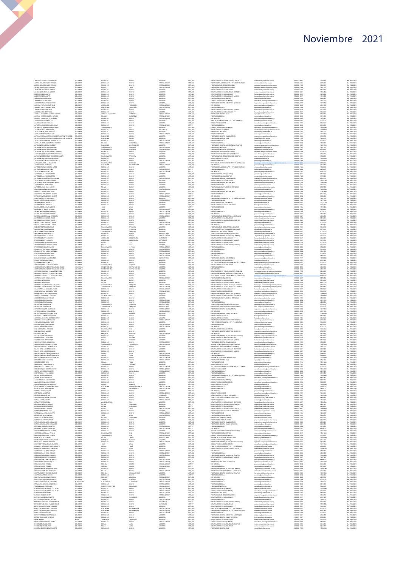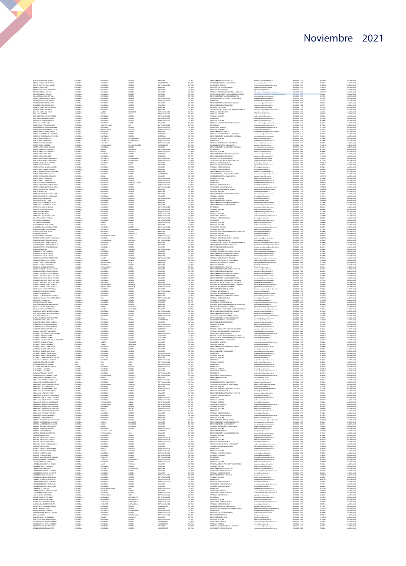| FORERO DIAZ MESTOR ORLANDO<br>FORERO FANDIÑO OSCAR STEVEN<br>FORERO QUINTERO JUAN CARLOS<br>FRANCO GANTIVA JOAQUIN ANDRES<br>FRASSER ACEVEDO WILLIAM<br>FRASSER ACEVEDO WILLIAM                                                                                                                                                                                                                             | COLOMBIA<br>COLOMBIA             | BOGOTA D.C<br>BOGOTA D.C               | BOGOTA<br>BOGOTA                       | MAGISTER<br>UNIVERSITARIO                      | CAT_ASI<br>CAT_AUX            | DEPARTAMENTO DE MATEMATICAS<br>DIVISION DE BIENESTAR UNIVERSITARIO                                               | matematicas@unimilitar.edu.co<br>bienestar@unimilitar.edu.co                                                                      | 6500000 - 1530<br>6500000 - 1060                    | 7882900<br>8311680             | Res 2986/2020<br>Res 2986/2020                                   |
|-------------------------------------------------------------------------------------------------------------------------------------------------------------------------------------------------------------------------------------------------------------------------------------------------------------------------------------------------------------------------------------------------------------|----------------------------------|----------------------------------------|----------------------------------------|------------------------------------------------|-------------------------------|------------------------------------------------------------------------------------------------------------------|-----------------------------------------------------------------------------------------------------------------------------------|-----------------------------------------------------|--------------------------------|------------------------------------------------------------------|
|                                                                                                                                                                                                                                                                                                                                                                                                             | COLOMBIA<br>COLOMBIA             | BOGOTA D.C<br>BOGOTA D.C               | BOGOTA<br>BOGOTA                       | ESPECIALIZACIÓN<br>MAGISTER                    | CAT_ASO<br>CAT ASO            | CONSULTORIO JURIDICO<br>PREGRADO CONTADURIA/CAMPUS)                                                              | consultorio juridico@unimilitar.edu.co                                                                                            | 6500000 - 1239<br>0500000-3191                      | 16702920<br>11269440           | Res 2986/2020<br>Res 2986/2020                                   |
|                                                                                                                                                                                                                                                                                                                                                                                                             | COLOMBIA<br>COLOMBIA             | <b>SOGOTA D.</b>                       |                                        | MGISTE                                         | CAT_AUX<br>CAT_AUX<br>CAT_ASO | PRAIRPING LIGENIERIA CIVIL<br>PREGRADO INGENIERIA CIVIL<br>PREGRADO INGENIERIA INFORMATICA A DISTANCIA           | consulario pintecoponimista<br>contaduria@unimilitar.edu.co<br>ingcivi@unimilitar.edu.co                                          |                                                     |                                | Nes 2986/2020<br>Res 2986/2020                                   |
| FRASSER ACEVEDO WILLIAM                                                                                                                                                                                                                                                                                                                                                                                     | COLOMBIA                         | DOGOTA D.<br>DOGOTA D.C                | BOGOTA<br>BOGOTA                       | MAGISTER<br>MAGISTER                           | CAT_ASO                       | DPTO TECNOLISIAS DEL CONOCIMENTO (DISTANCIA)                                                                     | informatica distancia@ur                                                                                                          | 6500000 - 800                                       | 5433400                        | Res 2986/2020                                                    |
| TRADERIA ACCREDIO VILLIANA (MISSIONALISTA)<br>LEA AL DE ANNO MARA CRISTINA<br>LEA AN SUANTE ROADICO MARIO<br>LEA AN SUATE ROADICO MARIO<br>LEA AN SUATE ROADICO MARIO<br>LEA ANDA SUA CRISTINA CRISTINA (MISSIONALISTA)<br>LEA ANDA CRISTINA CRI                                                                                                                                                            | COLOMBIA                         | BOGOTA D.C<br><b>DGOTA D.0</b>         | BOGOTA                                 | MAGISTER<br>ESPECIALIZACIO                     | CAT ASS<br>CAT_AU             | DEDANTAMENTO DE HUMANIDADES CAMBUS<br><b>PREG. RELACIONES INTER Y EST. POL. DISTANCIA</b>                        | empediadas Dunimilitas adu co<br>iepdistancia@unimilitar.edu.co                                                                   | 6500000-3179                                        | 6741540                        | Res 2906/2020<br>Nes 2986/2020<br>Res 2986/2020                  |
|                                                                                                                                                                                                                                                                                                                                                                                                             | COLOMBIA<br>COLOMBIA<br>COLOMBIA | DOGOTA D.O<br>DOGOTA D.C               | BOGOTA<br>BOGOTA                       | ESPECIALIZACION<br>MAGISTER                    | CAT_ASO                       | <b>ESP. MEDICAS</b><br>DEPARTAMENTO DE MATEMATICAS (CAMPUS)                                                      | post medicina@unimilitar.edu.co<br>matematicas@unimilitar.edu.co                                                                  | 7480333 - 6841<br>6500000 - 2042<br>6500000 - 3055  | 5541120<br>13472640<br>5685000 | Res 2986/2020                                                    |
|                                                                                                                                                                                                                                                                                                                                                                                                             | COLOMBIA<br>COLOMBIA             | DOGOTA D.C<br>BOGOTA D.C               | BOGOTA<br>BOGOTA                       | MAGISTER<br>MAGISTER                           | CAT_ASO<br>CAT ASS            | DEPARTAMENTO DE MATEMATICAS                                                                                      | matematicas@unimilitar.edu.co<br>.<br>contaduria@unimilitar.edu.co                                                                | 6500000 - 1520<br>6500000-1313                      | 8401770<br>7647120             | Res 2986/2020<br>Res 2906/2020                                   |
|                                                                                                                                                                                                                                                                                                                                                                                                             | cocomu<br>COLOMBU                | modota p.c                             |                                        | AACISTE                                        | CAT_ASI<br>CAT_ASI<br>CAT_AUX | PRESRADO CONTAGURIA<br>TEC. EN GESTION Y PRODUCCION HORTICOLA CAMPUS                                             | cnologia horticultura@unit                                                                                                        | 6500000-3183                                        |                                | Nes 2986/2020<br>Res 2986/2020                                   |
|                                                                                                                                                                                                                                                                                                                                                                                                             | COLOMBIA                         | CALDAS<br>DOYACA                       | MANIZALES<br><b>TUNJA</b>              | ESPECIALIZACIÓN<br>ESPECIALIZACIÓN             | CAT_AS                        | PREGRADO INGENIERIA CIVIL<br>PREGRADO MEDICINA                                                                   | ingcivi@unimilitar.edu.co<br>medicina@unimilitar.edu.co                                                                           | 6500000 - 1276<br>6500000 - 2048                    | 6541600<br>3709600             | Res 2986/2020                                                    |
|                                                                                                                                                                                                                                                                                                                                                                                                             | COLOMBU<br>COLOMBI               | BOGOTA D.C<br>DOGOTA D.C               | BOGOTA<br><b>IOGOT</b>                 | ESPECIALIZACION<br>SPECIALIZACIO               | CAT_AUX<br>CAT_ASO<br>CAT_ASO | PREGRADO MEDICINA<br><b>FREDERICAS</b><br>ESP. MEDICAS<br>PREGRADO MEDICINA                                      | edicina@unimilitar.edu.co<br>post medicina@unimilitar.edu.co                                                                      | 6500000 - 2048<br>1500000-2042                      | 2208800<br>03720               | Res 2906/2020<br>Nes 2986/2020<br>Res 2986/2020                  |
|                                                                                                                                                                                                                                                                                                                                                                                                             | COLOMBU<br>COLOMBIA              | DOGOTA D.C<br>BOGOTA D.C               | EOGOTA<br>BOGOTA                       | ESPECIALIZACION<br>MAGISTER                    | CAT_ASO                       | PREGRADO ADMON DE EMPRESAS A DISTANCIA                                                                           | nedicina@unimilitar.edu.co<br>admon.distancia@unimilitar.edu.co                                                                   | 6500000-2048<br>7480333 - 6841                      | 4024800<br>0061380             | Res 2986/2020                                                    |
|                                                                                                                                                                                                                                                                                                                                                                                                             | COLOMBIA                         | VALLE DEL CAUCA<br>BOGOTA D.C.         | CALI                                   | ESPECIALIZACION                                | CAT_AUX<br>CAT_AUX<br>CAT_AUX | <b>ESP. MEDICAS</b>                                                                                              | oost medicina@unimilitar.edu.co<br>.<br>Insultorio juridico@unimilitar.edu                                                        | 6500000-2042                                        | 4617600                        | Res 2986/2020<br>Res 2986/2020<br>Res 2986/2020                  |
|                                                                                                                                                                                                                                                                                                                                                                                                             | COLOMBIA                         | CUNDINAMARCI                           | EOGOTA<br>GIRARDOT                     | ESPECIALIZACION<br>ESPECIALIZACION             |                               | DISPIRADO ECONOMIA<br>PREGRADO ECONOMIA                                                                          | conomia@unimilitar.edu.co                                                                                                         | 0300000-2006<br>0500000-1239<br>0500000-1318        | 12775360<br>7234240            |                                                                  |
| GARAVITO NAJAS JENNY ZORAYDA<br>GARCES GUTIERREZ MARIA FERNANDA                                                                                                                                                                                                                                                                                                                                             | COLOMBIA<br>COLOMBU              | BOGOTA D.C<br>DOGOTA D.C               | BOGOTA<br>BOGOTA                       | MAGISTER<br>DOCTORADO                          | CAT_AS<br>CAT_ASO             | DEPARTAMENTO DE QUIMICA<br>PREGRADO ADMON SEGURIDAD A DISTANCIA                                                  | departamento.quimica@unimilitar.edu.co<br>asso distancia@unimilitar.edu.co                                                        | 6500000 - 1526<br>7480333 - 6841                    | 11221540<br>2716740            | Res 2986/2020<br>Res 2986/2020                                   |
| GARCIS GUITERREZ MARIA FERNANDA<br>GARCIA ARAGUE IVARIA FERNANDA<br>GARCIA ARAGUE IVARIA FRED<br>GARCIA ARAGUE IVARIA FRED<br>GARCIA GNACIA CHALO ARGRES<br>GARCIA GNACIA ARAGUE IVARIA<br>GARCIA GNAEZ ARA ESPERANZA<br>GARCIA GNAEZ ARA ESPERANZA                                                                                                                                                         | COLOMBIA<br>социмы               | BOGOTA D.C<br>SANTANCE                 | BOGOTA<br><b>BUCARAMANG</b>            | <b>DOCTORADO</b><br>ESPECIALIZACIO             | CAT ASS<br>$CAT\_TIT$         | DEPARTAMENTO DE HUMANIDADES - DISTANCIA<br>JEPHAAMMALLU –<br>PREGRADO MEDICINA                                   | tumanidades@unimilitar.edu.co<br>medicina@unimilitar.edu.co                                                                       | 7480333 - 6841<br>1500000-2048                      | 7244640<br>5613600             | Res 2906/2020<br>Nes 2986/2020<br>Res 2986/2020                  |
|                                                                                                                                                                                                                                                                                                                                                                                                             | COLOMBU<br>COLOMBIA              | SANTANCER<br>CASANARE                  | <b>BUCARAMANGA</b><br><b>YOPAL</b>     | ESPECIALIZACIÓN<br>ESPECIALIZACIÓN             | CAT_AUX                       | ESP. MEDICAS<br>PREGRADO INGENIERIA CIVIL A DISTANCIA                                                            | post medicina@unimilitar.edu.co<br>icolstancia@unimilitar.edu.co                                                                  | 6500000 - 2042<br>7480333 - 6841                    | 8420400<br>1038960             | Res 2986/2020                                                    |
|                                                                                                                                                                                                                                                                                                                                                                                                             | COLOMBIA<br>cocomu               | <b>CUNDINAMARCA</b><br>BOGOTA D.C.     | SAN JUAN RICSECO                       | UNIVERSITARIO<br>UNIVERSI<br>MAGISTER          | CAT_AU                        | DIVISION OF BENESTAD INAVERSITARIO<br>DEPARTAMENTO DE HUMANIDADES - DISTANCIA                                    | bienestan@unimilitar.edu.co<br>humanidades@unimilitar.edu.c                                                                       | 6500000 - 1060<br>480333-6841                       | 13160160<br>7244543            | Res 2906/2020                                                    |
|                                                                                                                                                                                                                                                                                                                                                                                                             | COLOMBIA                         | DOLIVAR                                | BOGOTA<br>CARTAGENA                    | ESPECIALIZACION                                | CAT_ASO<br>CAT_ASO            | <b>ESP.MEDICAS</b>                                                                                               | post medicina@unimilitar.edu.co                                                                                                   | 6500000-2042                                        | 4617600                        | Nes 2986/2020<br>Res 2986/2020                                   |
| $\begin{split} &\text{GALC, A MPL} \\ &\text{GALC, A MPL} \\ &\text{GALC, A MPL} \\ &\text{GALC, A MPL} \\ &\text{GALC, A MPL} \\ &\text{GALC, A MPL} \\ &\text{GALC, A MPL} \\ &\text{GALC, A MPL} \\ &\text{GALC, A MPL} \\ &\text{GALC, A MPL} \\ &\text{GALC, A MPL} \\ &\text{GALC, A MPL} \\ &\text{GALC, A MPL} \\ &\text{GALC, A MPL} \\ &\text{GALC, A MPL} \\ &\text{GALC, A MPL} \\ &\text{GALC$ | COLOMBIA<br>COLOMBU              | DOLIVAR<br>BOGOTA D.C                  | CARTAGENA<br><b>BOGOTA</b>             | ESPECIALIZACIÓN<br>DOCTORADO                   | CAT_AUX<br>CAT_TT             | PREGRADO MEDICINA<br>DEPARTAMENTO DE MATEMATICAS (CAMPUS)                                                        | medicina@untmilitar.edu.co<br>atematicas@unimilitar.edu.co                                                                        | 6500000 - 2048<br>1500000 - 3055                    | 3078400<br>4210200             | Res 2986/2020<br>Res 2906/2020                                   |
|                                                                                                                                                                                                                                                                                                                                                                                                             | COLOMBIA<br>COLOMBU              | BOGOTA D.C.<br>SANTANCER               | 1000TA<br><b>BUCARAMANGA</b>           | DOCTOR4DO<br>ESPECIALIZACION                   | CAT_TIT<br>CAT_AUX            | DEPARTAMENTO DE MATEMATICAS<br>PREGRADO CONTADURIA(CAMPUS)                                                       | matematicas gunereetat edu.c<br>matematicas (Junimilitat edu.c)<br>contaduria(Junimilitat edu.co                                  | 1500000 - 1520<br>6500000-3191                      | 5156320                        | Nes 2986/2020<br>Res 2986/2020                                   |
|                                                                                                                                                                                                                                                                                                                                                                                                             | COLOMBIA<br>COLOMBIA             | SANTANCER<br>BOGOTA D.C                | <b>BUCARAMANGA</b><br>BOGOTA           | ESPECIALIZACIÓN<br>MAGISTER                    | CAT_AUX                       | TECNOLOGIA EN CONTABILIDAD Y TRIBUTARIA<br>PREGRADO DERECHO/CAMPUS)                                              | contaduria@unimilitar.edu.co<br><b>derecho@unimilitar.edu.co</b>                                                                  | 6500000-3191<br>6500000-3199                        | 3771040<br>15797340            | Res 2986/2020                                                    |
|                                                                                                                                                                                                                                                                                                                                                                                                             | COLOMBY                          | BOYACA<br>BOGOTA D.C                   | TUNJA<br>BOGOTA                        | MAGISTER<br>MAGISTER                           | CAT_ASO<br>CAT_AIX<br>CAT_ASO | .<br>PREGRADO INGENIERIA INDUSTRIAL<br>PREGRADO DERECHO(CAMPUS)                                                  | umeco pummaceusco<br>ingindustrial@unimilitar.edu.co<br>derecho@unimilitar.edu.co                                                 | -------<br>6500000 - 1264<br>6500000 - 3199         |                                | Res 2986/2020<br>Res 2986/2020<br>Res 2986/2020<br>Res 2986/2020 |
|                                                                                                                                                                                                                                                                                                                                                                                                             | COLOMBIA                         | DOGOTA D.C<br>DOGOTA D.C               | BOGOTA<br>BOGOTA                       | MAGISTER<br>MAGISTER                           | CAT_AS<br>CAT_ASO             | PREGRADO DERECHO(CAMPUS)<br>DEPARTAMENTO DE MATEMATICAS                                                          | derecho@unimilitar.edu.co<br>matematicas@unimilitar.edu.co                                                                        | 6500000-3199<br>6500000 - 1520                      | 3709600<br>7647120             | Res 2986/2020                                                    |
|                                                                                                                                                                                                                                                                                                                                                                                                             | COLOMBU<br>COLOMBIA              | BOGOTA D.C.                            | BOGOTA                                 | UNIVERSITARIO                                  | CAT AU                        | SECCION BIENESTAR UNIVERSITARIO CAMPUS                                                                           | eccion bien<br>.<br>Istanbunimilitar.edu.co                                                                                       | 6500000-3310                                        | senenco                        | Res 2906/2020                                                    |
|                                                                                                                                                                                                                                                                                                                                                                                                             | COLOMBIA                         | NARINO<br>BOGOTA D.C                   | PASTO<br>EOGOTA                        | MAGISTER<br>ESPECIALIZACION                    | CAT_AS<br>CAT_ASO             | DIVISION DE BIENESTAR UNIVERSITARIO<br>PREGRADO MEDICINA                                                         | seconumente possesso<br>bienesta: (junimilitar.edu.co<br>medicina (junimilitar.edu.co                                             | 6500000-1060<br>6500000 - 2048                      | 12678120<br>2012400            | Nes 2986/2020<br>Res 2986/2020                                   |
|                                                                                                                                                                                                                                                                                                                                                                                                             | COLOMBIA<br>COLOMBIA             | BOGOTA D.C<br>RISARALDA                | BOGOTA<br>STA ROSA DE CABAL            | ESPECIALIZACIÓN<br>ESPECIALIZACION             | CAT_ASO<br>CAT AS             | <b>ESP.MEDICAS</b><br><b>ESP. MEDICAS</b>                                                                        | post medicina@unimilitar.edu.co                                                                                                   | 6500000 - 2042<br>6500000-2042                      | 4829760<br>1066510             | Res 2986/2020<br>Res 2906/2020                                   |
|                                                                                                                                                                                                                                                                                                                                                                                                             | COLOMBI<br>COLOMBIA              | BOGOTA D.C<br>DOGOTA D.C               | <b>LOGOTA</b>                          | ESPECIALIZACIO<br>ESPECIALIZACIÓN              | CAT_AUX<br>CAT_AUX            | PREGRADO DERECHO(CAMPUS)<br>CONSULTORIO JURIDICO(CAMPUS)                                                         | post medicina@unimilitar.edu.co<br>derecho@unimilitar.edu.co<br>consultario junidico@unimilitar.edu.cr                            | 6500000-3199<br>6500000 - 3206                      | 11390080                       | Nes 2986/2020<br>Res 2986/2020                                   |
|                                                                                                                                                                                                                                                                                                                                                                                                             | COLOMBIA                         | DOGOTA D.C                             | EOGOTA<br>BOGOTA                       | MAGISTER                                       | CAT_ASO                       | PREGRADO INGENIERIA MECATRONICA                                                                                  | ingmecatronica@unimilitar.edu.co                                                                                                  | 6500000 - 1279                                      | 13080600                       | Res 2986/2020                                                    |
|                                                                                                                                                                                                                                                                                                                                                                                                             | COLOMBU                          | BOGOTA D.C<br>ECODEA D.C<br>ECODEA D.C | BOGOTA<br>1060TA<br>1060TA             | MAGISTER<br><i>MAGISTER</i><br><i>MAGISTER</i> | CAT AU                        | PREGRADO DERECHO<br>DEPARTAMENTO DE HUMANIDADES CAMPUS<br>DEPARTAMENTO DE HUMANIDADES CAMPUS<br>PREGRADO DERECHO | echo@unimiltar.edu.co                                                                                                             | 6500000-1244<br>6500000-3179<br>6500000-1244        | 0619520<br>5835960<br>7647120  | Res 2906/2020                                                    |
|                                                                                                                                                                                                                                                                                                                                                                                                             | COLOMBY                          | CUNDINAMARCI                           | CAQUEZA                                | ESPECIALIZACION                                | CAT AS                        | PREGRADO DERECHO                                                                                                 | humanidades@unimilitar.ed<br>derecho@unimilitar.edu.co<br>derecho@unimilitar.edu.co                                               | 6500000-1244                                        | 10306000                       | Res 2986/2020<br>Res 2986/2020<br>Res 2986/2020                  |
| GARCIA VARIAS ANDERSON DE JESUI<br>GARCIA VARIAS LUISA FERNANDA<br>GARCIA VARIAS LUISA FERNANDA<br>GARCION BARRETO YOHN ALEXANDER<br>GARCION BARRETO YOHN ALEXANDER<br>GARZION DUNCA JULY PAOLA<br>GARZION PASCAGAZA EDGAR JAVIER<br>GARZION PASCAG                                                                                                                                                         | COLOMBIA<br>COLOMBIA             | BOGOTA D.C<br>BOGOTA D.C.              | BOGOTA<br>BOGOTA                       | MAGISTER<br>MAGISTER                           | CAT_ASO<br>CAT ASO            | DEPARTAMENTO FISICA (CAMPUS)<br>DEPARTAMENTO DE HUMANIDADES MEDICINA                                             | fisica@unimilitar.edu.co<br>humanidades@unimilitar.edu.co                                                                         | 6500000 - 3053<br>6500000-3179                      | 13080600<br>2012400            | Res 2986/2020<br>Res 2906/2020                                   |
|                                                                                                                                                                                                                                                                                                                                                                                                             | COLOMBIA                         | <b>DOGOTA D.C</b>                      | togot                                  | MAGISTER                                       | CAT_AS<br>CAT_AS              | DEPARTAMENTO DE HUMANIDADES ****<br>ESP. MEDICAS                                                                 | humanidades@unimilitar.edu.ci                                                                                                     | 1500000-3179                                        |                                | Nes 2986/2020<br>Res 2986/2020                                   |
| GARZON PULIDO LINA SOLEDAD                                                                                                                                                                                                                                                                                                                                                                                  | COLOMBIA                         | DOGOTA D.C<br>DOGOTA D.C               | EOGOTA<br>BOGOTA                       | ESPECIALIZACION<br>ESPECIALIZACIÓN             | CAT_ASO                       | PREGRADO MEDICINA                                                                                                | post medicina@unimilitar.edu.co<br>nedicina@unimilitar.edu.co                                                                     | 6500000 - 2042<br>6500000 - 2048                    | 4829760<br>4024800             | Res 2986/2020                                                    |
| GARZON RUZ MALRICIO<br>GARZON RUZ MALRICIO<br>GARZON SALINAS NUBIA YOLANDA                                                                                                                                                                                                                                                                                                                                  | COLOMBIA<br>COLOMBIA             | BOGOTA D.C<br><b>DOGOTA D.C</b>        | BOGOTA<br>togot                        | ESPECIALIZACION<br>ESPECIALIZACIO              | CAT ASO<br>CAT_ASO            | <b>ESP. MEDICAS</b><br>PREGRADO MEDICINA<br>CONSULTORIO JUREICO                                                  | post medicina@unimilitar.edu.co<br>edicina@unimilitar.edu.co                                                                      | 1500000 - 2042<br>1500000-2048                      | 6037200<br>024800              | Res 2906/2020<br>Nes 2986/2020<br>Res 2986/2020                  |
| GE, FARFAN MARTHA PATRICIA                                                                                                                                                                                                                                                                                                                                                                                  | COLOMBU                          | DOGOTA D.C<br>BOGOTA D.C               | EOGOTA<br>BOGOTA                       | ESPECIALIZACION<br>ESPECIALIZACIÓN             | CAT_AU<br>CAT_ASI             | PREGRADO DERECHO(CAMPUS)                                                                                         | consultorio juridico@unimilitar.edu.cc<br>derecho@unimilitar.edu.co                                                               | 6500000 - 1229<br>6500000-3199                      | 13468000<br>7882900            | Res 2986/2020                                                    |
| GE FARFAN MARTHA PATRICIA<br>GE TORRELIS ALELANGRO<br>GE TORRES PARLO RAMON<br>GRALDO FORERO JULIO CESAR<br>GRALDO MANFULA JULIAN ANTONO<br>GOMEZ ANAVA NATHALI JOHANNA                                                                                                                                                                                                                                     | COLOMBIA<br>COLOMBI              | BOGOTA D.C.<br>TOLIMA                  | BOGOTA<br>BAGUE                        | ESPECIALIZACION<br>ESPECIALIZACIO              | CAT ASO<br>CAT_AU             | <b>ESP. MEDICAS</b><br>PREGRADO MEDICINA                                                                         | oost medicina@unimilitar.edu.co<br>medicina@unimilitar.edu.co                                                                     | 6500000-2042<br>1500000-2048                        | 3773250                        | Res 2906/2020<br>Res 2986/2020                                   |
|                                                                                                                                                                                                                                                                                                                                                                                                             | COLOMBIA<br>COLOMBIA             | QUINDIO<br>BOGOTA D.C                  | CALARDA                                | MAGISTER                                       | CAT_ASO<br>CAT_ASO            | PREGRADO MEDICINA<br>CONSULTORIO JURIDICO                                                                        | medicina@unimilitar.edu.co                                                                                                        | 6500000 - 2048<br>6500000 - 1229                    | 3010500                        | Res 2986/2020<br>Res 2986/2020                                   |
|                                                                                                                                                                                                                                                                                                                                                                                                             | COLOMBIA                         | SANTANCER                              | BOGOTA<br><b>BUCARAMANGA</b>           | ESPECIALIZACIÓN<br>ESPECIALIZACIÓN             | CAT_AUX                       | PREGRADO MEDICINA                                                                                                | consultorio junidico@unimilitar.edu.cc<br>medicina@unimilitar.edu.co                                                              | 6500000 - 2048                                      | 9458280<br>4617600             | Res 2986/2020                                                    |
|                                                                                                                                                                                                                                                                                                                                                                                                             | COLOMBIA<br>COLOMBIA<br>COLOMBIA | BOGOTA D.C.<br>SANTAND                 | BOGOTA<br>PEDECUESTA                   | MAGISTER<br>MAGISTER                           | CAT ASO<br>CAT_AS             | PREGRADO RELACIONES INTER Y ESTUDIOS POLITICOS<br>PREGRADO DERECHO (CAMPUS)                                      | relatema@unimilitar.edu.co<br>lerecho@unimiltar.edu.co                                                                            | 6500000-1344<br>1500000-1244                        | 4024800<br>489176              | Res 2986/2020<br>Nes 2986/2020<br>Res 2986/2020                  |
|                                                                                                                                                                                                                                                                                                                                                                                                             | COLOMBIA                         | NORTE DE SANTANDER<br>BOGOTA D.C.      | <b>CUCUTA</b><br>BOGOTA                | ESPECIALIZACIÓN<br>ESPECIALIZACIÓN             | CAT_AU<br>CAT_AUX             | PREGRADO INGENIERIA BIOMEDICA (CAMPUS)                                                                           | derecho@unimilitar.edu.co<br>ing biomedica@unimilitar.edu.co                                                                      | 6500000-3199<br>6500000 - 3008                      | 3078400<br>10004800            | Res 2986/2020                                                    |
| GOMIZ ANAVA NATHALI JONANA<br>GOMIZ ARAVAN JUAN PARLO<br>GOMIZ BAEZ ALVARO<br>GOMIZ BAEZ ALVARO<br>GOMIZ GURAN JULIO ANGRES<br>GOMIZ GURZBAEZ GRANA ENRIGUEZA<br>GOMIZ GUTERREZ DANA CONSTANZA<br>GOMIZ GUTERREZ DANA CONSTANZA<br>COMIZ GUTERREZ DANA                                                                                                                                                      | COLOMBIA                         | CUNDINAMARCA<br>BOGOTA D.C             | ZIPACURA                               | ESPECIALIZACION<br><b>MGISTER</b>              | CAT AU                        | PREGRADO DERECHO/CAMPUS)<br>TEC. EN GESTION Y PRODUCCION HORTICOLA CAMPUS                                        | derecho@unimilitar.edu.co<br>lecnologia horticultura@unimilitar.edu.c                                                             | 6500000-3199                                        | 3078400                        | Res 2986/2020                                                    |
|                                                                                                                                                                                                                                                                                                                                                                                                             | COLOMBIA                         | DOGOTA D.C                             | ECGOTA                                 | MAGISTER                                       | CAT_ASO<br>CAT_ASO            | DEPARTAMENTO DE QUIMICA - DISTANCIA                                                                              | departamento.quimica@unimilitar.edu.co                                                                                            | 1500000-3183<br>7480333 - 6841                      | 7244640                        | Nes 2986/2020<br>Res 2986/2020                                   |
| GOMEZ GUTERREZ DIANA CONSTANZA                                                                                                                                                                                                                                                                                                                                                                              | COLOMBIA<br>COLOMBIA             | BOGOTA D.C.<br>SUCRE                   | EOGOTA<br>SINCELE.JO                   | MAGISTER<br>ESPECIALIZACION                    | CAT_ASO<br>CAT AU             | DEPARTAMENTO QUIMICA (CAMPUS)<br>PREGRADO MEDICINA                                                               | departamento.quimica@unimilitar.edu.co<br>nedicina@unimilitar.edu.co                                                              | 6500000 - 1526<br>1500000 - 2048                    | 4024800<br>3078400             | Res 2986/2020<br>Res 2986/2020                                   |
|                                                                                                                                                                                                                                                                                                                                                                                                             | COLOMBIA<br>COLOMBIA             | BOGOTA D.C<br>DOGOTA D.C               | ECGOTA                                 | MGISTER<br>MAGISTER                            | CAT, ASI<br>CAT_ASO           | PREGRADO ADMON DE EMPRESAS A DISTANCIA<br>DEPARTAMENTO DE HUMANIDADES CAMPUS                                     | meacnagunmurar ecuco<br>admon distancia@unimilitar.edu.co<br>humanidades@unimilitar.edu.co                                        | 480333-684<br>6500000-3179                          | 6577200<br>5835960             | Nes 2986/2020<br>Res 2986/2020                                   |
| GOMEZ GUTERSEZ DANA CONSTANZA<br>COMEZ HOTOS GANA CONSTANZA<br>COMEZ LOPEZ LUES FRANCISCO<br>COMEZ QUTIAN JUAN CARLOS<br>COMEZ QUTIAN JUAN CARLOS<br>COMEZ VILLAMARIN MERCEDES ELENA<br>CONZALEZ DAZ LAURA KATHERINE<br>CONZALEZ DAZ LAURA KATHERIN                                                                                                                                                         | COLOMBU<br>COLOMBIA              | BOGOTA D.C<br><b>BOYACA</b>            | EOGOTA<br><b>TURMEOUR</b>              | MAGISTER<br>ESPECIALIZACION                    | CAT_ASO                       | DEPARTAMENTO DE HUMANIDADES MEDICINA<br>PREGRADO INGENIERIA CIVILICAMPUS)                                        | humanidades@unimilitar.edu.co                                                                                                     | 6500000-3179<br>1500000 - 3000                      | 4024800<br>2208800             | Res 2986/2020<br>Res 2906/2020                                   |
|                                                                                                                                                                                                                                                                                                                                                                                                             | COLOMBIA                         | BOGOTA D.C.                            | socota                                 | TECNOLOGO                                      | CAT_AUX<br>CAT_AUX            | TECNOLOGIA ATENCION PRE HOSPITALARIA                                                                             | .<br>Ingenieria campus@unimilitar.edu.co<br>medicina.social@unimilitar.edu.co                                                     | 6500000-3197                                        | 13460000                       | Res 2906/2020                                                    |
|                                                                                                                                                                                                                                                                                                                                                                                                             | COLOMBIA                         | BOGOTA D.C                             | ECGOTA                                 | MAGISTER                                       | CAT_ASI<br>CAT_ASI            | REGRADO INGENIERIA CIVIL(CAMPUS)<br>PREGRADO DERECHO                                                             | ingenieria campus@unimilitar.edu.ci<br>derecho@unimilitar.edu.co                                                                  | 6500000-3008<br>6500000-1244                        | 9458280                        | Nes 2986/2020<br>Res 2986/2020                                   |
| GONZALEZ JIMENEZ EDGAR EMR                                                                                                                                                                                                                                                                                                                                                                                  | COLOMBIA<br>COLOMBIA             | CUNDINAMARCA<br>BOGOTA D.C.            | <b>UBATE</b><br>socota                 | MAGISTER<br>MAGISTER                           | CAT_TIT<br>CAT ASO            | DEPARTAMENTO FISICA (CAMPUS)<br>DEPARTAMENTO DE MATEMATICAS - DIST 2013                                          | fisica@unimilitar.edu.co<br>matematicas@unimilitar.edu.co                                                                         | 6500000 - 3053<br>7480333 - 6841                    | 8139720<br>2716740             | Res 2986/2020<br>Res 2986/2020                                   |
| GONZALEZ LEGARDA CLAUDIA ANDREA<br>GONZALEZ LEGARDA CLAUDIA ANDREA<br>GONZALEZ LEGARDA CLAUDIA ANDREA<br>GONZALEZ MARTINEZ MIGUEL ANTONIO                                                                                                                                                                                                                                                                   | COLOMBIA<br>COLOMBIA             | <b>OGOTA D.</b><br>DOGOTA D.C          | EOGOTA                                 | MGISTE<br>MAGISTER                             | CAT_AS<br>CAT_ASO             | DEPARTAMENTO DE MATEMATICAS<br>DEPARTAMENTO DE MATEMATICAS (CAMPUS)                                              | matematicas@unimilitar.edu.co<br>matematicas@unimilitar.edu.co                                                                    | 6500000 - 3055                                      | 5835960                        | Nes 2986/2020<br>Res 2986/2020                                   |
|                                                                                                                                                                                                                                                                                                                                                                                                             | COLOMBIA<br>COLOMBIA             | BOGOTA D.C<br>BOGOTA D.C.              | ECGOTA<br>socota                       | MAGISTER<br>MAGISTER                           | CAT_ASO<br>CAT ASO            | DEPARTAMENTO DE HUMANIDADES ****<br>DEPARTAMENTO DE HUMANIDADES CAMPUS                                           | humanidades@unimilitar.edu.co<br>humanidades@unimilitar.edu.ci                                                                    | 6500000-3179<br>6500000-3179                        | 2012400<br>4024800             | Res 2986/2020<br>Res 2906/2020                                   |
| GONZALEZ MARTINEZ MIGUEL ANTONIO<br>GONZALEZ MARTINEZ MIGUEL ANTONIO<br>GONZALEZ MARTINEZ MIGUEL ANTONIO                                                                                                                                                                                                                                                                                                    | COLOMBIA                         | BOGOTA D.                              |                                        | MGISTE                                         | CAT_AS                        | DEPARTAMENTO DE HUMANIDADES - DISTANCIA<br>PREG. RELACIONES INTER Y EST. POL. DISTANCIA                          | humanidades@unimilitar.edu.ci                                                                                                     |                                                     | 1811160                        | Nes 2986/2020<br>Res 2986/2020                                   |
| GONZALEZ PINZON DANNY BERCELIO                                                                                                                                                                                                                                                                                                                                                                              | COLOMBIA                         | DOGOTA D.C<br>CUNDINAMARCA             | EOGOTA<br>NEMOCON                      | MAGISTER<br>ESPECIALIZACIÓN                    | CAT_ASO<br>CAT_AUX            | PREGRADO INGENIERIA DE MULTIMEDIA (CAMPUS)                                                                       | riepdistancia@unimilitar.edu.co<br>ingenieria.campus@unimilitar.edu.co                                                            | 7480333 - 6841<br>6500000-3247                      | 3622320<br>2208800             | Res 2986/2020                                                    |
| GUNZALIZ PRAZON DANNY BERSILIJO<br>GONZALIZ PRAŠO VIDKY CAROLINA<br>GONZALIZ PRAŠO VIDKY CAROLINA<br>GONZALIZ ROLDAN FELIPE<br>GONZALIZ SANCHIZ MONICA HELINA<br>GONZALIZ SANCHIZ MONICA HELINA                                                                                                                                                                                                             | COLOMBIA<br>COLOMBU              | CUNDINAMARCA<br>BOGOTA D.C             | NEMOCOR<br>ECGOTA                      | ESPECIALIZACION<br>MAGISTER                    | CAT AU                        | PREGRADO INGENIERIA EN MULTIMEDIA<br>DEPARTAMENTO QUIMICA (CAMPUS)                                               | ingmaltimedia@unimilitar.edu.co<br>departamento.quimica@unimilitar.edu.co<br>ingcivi@unimilitar.edu.co                            | 6500000 - 1293<br>1500000 - 1526                    | 4463600<br>9458280             | Res 2986/2020<br>Res 2986/2020                                   |
|                                                                                                                                                                                                                                                                                                                                                                                                             | COLOMBIA<br>COLOMBIA             | COOTA D.<br>DOGOTA D.C                 | ECGOTA                                 | SPECIALIZACION<br>MAGISTER                     | CAT_ASO<br>CAT_ASO<br>CAT_AUX | PREGRADO INGENIERIA CIVIL<br>PREGRADO INGENIERIA CIVIL<br>PREGRADO INGENIERIA MECATRONICA                        | ingmecatronica@unimilitar.edu.co                                                                                                  | 6500000 - 1276<br>6500000 - 1279                    | 6272240                        | Nes 2986/2020<br>Res 2986/2020                                   |
|                                                                                                                                                                                                                                                                                                                                                                                                             | COLOMBIA<br>COLOMBIA             | BOGOTA D.C.<br><b>HULA</b>             | ECGOTA<br>GARZON                       | MAGISTER<br>ESPECIALIZACION                    | CAT_ASO                       | DEPARTAMENTO DE HUMANIDADES CAMPUS<br>PREGRADO DERECHO/CAMPUS)                                                   | humanidades@unimilitar.edu.co<br>derecho@unimilitar.edu.co                                                                        | 6500000-3179<br>6500000-3199                        | 5634720<br>12775360            | Res 2986/2020                                                    |
| GONZALEZ TRUJELO FERNANDO ANDRES<br>GORZALEZ TRUJELO FERNANDO ANDRES<br>GRANDAS ROJAS ANA MARIA                                                                                                                                                                                                                                                                                                             | COLOMBIA<br>COLOMBIA             | BOGOTA D.C                             |                                        | 000708400                                      | CAT_AU<br>CAT_TIT             | REGRADO ECONOMIA                                                                                                 | conomis@unimilitar.edu.co                                                                                                         | 1500000-1318                                        | 15710000                       | Res 2986/2020<br>Nes 2986/2020<br>Res 2986/2020                  |
| GRAUTOFF LAVERDE MANFRE ENRIQUE                                                                                                                                                                                                                                                                                                                                                                             | COLOMBIA                         | DOGOTA D.C<br>BOGOTA D.C               | EOGOTA<br>EOGOTA                       | MAGISTER<br>MAGISTER                           | CAT_ASO                       | CONSULTORIO JURIDICO(CAMPUS)<br>PREGRADO RELACIONES INTER Y ESTUDIOS POLITICOS                                   | consultorio juridico@unimilitar.edu.co<br>relinternal@unimilitar.edu.co                                                           | 6500000-3206<br>6500000-1344                        | 3709600<br>4024800             | Res 2986/2020                                                    |
| GELIALBA CASTRO ANGELA IVETTE<br>GELIALBA RATIVA CARLOS MARO<br>GUACANEME AMAYA NELSON ORLANDO<br>GUACANEME AMAYA NELSON ORLANDO                                                                                                                                                                                                                                                                            | COLOMBIA                         | <b>TOLIMA</b>                          | CAJAMARCA<br>SIACHOQUE                 | MAGISTER<br>MGISTER                            | CAT_ASO                       | PREGRADO INGENIERIA CIVILICAMPUS)                                                                                | ingenieria campua@unimilitatedu.co<br>tecnologia horticultura@unimilitatedu.co                                                    | 1500000 - 3000                                      | 11269440                       | Res 2906/2020                                                    |
|                                                                                                                                                                                                                                                                                                                                                                                                             | COLOMBIA                         | DOYACA<br>DOGOTA D.C                   | ECGOTA                                 | ESPECIALIZACIÓN                                | CAT_AUX<br>CAT_AUX            | TEC. EN GESTION Y PRODUCCION HORTICOLA CAMPUS<br>DEPARTAMENTO DE MATEMATICAS (CAMPUS)                            | matematicas@unimilitar.edu.co                                                                                                     | 1500000-3183<br>6500000 - 3055                      | 6541600                        | Nes 2986/2020<br>Res 2986/2020                                   |
|                                                                                                                                                                                                                                                                                                                                                                                                             | COLOMBIA<br>COLOMBIA             | DOGOTA D.C<br>BOGOTA D.C.              | ECGOTA<br>socota                       | ESPECIALIZACIÓN<br>ESPECIALIZACION             | CAT_AUX<br>CAT_AUX            | DEPARTAMENTO DE MATEMATICAS<br>TECNOLOGIA EN ELECT Y COMUNICACIONES                                              | matematicas@unimilitar.edu.co<br>ingtelecomunicaciones@unimilitar.edu.co                                                          | 6500000 - 1520<br>6500000-1282                      | 6541600<br>6541600             | Res 2986/2020<br>Res 2906/2020                                   |
| CULTURON CARLOS JULIO<br>CULTURA CASTAÑEDA ANDRES TARSICIO<br>CULTURA CASTAÑEDA ANDRES TARSICIO<br>CULTURERO RAMOS JORGE HUMBERTO                                                                                                                                                                                                                                                                           | COLOMBIA<br>COLOMBIA<br>COLOMBIA | HULA<br>BOGOTA D.C                     |                                        | MAGISTER<br>UNIVERSITARIO<br>MAGISTER          | CAT_TIT<br>CAT_ASO<br>CAT_ASO | DEPARTAMENTO DE HUMANIDADES CAMPUS<br>DIVISION DE BIENESTAR UNIVERSITARIO<br>DEPARTAMENTO DE MATEMATICAS         | tumanidades@unimilitar.edu.co<br>bienestan@unimilitar.edu.co                                                                      | --------- - 252<br>6500000 - 3179<br>6500000 - 1060 |                                | Res 2986/2020<br>Res 2986/2020<br>Res 2986/2020                  |
| GUERRERO RUIZ GRACIELA DEL PILAR                                                                                                                                                                                                                                                                                                                                                                            | COLOMBIA                         | DOGOTA D.C<br>DOGOTA D.C               | BOGOTA<br>BOGOTA                       | ESPECIALIZACION                                | CAT_ASO                       | PREGRADO MEDICINA                                                                                                | natematicas@unimilitar.edu.co<br>medicina@untmilitar.edu.co                                                                       | 1500000 - 1520<br>6500000 - 2048                    | 6741540<br>5031000             | Res 2986/2020                                                    |
| GUERRERO RUZ GRACIELA DEL PILAR<br>GUERRERO SIERRA HUGO FERNANDO<br>GUEVARA LUNA FREDY ALEJANDRO                                                                                                                                                                                                                                                                                                            | COLOMBU                          | BOGOTA D.C<br><b>DOGOTA D.0</b>        | BOGOTA                                 | ESPECIALIZACION                                | CAT_ASS                       | ESP. MEDICAS                                                                                                     | post medicina@unimilitar.edu.co                                                                                                   | 6500000-2042                                        | 4829760                        | Res 2906/2020                                                    |
|                                                                                                                                                                                                                                                                                                                                                                                                             | COLOMBIA<br>COLOMBIA             | DOGOTA D.O                             | BOGOTA                                 | DOCTORADO<br>MAGISTER                          | CAT_AS                        | LUF MUALING<br>PREG. RELACIONES INTER Y EST. POL. DISTANCIA<br>PREGRADO INGENIERIA AMBIENTAL (CAMPUS)            | pdatancia@unimilitar.edu.co<br>ing ambiental@unimilitar.edu.co                                                                    | 6500000-3000                                        | 5378920                        | Nes 2986/2020<br>Res 2986/2020                                   |
| GUTIERREZ GUTIERREZ HECTOR ALFONSO                                                                                                                                                                                                                                                                                                                                                                          | COLOMBIA<br>COLOMBIA             | BOGOTA D.C<br>BOGOTA D.C               | BOGOTA<br>BOGOTA                       | ESPECIALIZACIÓN<br><b>DOCTORADO</b>            | CAT_ASO                       | CONSULTORIO JURIDICO(CAMPUS)<br>PREG. RELACIONES INTERN. Y EST. PCL.(CAMPUS)                                     | consultorio juridico@unimilitar.edu.co                                                                                            | 6500000 - 3206<br>6500000-3033                      | 12005100<br>10665840           | Res 2986/2020<br>Res 2986/2020                                   |
| GUTIERREZ JARAMILLO CAMILO<br>GUTIERREZ JARAMILLO CAMILO<br>GUTIERREZ MUÑOZ FRANK MIGUEL HERBERTO                                                                                                                                                                                                                                                                                                           | COLOMBIA<br>COLOMBIA             | BOGOTA D.<br>DOGOTA D.C                | BOGOTA                                 | OCTORADO<br>MAGISTER                           | CAT_TIT<br>CAT_TIT<br>CAT_ASO | PRESPADO RELACIONES INTER Y ESTUDIOS POLITICOS<br>DIVISION DE BIENESTAR UNIVERSITARIO                            | relatemal@unimilitacedu.co<br>relatemal@unimilitacedu.co<br>bienestar@unimilitar.edu.co                                           | 6500000 - 1060                                      | 12678120                       | Nes 2986/2020<br>Res 2986/2020                                   |
| GUTIERREZ OROZCO HERMAAN                                                                                                                                                                                                                                                                                                                                                                                    | COLOMBIA<br>COLOMBIA             | CALDAS<br>CALDAS                       | MANIZALES<br>MANIZALES                 | MAGISTER<br>MAGISTER                           | CAT_ASO<br>CAT_ASO            | CONSULTORIO JURIDICO<br>PREGRADO DERECHO                                                                         | consultorio juridico@unimilitar.edu.co                                                                                            | 6500000 - 1239<br>6500000-1244                      | 9458280<br>4930380             | Res 2986/2020<br>Res 2906/2020                                   |
| GUTIERREZ OROZCO HERMMAN<br>GUTIERREZ OROZCO JAME EDGAR<br>GUTIERREZ OROZCO JAME EDGAR<br>GUTIERREZ OROZCO JAME EDGAR                                                                                                                                                                                                                                                                                       |                                  | <b>DOGOTA D.C</b>                      |                                        |                                                | CAT_AS                        | .<br>EPARTAMENTO DE HUMANIDADES CAMPUS                                                                           | derecho@unimilitar.edu.co<br>humanidades@unimilitar.edu.co                                                                        |                                                     |                                |                                                                  |
|                                                                                                                                                                                                                                                                                                                                                                                                             | COLOMBY                          | DOGOTA D.<br>DOGOTA D.C                | BOGOTA<br>BOGOTA                       | MAGISTER<br>MAGISTER                           | CAT_ASO<br>CAT_ASO            | PREGRADO DERECHO<br>DEPARTAMENTO DE HUMANIDADES **                                                               | derecho@unimilitar.edu.co<br>humanidades@unimilitar.edu.cc                                                                        | 6500000 - 1244<br>6500000 - 3179                    | 9458280<br>4024800             | Res 2986/2020<br>Res 2986/2020<br>Res 2986/2020                  |
| GUTIERREZ RAMIREZ MIGUEL ANGEL                                                                                                                                                                                                                                                                                                                                                                              | COLOMBIA<br>COLOMBIA             | DOGOTA D.C<br>BOGOTA D.C               | BOGOTA<br>BOGOTA                       | ESPECIALIZACIÓN<br>ESPECIALIZACION             | CAT_ASO<br>CAT_ASS            | <b>ESP. MEDICAS</b><br>PREGRADO MEDICINA                                                                         | post medicina@unimilitar.edu.co                                                                                                   | 6500000 - 2042<br>1500000 - 2048                    | 4829760<br>3010500             | Res 2986/2020<br>Res 2986/2020                                   |
| GUTIERREZ RAMREZ MGUEL ANGEL<br>GUTIERREZ TORRES GREGORIO GONZALO<br>GUZMAN ALVAREZ SILVIA GABRIELA                                                                                                                                                                                                                                                                                                         | cocomu<br>COLOMBIA               | LA GUAJIR<br>BOGOTA D.C                | BOGOTA                                 | ∽<br>H4GISTER<br>ESPECIALIZACION               | CAT_ASO<br>CAT_ASO            | <b>RECEIVED PERFECTS</b><br><b>ESP. MEDICAS</b>                                                                  | medicina@unimilitar.edu.co<br>derecho@unimilitar.edu.co<br>post medicina@unimilitar.edu.co                                        | 1500000-1244<br>6500000 - 2042                      | 2770560                        | Nes 2986/2020<br>Res 2986/2020                                   |
| OCEANIZE SECURARIZED MARCUS<br>GUZMAN DURAN JOSE EDUARDO                                                                                                                                                                                                                                                                                                                                                    | $C = 1$<br>ost                   | CHLE<br>our                            | $_{\text{out}}$<br>ost                 | ESPECIALIZACIÓN<br>ESPECIALIZACION             | CAT_TIT<br>CAT_TIT            | PREGRADO MEDICINA<br><b>ESP, MEDICAS</b>                                                                         | nedicina@unimilitar.edu.co<br>cost medicina@unimilitar.edu.co                                                                     | 6500000 - 2048<br>6500000-2042                      | 4210200<br>6726220             | Res 2986/2020<br>Res 2906/2020                                   |
|                                                                                                                                                                                                                                                                                                                                                                                                             | COLOMBIA<br>COLOMBIA             | BOGOTA D.C                             |                                        | SPECIALIZACION                                 | CAT_AS                        | ESP. MEDICAS<br>PREGRADO DERECHO                                                                                 | post medicina@unimilitar.edu.co                                                                                                   | 6500000 - 2042<br>6500000 - 1244                    |                                | Nes 2986/2020<br>Res 2986/2020                                   |
| GUZMAN GOMEZ SANDRA CAROLINA<br>GUZMAN MEJIA CESAR RAUL<br>GUZMAN MEJIA CESAR RAUL                                                                                                                                                                                                                                                                                                                          | COLOMBIA                         | DOGOTA D.C<br>DOGOTA D.C               | BOGOTA<br>BOGOTA                       | MAGISTER<br>MAGISTER                           | CAT_ASO<br>CAT_ASO            | CONSULTORIO JURIDICO                                                                                             | derecho@unimilitar.edu.co<br>consultorio juridico@unimilitar.edu.co                                                               | 6500000 - 1239                                      | 13080600<br>0000004            | Res 2986/2020                                                    |
| GUZMAN ORTIZ KEVIN ADOLFO<br>GUZMAN SANCHEZ DIANA DEL PILAR<br>HERAZO BERDUGO ERICKA LEONOR                                                                                                                                                                                                                                                                                                                 | COLOMBIA<br>COLOMBI              | DOGOTA D.C.<br>CUNDINAL<br>DOLIVAR     | BOGOTA                                 | PERFORM 174/109<br>ESPECIALIZACION<br>MAGISTER | CAT AS                        | <b>ESP. MEDICAS</b>                                                                                              | consultato junidico@unimilitar.edu.ci                                                                                             | ASSOCIATION                                         | 4451520<br>5848960<br>11269440 | Bax 2086/2020                                                    |
|                                                                                                                                                                                                                                                                                                                                                                                                             | COLOMBU<br>COLOMBIA              | BOGOTA D.C                             | GIRARDOT<br>CARTAGENA<br>BOGOTA        | ESPECIALIZACIÓN                                | CAT_AUX<br>CAT_ASO<br>CAT_ASO | CONSULTORIO JURIDICO(CAMPUS)<br>DEPARTAMENTO DE FISICA<br><b>ESP. MEDICAS</b>                                    | falca@unimilitar.edu.co<br>post medicina@unimilitar.edu.co                                                                        | 6500000-3206<br>6500000-1523<br>6500000 - 2042      | 4829760                        | Res 2986/2020<br>Res 2986/2020<br>Res 2986/2020                  |
| HERNANDEZ ALARCON VICTOR JULIO<br>HERNANDEZ BENITEZ MANUEL IVAN<br>HERNANDEZ BUSTOS FRANCISCO JAVIER                                                                                                                                                                                                                                                                                                        | COLOMBIA<br>COLOMBIA             | BOGOTA D.C<br>CUNDINAMARCA             | BOGOTA<br>GUADUAS                      | ESPECIALIZACIÓN<br>ESPECIALIZACION             | CAT_AUI<br>CAT AS             | DIVISION DE BIENESTAR UNIVERSITARIO<br>TECNOLOGIA ATENCION PRE HOSPITALARIA                                      | blenestan@unimilitar.edu.co<br>nedicina socialižunimilitar edu.co                                                                 | 6500000 - 1060<br>6500000-3197                      | 9696960<br>7048240             | Res 2986/2020<br>Res 2906/2020                                   |
| HERMANDEZ CRUZ SANDRA ROCIO<br>HERMANDEZ CRUZ SANDRA ROCIO<br>HERMANDEZ DE HADECHNY YOLANDA                                                                                                                                                                                                                                                                                                                 | COLOMBIA<br>COLOMBIA             | BOGOTA D.C.<br>DOGOTA D.C              | <b>DOGOTA</b><br>BOGOTA                | MAGISTER<br>ESPECIALIZACIÓN                    | CAT_AS<br>CAT_AS              | <b>DECEMBER DESPECTACY</b><br>PREGRADO ADMON DE EMPRESAS A DISTANCIA                                             | Serecho@unimilitar.edu.co<br>admon.distancia@unimilitar.edu.co                                                                    | 6500000-1244<br>7480333 - 6841                      | 6741540                        | Nes 2986/2020<br>Res 2986/2020                                   |
| HERNANDEZ DIAZ CARLOS ARTURO                                                                                                                                                                                                                                                                                                                                                                                | COLOMBIA                         | DOGOTA D.C                             | BOGOTA                                 | MAGISTER                                       | CAT_ASO                       | PREGRADO DERECHO(CAMPUS)                                                                                         | derecho@unimilitar.edu.co                                                                                                         | 6500000-3199                                        | 6677200<br>9458280             | Res 2986/2020                                                    |
| HERNANDEZ GONZALEZ NELSON<br>HERNANDEZ GONZALEZ NELSON<br>HERNANDEZ KUNZEL GABRIEL ANTONIO                                                                                                                                                                                                                                                                                                                  | COLOMBIA<br>COLOMBIA             | BOGOTA D.C.<br>monta na                | BOGOTA<br>togot                        | MAGISTER<br>MACIETE                            | CAT ASO<br>CAT_ASI            | DEPARTAMENTO DE MATEMATICAS - DIST 2013<br>REGRADO DERECHO(CAMPUS)                                               | atematicas@unimilitar.edu.co<br>derecho@unimilitar.edu.co                                                                         | 7480333 - 6841<br>6500000-3199                      | 6329060                        | Res 2906/2020<br>Nes 2986/2020<br>Res 2986/2020                  |
| HERNANDEZ KUNZEL GABRIEL ANTONIC                                                                                                                                                                                                                                                                                                                                                                            | COLOMBIA<br>COLOMBIA             | DOGOTA D.C<br>DOGOTA D.C               | EOGOTA<br>BOGOTA                       | ESPECIALIZACIÓN<br>ESPECIALIZACIÓN             | CAT_AS                        | ESP. MEDICAS<br>PREGRADO MEDICINA                                                                                | post medicina@unimilitar.edu.co<br>nedicina@unimilitar.edu.co                                                                     | 6500000-2042<br>6500000 - 2048                      | 4451520<br>3709600             | Res 2986/2020                                                    |
| HERMANDEZ MAHECHA GABRIEL DARIO<br>HERMANDEZ MAHECHA GABRIEL DARIO<br>HERMANDEZ MORENO DERLY CAROLINA                                                                                                                                                                                                                                                                                                       | COLOMBIA<br>COLOMBIA             | CUNDINAMARCA<br>CUNDINAMARO            | <b>ALBAN</b><br>ALDAN                  | ESPECIALIZACION<br>ESPECIALIZACION             | CAT AS<br>CAT_AS              | PREGRADO DERECHO<br>OCHERUL COROTALISMO                                                                          | <b>Searched European Mary acts are</b><br>ansultorio juridico@unit                                                                | 6500000-1244<br>1500000-1239                        | 7048240                        | Res 2906/2020                                                    |
| ERNANDEZ RODRIGUEZ OSCAR ADOLFO                                                                                                                                                                                                                                                                                                                                                                             | COLOMBIA<br>COLOMBIA             | BOGOTA D.C<br><b>DOLIVAR</b>           | 000018<br><b>ARJONA</b>                | ESPECIALIZACIÓN<br>ESPECIALIZACIÓN             | CAT_AS<br>CAT_AS              | PREGRADO MEDICINA<br>PREGRADO MEDICINA                                                                           | nedicina@unimilitar.edu.co<br>medicina@unimilitar.edu.co                                                                          | 6500000-2048<br>6500000 - 2048                      | 4637000<br>3709600             | Nes 2986/2020<br>Res 2986/2020<br>Res 2986/2020                  |
|                                                                                                                                                                                                                                                                                                                                                                                                             | COLOMBU                          | <b>BOLIVAR</b>                         | <b>ARJONA</b>                          | ESPECIALIZACION                                | CAT_ASI<br>CAT_ASI            | <b>ESP. MEDICAS</b>                                                                                              | post medicina@unimilitar.edu.co<br>derecho@unimilitar.edu.co                                                                      | 6500000 - 2042<br>6500000 - 3199                    | 4451520<br>7048240             | Res 2986/2020<br>Res 2986/2020                                   |
| HERNANDEZ RODRIGUEZ OSCAR ADDUPO<br>HERNANDEZ RUZ KAREN NATHALY<br>HERNANDEZ ZORRO JUAN PABLO<br>HERNANDEZ ZUBIETA PATRICIA                                                                                                                                                                                                                                                                                 | COLOMBIA<br>COLOMBIA             | BOGOTA D.C.<br>BOGOTA D.O              | BOGOTA<br>togot                        | MAGISTER<br>MAGISTER                           | CAT_AU                        | PREGRADO DERECHO/CAMPUS)<br>CONSULTORIO JURIDICO(CAMPUS)                                                         | .<br>consultatio juridico@unimilitar.edu.co                                                                                       | 1500000-3206                                        | 0520103                        | Nes 2986/2020<br>Res 2986/2020                                   |
| HERRERA ACEVEDO CHONNY ALEXANDER                                                                                                                                                                                                                                                                                                                                                                            | COLOMBU<br>COLOMBIA              | DOGOTA D.C<br>BOGOTA D.C               | EOGOTA<br>BOGOTA                       | MAGISTER<br>MAGISTER                           | CAT_ASO<br>CAT_ASI            | PREGRADO MEDICINA<br>DEPARTAMENTO QUIMICA (CAMPUS)                                                               | nedicina@unimilitar.edu.co<br>departamento.quimica@unimilitar.edu.co                                                              | 6500000 - 2048<br>6500000 - 1526                    | 8049603<br>16229500            | Res 2986/2020                                                    |
| HERRERA CASADIEGO CARLOS MARIO<br>HERRERA CASADIEGO CARLOS MARIO<br>HERRERA MARTINEZ JUAN CARLOS                                                                                                                                                                                                                                                                                                            | COLOMBIA<br>COLOMBU              | <b>DOLIVAR</b><br>BOLIVAR              | MAGANGUE<br>MAGANGUE                   | MAGISTER<br>MAGISTER                           | CAT AU<br>CAT_AU              | DEPARTAMENTO DE HUMANIDADES CAMPUS<br>DEPARTAMENTO DE HUMANIDADES ****                                           | manistarian Gumimilitar actu co                                                                                                   | 6500000-3179<br>1500000-3179                        | 3078400<br>463500              | Res 2906/2020                                                    |
|                                                                                                                                                                                                                                                                                                                                                                                                             | COLOMBIA<br>COLOMBIA             | DOLIVAR<br>BOGOTA D.C                  | CARTAGENA<br>BOGOTA                    | MAGISTER<br>ESPECIALIZACIÓN                    | CAT_ASO<br>CAT_AUX            | PREGRADO INGENIERIA CIVIL A DISTANCIA<br>PREGRADO MEDICINA                                                       | humanidades@unimilitar.edu.c<br> cdistancia@unimilitar.edu.co<br> cdistancia@unimilitar.edu.co<br>medicina@unimilitar.edu.co      | 7480333 - 6841<br>6500000 - 2048                    | 7244640<br>2208800             | Nes 2986/2020<br>Res 2986/2020<br>Res 2986/2020                  |
|                                                                                                                                                                                                                                                                                                                                                                                                             | COLOMBIA                         | VALLE DEL CAUCA                        | CALL                                   | DOCTORADO                                      | CAT TIT                       | DEPARTAMENTO DE FISICA                                                                                           |                                                                                                                                   | 6500000-1523                                        | 11928900                       | Res 2906/2020                                                    |
| HERBERA MENDEZ PEDRO HEMEL<br>HERBERA FALOMA MYRIAM<br>HERBERA TENJO CLAUDIA ESTHER<br>HEALGO MENDEZ HEYDI                                                                                                                                                                                                                                                                                                  | социмы<br>COLOMBU                | BOGOTA D.C.                            | BOGOTA                                 | MACIETER<br>MAGISTER                           | CAT_ASO<br>CAT_ASO            | DEPARTAMENTO DE HUMANIDADES CAMPUS<br>PREGRADO MEDICINA                                                          | faica@unimilitar.edu.co<br>humanidades@unimilitar.edu.co<br>medicina@unimilitar.edu.co                                            | 1500000-3179<br>6500000 - 2048                      | 7647120<br>3018600             | Nes 2986/2020<br>Res 2986/2020                                   |
| HINCAPIE DIAZ GUSTAVO ADCLFO                                                                                                                                                                                                                                                                                                                                                                                | COLOMBIA<br>COLOMBIA             | BOGOTA D.C<br>BOGOTA D.C               | BOGOTA<br>BOGOTA                       | ESPECIALIZACIÓN<br>ESPECIALIZACION             | CAT_TIT<br>CAT TIT            | ESP. MEDICAS<br>PREGRADO MEDICINA                                                                                | post medicina@unimilitar.edu.co<br>dicinaliunimilitar.edu.co                                                                      | 6500000 - 2042<br>1500000 - 2048                    | 8420400<br>0200000             | Res 2986/2020<br>Res 2906/2020                                   |
|                                                                                                                                                                                                                                                                                                                                                                                                             | COLONIEU                         | <b>DOGOTA D</b>                        | 8060TA<br>8060TA                       | ESPECIALIZACION<br>MAGISTER                    | CAT_AU<br>CAT_AU<br>CAT_AS    | .<br>PREGRADO DERECHO(CAMPUS)<br>TECNOLOGIA ATENCION PRE HOSPITALARIA                                            | detecho@unimilitar.edu.co<br>medicina.social@unimilitar.edu.co<br>ingindustrial@unimilitar.edu.co                                 | 6500000-3199<br>6500000-3197                        |                                | Res 2986/2020<br>Res 2986/2020<br>Res 2986/2020                  |
|                                                                                                                                                                                                                                                                                                                                                                                                             | COLOMBIA                         | DOGOTA D.C<br>DOYACA                   | EOGOTA<br>RAMFIQUE                     | MAGISTER<br>ESPECIALIZACIÓN                    | CAT_ASO<br>CAT_ASO            | PREGRADO INGENIERIA INDUSTRIAL<br><b>ESP.MEDICAS</b>                                                             | post medicina@unimilitar.edu.co                                                                                                   | 6500000 - 1264<br>6500000 - 2042                    | 11269440<br>4829760            | Res 2986/2020                                                    |
|                                                                                                                                                                                                                                                                                                                                                                                                             | COLOMBIA                         | <b>BOYACA</b><br>BOGOTA D F            | RAMPIOUR                               | ESPECIALIZACIÓN                                | CAT ASD                       | PREGRADO MEDICINA                                                                                                | nedicina@unimilitar.edu.co                                                                                                        | 6500000-2048                                        | 5926580                        | Res 2986/2020                                                    |
| HINGAPIE DIAZ GUSTAVO ADGLPO<br>HINGAPIE DIAZ GUSTAVO ADGLPO<br>HINGAPIE DIAZ GUSTAVO ADGLPO<br>HINGAPIE DITAZ GABRIEL DARIO<br>HINGAPIE DITAZ GABRIEL PARA<br>HINGARA TURMIQUE RUTH MILIDA<br>HINGARO PASTOR NIGOLAS<br>HINGARO PASTOR NIGOLAS<br>HIN                                                                                                                                                      | социмы<br>COLOMBIA               | DOGOTA D.C                             | togota<br>EOGOTA                       | ESPECIALIZACION<br>ESPECIALIZACION             | CAT_AU<br>CAT_AU              | PREGRADO ECONOMIA (CAMPUS)<br>PREGRADO ECONOMIA                                                                  | economia@unimilitar.edu.co<br>economia@unimilitar.edu.co                                                                          | 1500000-1300<br>6500000 - 1318                      | 7234240                        | Nes 2986/2020<br>Res 2986/2020                                   |
| HURTADO SANCHEZ XIMENA CAROLINA                                                                                                                                                                                                                                                                                                                                                                             | COLOMBIA<br>COLOMBIA             | CASANARE<br>ATLANTICO                  | AGUAZUL<br>BARRANOULLA                 | ESPECIALIZACIÓN<br>ESPECIALIZACION             | CAT_AUX<br>CAT ASO            | ESP. MEDICAS<br>ESP. MEDICAS                                                                                     | post medicina@unimilitar.edu.co<br>ost.medicina@unimilitar.edu.co                                                                 | 6500000 - 2042<br>1500000 - 2042                    | 3078400<br>4829760             | Res 2986/2020<br>Res 2986/2020                                   |
|                                                                                                                                                                                                                                                                                                                                                                                                             | COLOMBU<br>COLOMBIA              | BOGOTA D.C.                            | <b>BOGOTA</b>                          | ESPECIALIZACION                                | CAT_TIT<br>CAT_TIT            | PREGRADO MEDICINA<br>PREG. RELACIONES INTER Y EST. POL. DISTANCIA                                                | nedicina@unimilitar.edu.co                                                                                                        | 6500000-2048                                        | 14034000                       | Nes 2986/2020<br>Res 2986/2020                                   |
|                                                                                                                                                                                                                                                                                                                                                                                                             | COLOMBIA                         | CAUCA<br>DOGOTA D.C.                   | POPAYAN<br>BOGOTA                      | MAGISTER<br>MAGISTER                           | CAT_ASO                       | PREGRADO MEDICINA                                                                                                | riepdistancia@unimilitar.edu.co<br>medicina@unimilitar.edu.co                                                                     | 7480333 - 6841<br>6500000 - 2048                    | 7244640<br>7043400             | Res 2986/2020                                                    |
| HURTAGO SANDHEZ YANIMA CAROLINI<br>IZQUERO BORRIRO LEIYIS MARIA<br>JAUREGUI PRELA ALFORD<br>JAUREGUI PRELA ALFORD<br>JAUREZ AGUN E FOR MARI<br>LIMBNIZ BRAYO NGRID CATHERNE<br>JAMBNIZ BRAYO NGRID CATHERNE<br>JAMBNIZ BRAYO NGRID CATHERNE<br>JAMBNIZ                                                                                                                                                      | COLOMBIA                         | SANTANCER<br>BOGOTA D.C<br>BOGOTA D.C  | <b>BUCARAMANGA</b><br>BOGOTA<br>BOGOTA | MAGISTER<br>MAGISTER<br>MAGISTER               | CAT ASO<br>CAT_ASO<br>CAT_ASO | DEPARTAMENTO DE MATEMATICAS                                                                                      | natematicas@unimilitar.edu.co<br>n samantangun mesa eus co<br>consultorio juridico@unimilitar.edu.co<br>derecho@unimilitar.edu.co | 6500000 - 1520<br>6500000 - 3206<br>6500000 - 3199  | 5835960<br>7647120<br>4024800  | Res 2906/2020                                                    |
|                                                                                                                                                                                                                                                                                                                                                                                                             | COLOMBY                          | DOGOTA D.C                             | EOGOTA                                 | ESPECIALIZACION                                | CAT_ASO                       | CONSULTORIO JURIDICO(CAMPUS)<br>PREGRADO DERECHO(CAMPUS)<br>DEPAREAMENTO FISICA (CAMPUS)                         | folca@unimilitar.edu.co                                                                                                           | 6500000 - 3053                                      | 16702920                       | Res 2986/2020<br>Res 2986/2020<br>Res 2986/2020                  |
|                                                                                                                                                                                                                                                                                                                                                                                                             | COLOMBIA<br>COLOMBIA             | DOGOTA D.C<br>BOGOTA D.C.              | BOGOTA<br>BOGOTA                       | ESPECIALIZACIÓN<br>ESPECIALIZACION             | CAT_AUX<br>CAT AUX            | PREGRADO MEDICINA<br>ESP. MEDICAS                                                                                | medicina@unimilitar.edu.co<br>post medicina@unimilitar.edu.co                                                                     | 6500000 - 2048<br>6500000-2042                      | 3848000<br>1694000             | Res 2986/2020<br>Res 2986/2020                                   |
| JMENEZ JULIAO ALBERTO KANACIO<br>JMENEZ MUÑOZ FREDY LEONARDO<br>JMENEZ RODRIGUEZ NAYBE PAOLA<br>JMENEZ RODRIGUEZ NAYBE PAOLA                                                                                                                                                                                                                                                                                | COLOMBI                          | DOGOTA D.C                             | togota                                 | SPECIALIZACIO                                  | CAT, AU                       | PREGRADO DERECHO(CAMPUS)<br>CONSULTORIO JUREDICO(CAMPUS)                                                         | derecho@unimiltar.edu.co                                                                                                          | 1500000-3199                                        |                                | Nes 2986/2020<br>Res 2986/2020                                   |
|                                                                                                                                                                                                                                                                                                                                                                                                             | COLOMBIA<br>COLOMBIA             | DOGOTA D.C<br>BOGOTA D.C               | ECGOTA<br>EOGOTA                       | MAGISTER<br>MAGISTER                           | CAT_ASO<br>CAT_ASO            | PREGRADO DERECHO(CAMPUS)                                                                                         | consultorio juridico@unimilitar.edu.cc<br>derecho@unimilitar.edu.co                                                               | 6500000 - 3206<br>6500000-3199                      | 7647120<br>4024800             | Res 2986/2020                                                    |
| JMENEZ RUZ JOSE LUS<br>JMENEZ SANOHEZ MARCO ANTONIO<br>JOYA RAMIREZ DIANA LIZETH                                                                                                                                                                                                                                                                                                                            | COLOMBIA<br>COLOMBI              | NORTE DE SANTANDER<br>BOGOTA D.C       | TIBU<br><b>CGOTA</b>                   | ESPECIALIZACIÓN<br>MGISTER                     | CAT ASD<br>CAT_AS             | ESP. MEDICAS<br>OSIGIRAL COROTAZINO                                                                              | post.medicina@unimilitar.edu.co<br>.<br>consultato juridico@unimilitar.edu.co                                                     | 6500000-2042<br>1500000 - 1239                      | 5031000<br>14891760            | Res 2986/2020                                                    |
|                                                                                                                                                                                                                                                                                                                                                                                                             | COLOMBIA                         | DOGOTA D.C                             | EOGOTA                                 | ESPECIALIZACIÓN                                | CAT_ASO                       | CONSULTORIO JURIDICO(CAMPUS)                                                                                     | consultario juridico@unimilitar.edu.co                                                                                            | 6500000 - 3206                                      | 15990500                       | Nes 2986/2020<br>Res 2986/2020                                   |
|                                                                                                                                                                                                                                                                                                                                                                                                             | COLOMBIA<br>COLOMBIA             | CUNDINAMARCA<br>MAGDALENA              | TABIO<br>SANTA MARTA                   | ESPECIALIZACIÓN<br>ESPECIALIZACIÓN             | CAT_AUX<br>CAT AUX            | PREGRADO INGENIERIA CIVIL<br>ESP. MEDICAS                                                                        | ingcivi@unimilitar.edu.co<br>at medicina@unimilitar.edu.co                                                                        | 6500000 - 1276<br>6500000-2042                      | 463580<br>1847040              | Res 2986/2020<br>Res 2986/2020                                   |
| JURADO GORDO DIANA MARIA<br>KATIME ORCASITA IVAN SELIM<br>KATIME ORCASITA IVAN SELIM<br>KLEEFELD CUARTAS DAVID FELIPE                                                                                                                                                                                                                                                                                       | COLOMBU<br>COLOMBU               | MAGDALENA<br>ATLANTICO                 | SANTA MARTA<br>BARRANQUILLA            | ESPECIALIZACION<br>ESPECIALIZACION             | CAT_AU<br>CAT_AUX             | PREGRADO MEDICINA<br>CONSULTORIO JURIDICO(CAMPUS)                                                                | edicina@unimilitar.edu.co<br>consultario juridico@unimilitar.edu.co                                                               | 1500000-2048<br>6500000 - 3206                      | 539200<br>5848960              | Nes 2986/2020<br>Res 2986/2020                                   |
| KLEEFELD CUARTAS DAVID FELIPE<br>LADINO REYES HERNANDO ANDRES                                                                                                                                                                                                                                                                                                                                               | COLOMBIA<br>COLOMBIA             | ATLANTICO<br>BOGOTA D.C                | BARRANQUILLA<br>ECGOTA                 | ESPECIALIZACIÓN<br>UNIVERSITARIO               | CAT_AUX<br>CAT_AUX            | PREGRADO DERECHO(CAMPUS)<br>DIVISION DE BIENESTAR UNIVERSITARIO                                                  | derecho@unimilitar.edu.co<br>bienestar@unimilitar.edu.co                                                                          | 6500000-3199<br>6500000 - 1060                      | 2208800<br>8311680             | Res 2986/2020<br>Res 2986/2020                                   |
| LADINO VEGA IVAN DARIO<br>LABRARTE ARENAS CAROL                                                                                                                                                                                                                                                                                                                                                             | COLOMBIA                         | BOGOTA D.C.                            | BOGOTA<br>EUCARAMANGA                  | <b>MAGISTER</b><br>SPECIALIZACIO               | CAT ASO                       | PREGRADO INGENIERIA DE TELECOMUNICACIONES<br>ESP. MEDICAS                                                        | ingtelecomunicaciones (liunimilitar.edu.co                                                                                        | 6500000-1282                                        | 11269440<br>4451520            | Res 2906/2020                                                    |
| LATORRE LIEVANO RENE ALEJANDRO                                                                                                                                                                                                                                                                                                                                                                              | COLOMBIA<br>COLOMBIA             | DOGOTA D.C                             | ECGOTA                                 | ESPECIALIZACION                                | CAT_ASI<br>CAT_ASI<br>CAT_AUX | PREGRADO CONTADURIA(CAMPUS)                                                                                      | post medicina@unimilitar.edu.co<br>contaduria@unimilitar.edu.co                                                                   | 6500000 - 2042<br>6500000 - 2191                    | 3078400                        | Nes 2986/2020<br>Res 2986/2020                                   |
| LEAL USSA HENRY                                                                                                                                                                                                                                                                                                                                                                                             | COLOMBIA<br>COLOMBIA             | SANTANCER<br><b>BOYACA</b>             | <b>BUCARAMANGA</b><br><b>AQUITANIA</b> | ESPECIALIZACIÓN<br><b>MAGISTER</b>             | CAT_ASI<br>CAT TIT            | DEPARTAMENTO DE FISICA<br>DEPARTAMENTO DE FISICA                                                                 | fisica@unimilitar.edu.co<br>falca@unimilitar.edu.co                                                                               | 6500000 - 1523<br>6500000-1523                      | 7882900<br>11920900            | Res 2986/2020<br>Res 2986/2020                                   |
| LEMUS ALARCON JOSE BENGNO<br>LEMUS LANZZIANO JORGE EMIGDIO<br>LEON BENAVIDES HENRY HUMBERTO                                                                                                                                                                                                                                                                                                                 | COLOMBU                          | <b>OGOTA D.C</b><br>DOGOTA D.C         | EOGOTA                                 | ESPECIALIZACION<br>UNIVERSITARIO               | CAT, 717<br>CAT_AUI           | REGRADO MEDICIN<br>CONSULTORIO JURIDICO                                                                          | nedicina@unimilitar.edu.co<br>consultario juridico@unimilitar.edu.co                                                              | 6500000-1220                                        | 5848960                        | Res 2905/2020<br>Res 2986/2020                                   |
| LEON BENAVIDES HENRY HUMBERTO<br>LEON CANTE WILLIAM FERNANDO                                                                                                                                                                                                                                                                                                                                                | COLOMBIA<br>COLOMBIA             | BOGOTA D.C<br>BOGOTA D.C               | EOGOTA<br>BOGOTA                       | UNIVERSITARIO<br>MAGISTER                      | CAT_AUX<br>CAT_ASO            | PREGRADO DERECHO<br>PREGRADO ADMON SEGURIDAD A DISTANCIA                                                         | derecho@unimilitar.edu.co<br>asso distancia@unimilitar.edu.co                                                                     | 6500000 - 1244<br>7480333 - 6841                    | 7926880<br>2716740             | Res 2986/2020<br>Res 2986/2020                                   |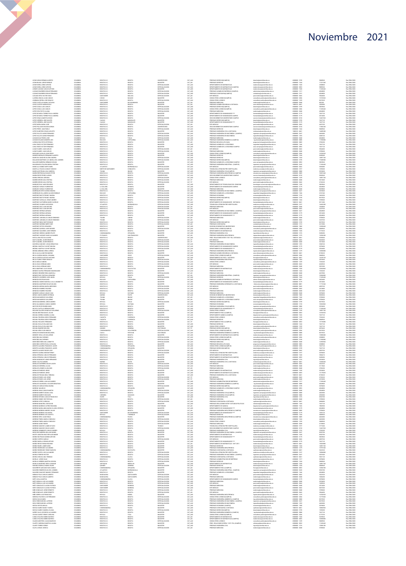| LEON DURAN GERMAN ALBERTO                                                                                                                                                                                                                                 | COLOMBIA                         |
|-----------------------------------------------------------------------------------------------------------------------------------------------------------------------------------------------------------------------------------------------------------|----------------------------------|
| LEON MOLINA JORGE ENRIQUE<br>LEON RIVERA JORGE ARTURO<br>LEON RIVERA JORGE ARTURO<br>LESMES LOZANO CARLOS ARTURO                                                                                                                                          | COLOMBIA<br>COLOMBIA             |
|                                                                                                                                                                                                                                                           | COLOMBI                          |
|                                                                                                                                                                                                                                                           | COLOMBIA                         |
| LIZARAZO BARRERO EDGAR FERNANDO                                                                                                                                                                                                                           | COLOMBIA<br>COLOMBIA             |
| LIZARAZO BARRERO EDGAR FERNANDO<br>LIZOANO ORTIZ VICTOR HUGO<br>LIZOANO ORTIZ VICTOR HUGO<br>LIOMBANA SIERRA JOSE IGNACIO<br>LOMBANA SIERRA JOSE IGNACIO                                                                                                  | COLOMBIA<br>COLOMBIA<br>COLOMBIA |
|                                                                                                                                                                                                                                                           |                                  |
| LOPEZ CASTILLO MARIA CATALINA                                                                                                                                                                                                                             | COLOMBIA                         |
| LOPEZ CASTRO KAREN ROCIO<br>LOPEZ CASTRO KAREN ROCIO<br>LOPEZ COGIA LUIS CARLOS                                                                                                                                                                           | COLOMBIA<br>COLOMBIA             |
|                                                                                                                                                                                                                                                           | COLOMBIA                         |
| LOPEZ CRUZ RUTH LILIANA                                                                                                                                                                                                                                   | <b>COLOMBIA</b>                  |
| LOPEZ DE MESA TORRES PALLA ANDREA<br>LOPEZ DE MESA TORRES PALLA ANDREA<br>LOPEZ GRACIA MARITZA ROCIO                                                                                                                                                      | COLOMBIA                         |
|                                                                                                                                                                                                                                                           | COLOMBIA<br>COLOMBIA             |
| LOPEZ HERRERA JOSE WALTER                                                                                                                                                                                                                                 | COLOMBIA<br>COLOMBIA             |
| LOPEZ HERRERA JOSE WALTER<br>LOPEZ MORA MARIA JOSE<br>LOPEZ PALACIOS WILSON ADRI<br>LOPEZ PEREZ JUAN PABLO                                                                                                                                                |                                  |
|                                                                                                                                                                                                                                                           | COLOMBIA                         |
| LOPEZ QUINTERO CESAR AUGUSTO                                                                                                                                                                                                                              | COLOMBIA<br>COLOMBIA             |
|                                                                                                                                                                                                                                                           | COLOMBIA                         |
| LOPEZ VILLOTA DARIO FERNANDO<br>LOPEZ VILLOTA DARIO FERNANDO<br>LOPEZ VILLOTA DARIO FERNANDO                                                                                                                                                              | COLOMBIA<br>COLOMBIA             |
| LOZANO SOLANO SANDERS LOIS                                                                                                                                                                                                                                | COLOMBIA                         |
| LUENGAS BAUTISTA ESTEFANIA<br>LUENGAS BAUTISTA ESTEFANIA<br>LUNA CRUDO VICTOR FERNANDO                                                                                                                                                                    | COLOMBIA                         |
|                                                                                                                                                                                                                                                           | COLOMBI<br>COLOMBIA              |
| LINGUE SUARIEZ JUAN CARLOS<br>LUQUE SUARIEZ JUAN CARLOS<br>LUQUE SUARIEZ JUAN CARLOS<br>MACHADO AGOLLAR JONN FREDY<br>MALKGON MARTINEZ LUZ ANGILA DIL CARMEN<br>MALKGON MARTINEZ LUZ ANGILA DIL CARMEN<br>MALKGON MARTINEZ LUZ ANGILA DIL CARMEN          | COLOMBIA                         |
|                                                                                                                                                                                                                                                           | COLOMBIA<br>CLOMBA               |
|                                                                                                                                                                                                                                                           |                                  |
|                                                                                                                                                                                                                                                           | COLOMBIA<br>COLOMBIA             |
|                                                                                                                                                                                                                                                           | <b>COLOMBIA</b><br>COLOMBIA      |
| MALAVER BASSERA HERMAN GIOVANI<br>MALDONADO OTALORA MARIA CRISTINA<br>MANCILLA GOMEZ NURY ISABEL<br>MANTILLA TOLOZA CARLOS TARCISIO                                                                                                                       | COLOMBIA<br>COLOMBIA             |
|                                                                                                                                                                                                                                                           | COLOMBIA                         |
|                                                                                                                                                                                                                                                           | COLOMBIA                         |
|                                                                                                                                                                                                                                                           | COLOMBIA<br>COLOMBIA             |
|                                                                                                                                                                                                                                                           | COLOMBIA                         |
|                                                                                                                                                                                                                                                           | COLOMBIA                         |
|                                                                                                                                                                                                                                                           | COLOMBIA<br>COLOMBIA             |
| MANTILLA TOLOZA CARLOS TARCISI<br>MARINALIZZE PRIAD LINUX VANCES<br>MARIN REKTEMVALD MAICK PETER<br>MARIN REKTEMVALD MAICK PETER<br>MARIN VEREARA AGRINIA<br>MARINO DRENIS ANA CRISTINA<br>MARINO DRENIS ANA CRISTINA<br>MARINO DRENIS ANA CRISTINA       | COLOMBIA                         |
|                                                                                                                                                                                                                                                           | COLOMBIA<br>COLOMBIA             |
| MARQUIZ WARACH CORNINING<br>MARROQUIN VILLADIEGO ALIVARO INRIQUE<br>MARROQUIN VILLADIEGO ALIVARO INRIQUE<br>MARROQUIN VILLADIEGO ALIVARO INRIQUE<br>MARTINIZ CARVAJAL CIESAR ANDRES<br>MARTINIZ CARVAJAL CIESAR ANDRES<br>MARTINIZ CARVAJAL CIES          | CLOMB <sup>2</sup>               |
|                                                                                                                                                                                                                                                           | COLOMBIA<br>COLOMBIA             |
|                                                                                                                                                                                                                                                           | COLOMBIA                         |
|                                                                                                                                                                                                                                                           | COLOMBIA                         |
|                                                                                                                                                                                                                                                           | COLOMBIA<br>COLOMBIA             |
| MARTINEZ DIAZ JUAN ARTURO<br>MARTINEZ HERRAN ADRIANA<br>MARTINEZ HERRAN ADRIANA<br>MARTINEZ HERRAN ADRIANA                                                                                                                                                | COLOMBIA                         |
|                                                                                                                                                                                                                                                           | COLOMBIA                         |
|                                                                                                                                                                                                                                                           | COLOMBIA<br>COLOMBIA             |
|                                                                                                                                                                                                                                                           | COLOMBIA                         |
| MARTINEZ HERRAN ADRIANA<br>MARTINEZ JARAMILLO CARLOS EDMUNDO<br>MARTINEZ JARAMILLO CARLOS EDMUNDO<br>MARTINEZ MORENO MERY RUBY<br>MARTINEZ OSTOS LEONARDO<br>MARTINEZ OSTOS LEONARDO                                                                      | COLOMBIA<br>COLOMER              |
|                                                                                                                                                                                                                                                           | COLOMBIA                         |
|                                                                                                                                                                                                                                                           | <b>COLOMBIA</b><br>COLOMBIA      |
|                                                                                                                                                                                                                                                           | COLOMBIA                         |
| MARTINEZ QUROGA JARO MOSES<br>MARTINEZ SAANDRA JOSE HERMES<br>MARTINEZ URREGO ANORES FELIPE<br>MARTINEZ VASQUEZ DAVID ALEJANDRO                                                                                                                           | COLOMBIA                         |
|                                                                                                                                                                                                                                                           | <b>COLOMBIA</b><br>COLOMBIA      |
| MATALLANA ESLAVA ALVARO<br>MATALLANA ESLAVA ALVARO<br>MATTA MARRA JAVIER ERNESTO                                                                                                                                                                          | COLOMBIA<br>COLOMBIA             |
|                                                                                                                                                                                                                                                           |                                  |
| MAYORGA SANCHEZ JOHAN SEBASTIAN                                                                                                                                                                                                                           | <b>COLOMBIA</b><br>COLOMBIA      |
|                                                                                                                                                                                                                                                           | COLOMBIA<br>COLOMBIA<br>COLOMBIA |
|                                                                                                                                                                                                                                                           |                                  |
| MATURA SANUTEZ JUHAN SEBASI<br>MEDINA MARTHA YUZHIET MEENA<br>MEDINA MIRANDA ERIKA LORENA<br>MEJIA ALCALA METON MARINO<br>MEJIA GADENA MAGDA JOHANNA<br>MEJIA GADENA MAGDA JOHANNA                                                                        | <b>COLOMBIA</b>                  |
|                                                                                                                                                                                                                                                           | COLOMBIA                         |
|                                                                                                                                                                                                                                                           | COLOMBIA<br>COLOMBIA             |
|                                                                                                                                                                                                                                                           | COLOMBIA                         |
|                                                                                                                                                                                                                                                           | COLOMBIA<br>CLOMBA               |
|                                                                                                                                                                                                                                                           | COLOMBIA                         |
| MELA CADENA MAGRA, ASIANGA<br>MELA CORTES GUSTAVO ANTONIO<br>MELA CORTES GUSTAVO ANTONIO<br>MELA MELA, SANDA,<br>MELA MELA, SANDA,<br>MELA SEVA VERNAN DARIO<br>MENDEZ GUSTAV, ESPARAMO MAXMELIANO<br>MENDEZ GUSTAV, ESPARAMO MAXMELIANO<br>MENDEZ GUS    | COLOMBIA<br>COLOMBIA             |
|                                                                                                                                                                                                                                                           | COLOMBIA                         |
| MENDOZA BELTRAN DAVID<br>MENDOZA GOMEZ MARCELA JULIA JEANNETTE                                                                                                                                                                                            | COLOMBIA<br>COLOMBIA             |
| MENDOZA MARTINEZ OSCAR WILSON                                                                                                                                                                                                                             | COLOMBIA                         |
| MENDICA MENINA MARI MERCEDES<br>MENDOZA RAMREZ RICARDO<br>MENDOZA RAMREZ RICARDO<br>MENDOZA RAMREZ RICARDO<br>MENCIA VACOS ANDRES ESTERAN<br>MENCIA VACOS ANDRES ESTERAN<br>MERCIAN BARROS GULLERNO                                                       | COLOMBIA                         |
|                                                                                                                                                                                                                                                           | CLOMBA<br>COLOMBIA               |
|                                                                                                                                                                                                                                                           | COLOMBIA                         |
|                                                                                                                                                                                                                                                           | COLOMBIA                         |
| MERCHAN BARRICS GUILLERMO                                                                                                                                                                                                                                 | COLOMER<br>COLOMBIA              |
|                                                                                                                                                                                                                                                           | <b>COLOMBIA</b>                  |
|                                                                                                                                                                                                                                                           | COLOMBIA                         |
|                                                                                                                                                                                                                                                           | COLOMBI                          |
|                                                                                                                                                                                                                                                           | COLOMBIA<br>COLOMBIA             |
|                                                                                                                                                                                                                                                           | COLOMBIA<br>COLOMBIA             |
|                                                                                                                                                                                                                                                           | COLOMER                          |
| MERICHAN MARKOS GALLETANO<br>MERCHAN MORROS GALLETANO<br>MERCHAN MORROS CAMICO ARDES<br>MESTIZO RYKES RUBIN DARIO<br>MELICO RYKES RUBIN DARIO<br>MOLRA CHERIA MORD JULIAN<br>MOLRA FIGUERDA DIEGO FERRANDO<br>MOLRA FIGUERDA DIEGO FERRANDO<br>MOLRA F    | COLOMBIA                         |
| MOLINA FIGURDA ORIGO FERNANCI<br>MOLINA FOCAZZIO FERNANCI<br>MOLINA CVALLE WILLIAM IVAN<br>MOLINA CVALLE WILLIAM IVAN<br>MOLINA FAMIREZ NILLON<br>MONDAY URGA LUIS GUILLISMO<br>MONDAY VIGA LUIS GUILLISMO<br>MONDAY VIGA LUIS GUILLISMO<br>MONTAÑA CA    | <b>COLOMBIA</b><br>COLOMBIA      |
|                                                                                                                                                                                                                                                           | COLOMER                          |
|                                                                                                                                                                                                                                                           | COLOMBIA<br><b>COLOMBIA</b>      |
|                                                                                                                                                                                                                                                           | COLOMBIA                         |
|                                                                                                                                                                                                                                                           | COLOMBIA<br>COLOMBIA             |
| MONTAÑA DIAZ HERMES                                                                                                                                                                                                                                       | COLOMBIA                         |
|                                                                                                                                                                                                                                                           | COLOMBIA                         |
| MONTANA DIAZ HERMES<br>MONTAÑEZ NIÑO ANA JANNETTE<br>MONTAÑO CORTES PAOLA CATALINA<br>MONTES ALGARRA FRANCISCO JAVIER<br>MONTES ALVAREZ ROGER JOSE<br>MONTES ALVAREZ ROGER JOSE                                                                           | COLOMBIA<br>COLOMER              |
|                                                                                                                                                                                                                                                           | COLOMBIA                         |
|                                                                                                                                                                                                                                                           | <b>COLOMBIA</b><br>COLOMBIA      |
| MONTES CADENA EDISON FERNEY<br>MONTES CADENA EDISON FERNINDO<br>MORA ESPINOSA CARLOS FERNINDO                                                                                                                                                             |                                  |
|                                                                                                                                                                                                                                                           | COLOMBIA<br>COLOMBIA             |
| DOMAINSTRUMENT SHOWAND AROM                                                                                                                                                                                                                               | COLOMBIA<br>COLOMBIA             |
|                                                                                                                                                                                                                                                           | CLOMBIA                          |
|                                                                                                                                                                                                                                                           | COLOMBIA                         |
|                                                                                                                                                                                                                                                           | COLOMBIA<br>COLOMBIA             |
|                                                                                                                                                                                                                                                           |                                  |
| MODA MALAMACHE JAME HERNANDO<br>MODA VILLOTA DARWIN<br>MODALIS GUERRERO OSCAR JAVIER<br>MODALIS GUERRERO OSCAR JAVIER<br>MODALIS FIEMES CARA INS<br>MODALIS PARTOS JORE<br>MODALIS PARTOS JORE<br>MODALIS PARTO LUS JORE<br>MODALIS RUBO LUS JORE<br>MODA | COLOMBIA                         |
|                                                                                                                                                                                                                                                           | COLOMBIA                         |
| MORALES SIERRA JUAN ALEJANDRO<br>MORALES VALENZUELA OLGUER SEBASTIAN<br>MORALES VARGAS EDNA MILENA                                                                                                                                                        | COLOMBIA<br>CLOMBIA              |
|                                                                                                                                                                                                                                                           | COLOMBIA                         |
| <b>OIDINAM GATEROM</b>                                                                                                                                                                                                                                    | COLOMBIA<br>COLOMBIA             |
| MORENO ARIAS CARLOS MARTIN<br>MORENO BARRETO DIANA LISSA<br>MORENO BARRETO RICHARD                                                                                                                                                                        | COLOMER                          |
| MORENO ESPARZA CARLOS FRANCISCO                                                                                                                                                                                                                           | COLOMBIA<br>COLOMBIA             |
|                                                                                                                                                                                                                                                           | COLOMBIA                         |
|                                                                                                                                                                                                                                                           | CLOMBIA                          |
| MARINA ESPARAA LIVRALIS HAMALISLO<br>MORINO LOPEZ CAROLINA<br>MORINO LOPEZ CAROLINA<br>MORINO MARICRIO ASTRID ROXANNA<br>MORINO MARILLANDA MARIA CLAUDIA PATRIDA<br>MORINO MARILLANDA MARIA CLAUDIA PATRIDA                                               | COLOMBIA<br>COLOMBIA             |
|                                                                                                                                                                                                                                                           | COLOMBIA                         |
| MORENO MORENO ANDRES JULIAN<br>MORENO MORENO LINA MARIA<br>MORENO MORENO LUIS AGAPITO                                                                                                                                                                     | COLOMBIA<br>COLOMBIA             |
|                                                                                                                                                                                                                                                           | COLOMBIA                         |
| MORENO ORTIZ JUAN PABLO                                                                                                                                                                                                                                   | COLOMBIA<br>COLOMBIA             |
| MORENO PINEDA MARIA CONSUELO<br>MORENO PINEDA MARIA CONSUELO<br>MORENO SAENZ ROGER<br>MORENO SANZHEZ JAME OCTAVIO                                                                                                                                         | CLOMBA                           |
|                                                                                                                                                                                                                                                           | COLOMBIA                         |
|                                                                                                                                                                                                                                                           | <b>COLOMBIA</b><br>COLOMBIA      |
| MORENO SANCHEZ OSCAR JAVIER<br>MORENO SANCHEZ OSCAR JAVIER<br>MORENO SARMENTO CARLOS ANDRE                                                                                                                                                                | COLOMBIA<br>COLOMBIA             |
| MOSCOSO BARRERA WILLIAM DANIEL<br>MUETE LOBATON WALTHER ALEXANDER                                                                                                                                                                                         |                                  |
| MUÑOZ BULTRAGO DARWIN ARTURO                                                                                                                                                                                                                              | <b>COLOMBIA</b><br>COLOMBIA      |
| MUÑOZ CORTES HAROLD                                                                                                                                                                                                                                       | COLOMBIA                         |
| MUNOL CONTESTINGED<br>MUNOZ MURLLO EDWIN ARTURO<br>MUNOZ REYES FABIAN RICARDO                                                                                                                                                                             | COLOMBIA<br>COLOMBIA             |
| MINUS IN MAL ORAIR SORUM                                                                                                                                                                                                                                  | COLOMBIA                         |
|                                                                                                                                                                                                                                                           | COLOMBIA<br>COLOMER              |
| muñoz rodriguez alejandro<br>muñoz rodriguez yenny mario<br>muñoz zapata luis alejandro                                                                                                                                                                   | COLOMBIA                         |
| MURCIA FORERO HECTOR                                                                                                                                                                                                                                      | COLOMBIA                         |
| MURCIA GRACIA ANA TRNIDAD<br>MURCIA GRACIA ANA TRNIDAD<br>MURILLO HERRERA MARTHA HELENA                                                                                                                                                                   | COLOMBIA                         |
|                                                                                                                                                                                                                                                           | COLOMBIA<br>COLOMBIA             |
| MURILLO MARTINEZ SOFIA LEONILDE<br>NARANJO MURILLO MARIA ISLEN<br>NAVARRETE QUECANO IVAN CAMILO<br>NAVARRO ROMERO ELISA DEL CARMEN                                                                                                                        | COLOMBIA<br>COLOMBIA             |
|                                                                                                                                                                                                                                                           | COLOMBIA                         |
|                                                                                                                                                                                                                                                           | COLOMBIA                         |
| NAVARRO SANCHEZ MANUEL FERNANDO<br>NEELES POLO CARLOS ALBERTO                                                                                                                                                                                             | COLOMBIA<br>COLOMBIA             |
|                                                                                                                                                                                                                                                           | COLOMBIA                         |
| NEBLES POLO CARLOS ALBERTO<br>NETO AYALA MARTHA<br>NETO BONLLA LUS ALEJANDRO                                                                                                                                                                              | COLOMBIA<br>COLOMBIA             |
| NETO BONLLA LUS ALEJANDRO                                                                                                                                                                                                                                 | COLOMBIA                         |
| NETO GONZALEZ CLAUDIA PATRICIA<br>NETO GONZALEZ CLAUDIA PATRICIA<br>NEO GONZALEZ JORGE ERNESTO                                                                                                                                                            | COLOMBIA<br>COLOMER              |
|                                                                                                                                                                                                                                                           | COLOMBIA                         |
| NIÑO GONZALEZ JORGE ERNESTO<br>NIÑO SIERRA LUIS FRANCISCO                                                                                                                                                                                                 | COLOMBIA                         |
|                                                                                                                                                                                                                                                           | COLOMBIA<br>COLOMBIA             |
|                                                                                                                                                                                                                                                           | COLOMBIA<br>COLOMBIA             |
| WING HIND HOLD LUIS FERNANDO<br>NOREGA PACHECO LUIS FERNANDO<br>NOVA PARDO MIGUEL ALFREDO<br>NOVA PARDO MIGUEL ALFREDO                                                                                                                                    | COLOMBIA                         |
|                                                                                                                                                                                                                                                           | COLOMBIA                         |
|                                                                                                                                                                                                                                                           | COLOMER                          |
| NOVOA HOYOS AMALIA<br>NOVOA SUAREZ NANCY YADRA<br>NOVOA SUAREZ SANDRA LYLIANA<br>NUÑEZ YALLEJOS DIEGO ALEJANDRO                                                                                                                                           | COLOMBIA<br>COLOMBIA             |
|                                                                                                                                                                                                                                                           | COLOMBIA                         |
| OCHOA SUARIZ YENNY CAROLINA<br>OJEDA OTALORA INGRID MAYERLY<br>OJEDA OTALORA INGRID MAYERLY                                                                                                                                                               | CLOMBA<br>COLOMBIA               |
| CLAND QUINTERO JULIAN MAURICIO                                                                                                                                                                                                                            | COLOMBIA                         |
| CLARTE CARDENAS MARTHA LEJANA<br>OLARTE TORRES SERGIO                                                                                                                                                                                                     | COLOMBIA                         |
|                                                                                                                                                                                                                                                           | COLOMBIA<br>COLOMBIA             |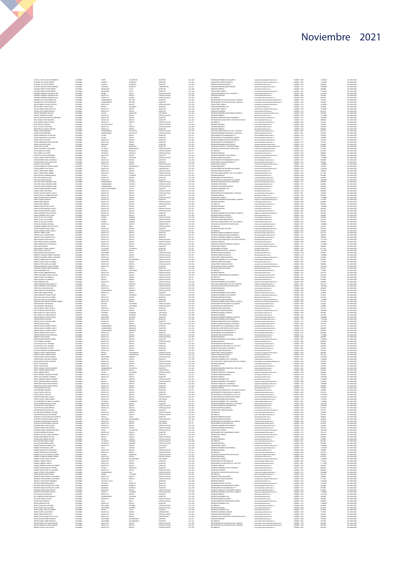| O MILLA ZILETA CARLOS HIMMERTO<br>CLIVEROS AYA CARLOS ANDRES                                       | COLOMBIA<br>COLOMBIA             | CESAR<br>CAQUET                                 | VALLEDUPAR<br>FLORENCIA                | MAGISTER<br>MAGISTE                                   | CAT ASD                       | DRECEANO INCENTRA CIVI (CAMPUC)<br>CONSULTORIO JURIDICO(CAMPUS)                                                               | ingenieria campus@unimilitar.edu.co<br>.<br>consultorio junidico@unimilitar edu co                                                                            | 6500000-3000<br>6500000-320                                          | 11269440<br>11209440        | Res 2986/2020<br>Res 2986/202                                    |
|----------------------------------------------------------------------------------------------------|----------------------------------|-------------------------------------------------|----------------------------------------|-------------------------------------------------------|-------------------------------|-------------------------------------------------------------------------------------------------------------------------------|---------------------------------------------------------------------------------------------------------------------------------------------------------------|----------------------------------------------------------------------|-----------------------------|------------------------------------------------------------------|
| <b>CLIVEROS AVA CARLOS ANDRES</b>                                                                  | COLOMBIA                         | CAQUETA                                         | FLORENCU                               | MAGISTER                                              | CAT_ASD                       | PREGRADO DERECHO(CAMPUS)                                                                                                      | derecho@unimilitar.edu.co                                                                                                                                     | 6500000 - 3199                                                       | 4024800                     | Res 2986/202                                                     |
| CLIVEROS HINCAPIE JORGE ARMANDO<br>O INTOOS DEDEZ ALVADO ANDORS                                    | COLOMBIA<br>COLOMBIA             | ANTIOQUIA<br>MAGDALEN                           | MEDELLIN<br>PLATO                      | UNIVERSITARIO<br><b>MAGISTER</b>                      | CAT_ASI<br>CAT ASD            | PREGRADO INGENIERIA MECATRONICA<br>PREGRADO DERECHO                                                                           | ingmecatronica@unimilitar.edu.co<br>Serecho@unimilitar.edu.co                                                                                                 | 6500000 - 1270<br>6500000 - 1244                                     | 10386880<br>4024800         | Res 2986/2020<br>Res 2986/2020                                   |
| CLIVEROS PEREZ ALVARO ANDRES<br>ORDOÑEZ ORDOÑEZ CHRISTIAN LARRY                                    | COLOMBIA<br>COLOMBIA             | MAGDALENA                                       | LATO<br>PASTO                          | MAGISTER<br>ESPECIALIZACIO                            | CAT_ASD<br>CAT_ALD            | CONSULTORIO JURIDICO<br>PREGRADO INGENERIA CIVIL A DISTANCIA                                                                  | icdistancia@unimilitar.edu.co                                                                                                                                 | 6500000 - 123<br>7480333 - 684                                       | 12467520                    | Pes 2986/2020<br>Res 2986/2020                                   |
| ORDOÑEZ ORDOÑEZ LEONARDO ELIAS                                                                     | COLOMBIA                         | BOGOTA D.C                                      | DOGOTA                                 | ESPECIALIZACION                                       | CAT_ASO                       | PREGRADO MEDICINA                                                                                                             | medicina@unimilitar.edu.co                                                                                                                                    | 6500000 - 2040                                                       | 3018600                     | Res 2986/2020                                                    |
| ORDOÑEZ ORDOÑEZ LEONARDO ELIAS<br>CRECKEZ DESCRIE LEONARDO LES<br>CRECKEZ REY ALCIRA EMPERATRIZ    | COLOMBIA<br><b>COLCIMPIA</b>     | BOSOTA D.C                                      | BOGOTA<br><b>BELTRAI</b>               | ESPECIALIZACIO                                        | CAT ASD<br>CAT_ASD            | ESP. MEDICAS<br>DEPARTAMENTO DE TECNOLOGIAS DEL CONOCIM<br>DEPARTAMENTO DE TECNOLOGIAS DEL CONOCIM                            | ost.medicina@unimilitar.edu.co<br>ologias conocimiento@unin                                                                                                   | 0300000-2042<br>6500000-1220                                         | 4029760<br>7345260          | Res 2986/2020                                                    |
| ORDUZ BARRETO CLAUDIA PATRICIA                                                                     | COLOMBIA<br>COLOMBIA             | EUROINAMARCA<br>CUNDINAMARCA<br>BOGOTA D.C.<br> | DELTRA<br>DOGOTA                       | MAGISTER<br>ESPECIALIZACION                           | CAT_ASD<br>CAT_ASD            | CONSULTORIO JURISCO                                                                                                           | tecnologias conocimiento@unimilitar.edu.cr<br>consultorio juridico@unimilitar edu co                                                                          | 6500000 - 1220<br>6500000 - 1239                                     | 3320460<br>16702920         | Pes 2984/2020<br>Res 2984/2020<br>Res 2984/2020                  |
| CREUZ GOMEZ JOHN OCTAVIO<br>ORJUELA BOSSA MARIA DEL PILAR                                          | COLOMBIA<br>COLOMBIA             | BOYACA<br>BOSOTA D.C.                           | SOGAMOSO<br><b>BOGOTA</b>              | <b>MAGISTER</b><br><b>MAGISTER</b>                    | CAT_ASO<br>CAT ASD            | PREGRADO INGENIERIA CIVIL<br>CONSULTORIO JURIDICO                                                                             | ingcivi@unimilitar.edu.co<br>.<br>Insultorio luridico@uni                                                                                                     | 6500000 - 1276<br>6500000-122                                        | 3018600<br>16702920         | Res 2986/2020<br>Res 2986/2020                                   |
| CRULELA CRTIZ ANGE MARCELA                                                                         | COLOMBY                          | ECCOTA D.C                                      | BOGOTA<br>MANZALES                     | MAGISTER                                              | CAT_AUX                       | <b>PREGRADO ECONOMIA</b>                                                                                                      | conomia@unimilitar.edu.co                                                                                                                                     | 6500000-1316                                                         | 8619520                     | Res 2986/2020<br>Res 2986/2020                                   |
| CROZCO HERNANDEZ GIOVANY<br>CRTEGA CARDENAS ALFONSO                                                | COLOMBIA<br>COLOMBIA             | CALDAS<br>BOGOTA D.C                            | <b>DOGOTA</b>                          | DOCTORADO<br>ESPECIALIZACIÓN                          | CAT_ALD<br>CAT_TIT            | PREGRADO INGENIERIA MECATRONICA (CAMPUS)<br>PREGRADO DERECHO                                                                  | mecatronica campus@un<br>derecho@unimilitar.edu.co                                                                                                            | 6500000 - 100<br>6500000 - 1244                                      | 3078400<br>15718080         | Res 2986/2020                                                    |
| ORTEGA HURTADO FRANCISCO FERNANDO                                                                  | COLOMBIA<br>COLOMBIA             | BOGOTA D.C<br>OGOTA D.C                         | BOGOTA<br><b>OGOTA</b>                 | MAGISTER                                              | CAT_ASD                       | PREGRADO ADMINISTRACION DE EMPRESAS<br>CRADO RELACIONES INTER Y ESTUDIOS POLITICOS                                            | administracion@unimilitar.edu.co<br>reinternal@unimilitar.edu.co<br>post.medicina@unimilitar.edu.co                                                           | 6500000-1317                                                         | 12985180                    | Res 2986/2020                                                    |
| ORTIZ CONCHA HUGO MAURICIO<br>ORTIZ ESPINIE, DOUGLAS OMAR                                          | COLONEIA                         | BOGOTA D.C                                      | <b>BOGOTA</b>                          | MAGISTER<br>ESPECIALIZACION                           | CAT_AUD<br>CAT_TIT            | ESP. MEDICAS                                                                                                                  |                                                                                                                                                               | 0300000-1317<br>0500000-1344<br>0500000-2042                         | 6736320                     | Pes 2986/2020<br>Res 2986/2020                                   |
| ORTIZ PORTILLA MARISOL<br>ORTIZ SALAZAR JUAN PABLO                                                 | COLOMBIA<br>COLOMBIA             | VALLE DEL CAUCA<br>BOSOTA D.C.                  | CALL<br><b>BOGOTA</b>                  | ESPECIALIZACION<br>ESPECIALIZACION                    | CAT_AUX                       | PREGRADO MEDICINA<br>PREGRADO MEDICINA                                                                                        | medicina@unimilitar.edu.co                                                                                                                                    | 6500000 - 2040<br>6500000 - 2040                                     | 1539200<br>1006200          | Res 2986/2020                                                    |
| OSMA PERALTA SARAH CAROLINA<br>OSCRIO LOPEZ BERNARDO                                               | COLOMB                           | 8050TA D.C                                      |                                        |                                                       | CAT_ASD<br>CAT_AUX            | PREGRADO DERECHO<br>PREG. RELACIONES INTER Y EST. POL. DISTANCIA                                                              | medicina@unimilitar.edu.co<br>derecho@unimilitar.edu.co                                                                                                       | 1300000-124                                                          | 5541120                     | Pes 2986/2020<br>Res 2986/2020<br>Res 2986/2020<br>Res 2986/2020 |
| OSCRIO LOPEZ BERNARDO                                                                              | COLOMBIA<br>COLOMBIA             | CUNDINAMARCA<br>CUNDINAMARCA                    | FACATATIVA<br>FACATATIVA               | ESPECIALIZACION<br>ESPECIALIZACION                    | CAT_AUX<br>CAT_AUX            | PREGRADO INGENIERIA INDUSTRIAL A DISTANCIA                                                                                    | riepdistancia@unimilitar.edu.co<br>Idistancia@unimilitar.edu.co                                                                                               | 7480333 - 6841<br>7480333 - 6841                                     | 6233760                     |                                                                  |
| OSPINA BARRAGAN LUIS ANTONIO<br>OSPINA BARRAGAN LUIS ANTONIO                                       | COLOMBIA<br>COLOMBIA             | TOLIMA<br>TOLIMA                                | ISAGUE<br>meast                        | <b>MAGISTER</b><br>MAGISTER                           | CAT_ASI<br>CAT_ASI            | DEPARTAMENTO DE HUMANIDADES ****<br>DEPARTAMENTO DE HUMANIDADES CAMPUS                                                        | humanidades@unimilitar.edu.co<br>umanidadesüunimilitar.edu.co                                                                                                 | 6500000 - 3179<br>0300000-3179                                       | 3709600<br>3709600          | Res 2986/2020<br>Res 2986/2020                                   |
| DSPINA DIAZ ELVAA NANCY<br>OSPINA HERNANDEZ CARLOS ARTURO                                          | COLOMBI<br>COLOMBIA              | BOSOTA D.C<br>BOSOTA D.C                        | IOGOTA<br>DOGOTA                       | MAGISTER                                              | CAT_ASD<br>CAT_ASD            | PREGRADO ADMINISTRACION DE EMPRESAS<br>DEPARTAMENTO DE HUMANIDADES ****                                                       | dministracion@unimilitar.edu.co<br>humanidades@unimilitar.edu.co                                                                                              | 1300000-131<br>6500000 - 3179                                        | 3219840<br>7647120          | Pes 2986/2020<br>Res 2986/2020                                   |
| OSPINA HURTADO STEVEN<br>OSPINA NAVAS JAIDER                                                       | COLOMBIA<br>COLOMBIA             | RISARALDA<br>CALDAS                             | PEREIRA<br>MANZALES                    | <b>MAGISTER</b><br><b>MAGISTER</b>                    | CAT_AUX<br>CAT_ASD            | PREGRADO INGENIERIA MECATRONICA<br>TECNOLOGIA EN ELECT Y COMUNICACIONES                                                       | ingmecatronica@unimilitar.edu.co<br>notelecomunicaciones@unimilitar.edu.co                                                                                    | 6500000 - 1270<br>6500000 - 1282                                     | 2924480<br>5035960          | Res 2986/2020<br>Res 2986/2020                                   |
| OSPINA STAADEN LILIANA MARIA                                                                       | COLOMBI                          | <b>TLANTICI</b>                                 |                                        | ESPECIALIZACIO                                        | CAT_AUD<br>CAT_TIT            | TECNOLOGIA ATENCION PRE HOSPITALARIA<br>ESP. MEDICAS                                                                          | edcina.social@unimiltar.edu.co                                                                                                                                |                                                                      |                             | Pes 2986/2020<br>Res 2986/2020                                   |
| OSSA GOMEZ LUIS JAMER<br>OSSA GOMEZ LUIS JAMER                                                     | COLOMBIA<br>COLOMBIA             | ANTIOQUIA<br><b>ANTIOQUIA</b>                   | MEDELLIN<br>MEDELLIN                   | ESPECIALIZACION<br>ESPECIALIZACIÓN                    | CAT_TIT                       | PREGRADO MEDICINA                                                                                                             | post medicina@unimilitar.edu.co<br>medicina@unimilitar.edu.co                                                                                                 | 6500000 - 2042<br>6500000 - 2040                                     | 6736320<br>2006000          | Res 2986/2020                                                    |
| OTERO TELLEZ DIEGO EERNAMDO                                                                        | COLOMBIA<br>COLOMBIA             | BOSOTA D.C                                      | <b>BOGOTA</b><br><b>JUATEQUE</b>       | MAGISTER<br>ESPECIALIZACIO                            | CAT ASD                       | PREGRADO INGENIERIA CIVILICAMPUS)                                                                                             | nomieria campus@unimilitar.edu.co                                                                                                                             | 6500000-3000                                                         | 3010500                     | Res 2986/2020                                                    |
| OVALLE USECHE JORGE EDUARDO<br>OVEDO BOTERO SEVIA CONSTANZA                                        | COLOMBIA                         | BOYACA<br>BOGOTA D.C.                           | DOGOTA                                 | MAGISTER                                              | CAT_AUX<br>CAT_AUX            | PREGRADO INGENIERIA LIVIE (LAMPUS)<br>PREGRADO DERECHO (CAMPUS)<br>DEPARTAMENTO DE HUMANIDADES CAMPUS                         | recho@unimilitar.edu.co<br>humanidades@unimilitar.edu.co                                                                                                      | 6500000-3199<br>6500000 - 3179                                       | 3078400                     | Pes 2986/2020<br>Res 2986/2020                                   |
| OVEDO BOTERO SEVIA CONSTANZA<br><b>BUTHERD GALVES WITHERS</b>                                      | COLOMBIA<br>COLOMBIA             | BOGOTA D.C<br>BOSOTA D.C                        | <b>DOGOTA</b><br><b>BOGOTA</b>         | MAGISTER<br>ESPECIALIZACION                           | CAT_AUX<br>CAT_AUX<br>CAT_AUX | DEPARTAMENTO DE HUMANIDADES ****<br>CONSULTORIO URBECO                                                                        | humanidades@unimilitar.edu.co<br>cesultorio jurídico@unimilitar.edu.co                                                                                        | 6500000 - 3170<br>6500000 - 1239<br>6500000 - 2048                   | 3078400<br>13468000         | Res 2986/2020<br>Res 2986/2020<br>Res 2986/2020                  |
| PACHECO MARQUEZ JAVIER ALFONSO                                                                     | COLOMBIA<br>COLOMBI              | <b>ATLANTICO</b><br>10 AT000                    | BARRANDURLA<br><b>SOGOTA</b>           | ESPECIALIZACIO                                        | CAT_AU                        | PRECISION MEDICINAL<br>SECCION BIENESTAR UNIVERSITARIO CAMPUS                                                                 | edcina@unimilitatedu.co<br>eccion.bienestan@unimil                                                                                                            |                                                                      | 1529200<br>1108224          |                                                                  |
| PADILLA PEREZ MARIA XIMENA                                                                         | COLOMBIA                         | BOGOTA D.C                                      | DOGOTA                                 | ESPECIALIZACIO                                        | CAT_ASI                       | PREGRADO DERECHO(CAMPUS)<br>PREG. RELACIONES INTERN, Y EST. POL. (CAMPUS)                                                     | derecho@unimilitar.edu.co                                                                                                                                     | 6500000 - 3199                                                       | 7082900                     | Res 2986/2020<br>Res 2986/2020                                   |
| PADELA PEREZ MARIA XIMENA<br>PAIZ GONZALEZ ADRANA MILENA                                           | COLOMBIA<br>COLOMBIA             | BOGOTA D.C.<br>CACUETA                          | <b>DOGOTA</b><br><b>FLORINGM</b>       | ESPECIALIZACIÓN<br>ESPECIALIZACION                    | CAT_ASI<br>CAT ALD            | PREGRADO MEDICINA                                                                                                             | relinternal@unimilitar.edu.co<br>edcina@unimitte.edu.co                                                                                                       | 6500000 - 3033<br>0300000-2040                                       | 8717560<br>3078400          | Res 2986/2020<br>Res 2986/2020                                   |
| PALZ VEGA MARIA MATILDE<br>PALZ VEGA MARIA MATILDE                                                 | COLOMBIA<br>COLOMBIA             | 1050TA D.C<br>BOGOTA D.C.                       | <b>OGOTA</b><br>DOGOTA                 | MAGISTER<br>MAGISTER                                  | CAT_ASD<br>CAT_ASD            | DEPARTAMENTO DE MATEMATICAS<br>DEPARTAMENTO DE MATEMATICAS (CAMPUS)                                                           | natematicas@unimilitar.edu.c<br>matematicas@unimilitar.edu.co                                                                                                 | 6500000-1520<br>6500000 - 3055                                       | 018600<br>1006200           | Res 2986/2020<br>Res 2986/2020                                   |
| PALACIOS CASAS LEONARDO AUNIO<br>PALACIOS CASAS LEONARDO AUNE                                      | COLOMBIA<br>COLOMBIA             | CUNDINAMARCA<br>CUNDINAMARCA                    | GACHETA<br>GACHETA                     | ESPECIALIZACION<br>ESPECIALIZACIO                     | CAT_AUX                       | PREGRADO ADMINISTRACION DE EMPRESAS<br>PREGRADO CONTADURIA                                                                    | administracion@unimilitar.edu.co                                                                                                                              | 6500000 - 1317<br>6500000-1312                                       | 5840960<br>4453680          | Res 2986/2020                                                    |
| PALACIOS CASAS LECNARDO AUNT                                                                       |                                  |                                                 | GACHETA<br>CUCUTA                      | ESPECIALIZACIO                                        | CAT_AUX<br>CAT_AUX<br>CAT_ASO | PREGRADO CONTADURIA(CAMPUS)                                                                                                   | petaduria@unimilitar.edu.co<br>ontaduria@unimilitar.edu.co                                                                                                    | 6500000-3191                                                         | 307840                      | Res 2986/2020<br>Res 2986/2020<br>Res 2986/2020                  |
| PARADA CABRERA MONICA LOREN<br>PARADA PEREZ JOSE RAFAEL                                            | COLOMBIA<br>COLOMBIA             | NORTE DE SANTANCEI<br>BOGOTA D.C.               | <b>DOGOTA</b>                          | MAGISTER<br>ESPECIALIZACION                           | CAT_AUX                       | PREGRADO INGENIERIA CIVIL<br>PREGRADO DERECHO                                                                                 | ingcivil@unimilitar.edu.co<br>derecho@unimilitar.edu.co                                                                                                       | 6500000 - 1276<br>6500000 - 1244                                     | 8552700<br>5840960          | Res 2986/2020                                                    |
| PARADA VIZCAINO MARTHA CECILIA<br>PARDO CARVAJAL ANDRES GIOVA                                      | COLOMBIA<br>COLOMBIA             | BOGOTA D.C<br>BOGOTA D.C                        | BOGOT/<br>BOGOTA                       | ESPECIALIZACION<br>MACKTER                            | CAT_AUX<br>CAT_ASO            | DEPARTAMENTO DE HUMANIDADES - DISTANCIA<br><b>PREGRADO DEREC</b>                                                              | umanidades@unimilitar.edu.co<br>lerecho@unimilitar.edu.co                                                                                                     | 7403333 - 604<br>0300000-1244                                        | 4155840<br>5035960          | Res 2986/2020<br>Res 2986/2020                                   |
| PARDO FIGUERDA DIEGO ARMANDO                                                                       | COLOMBIA                         | LO ATODO                                        | BOGOTA                                 | ESPECIALIZACIÓN                                       | CAT_AUX<br>CAT_AUX            | FREGRADO INGENIERA DE MULTIMEDIA (CAMPUS)                                                                                     | consultorio juridico@unimilitar.edu.co<br>Ingenieria.campus@unimilitar.edu.co<br>Ingenieria.campus@unimilitar.edu.co                                          | 6500000-1239                                                         | 1139008                     | Pes 2986/2020<br>Res 2986/2020                                   |
| PARDO FUQUEN CAROLINA<br>PARDO PARDO GERMAN                                                        | COLOMBIA<br>COLOMBIA             | BOGOTA D.C<br>BOGOTA D.C                        | DOGOTA<br><b>DOGOTA</b>                | MAGISTER<br>ESPECIALIZACION                           | CAT_ASO                       | PREGRADO MEDICINA                                                                                                             | medicina@unimilitar.edu.co                                                                                                                                    | 6500000 - 3247<br>6500000 - 2040                                     | 3771040<br>4024800          | Res 2986/2020                                                    |
| PARDO PARDO GERMAN                                                                                 | COLOMBIA<br>COLOMBIA             | BOGOTA D.C<br>OGOTA D.                          | <b>BOGOTA</b>                          | ESPECIALIZACION<br>MAGISTER                           | CAT_ASO<br>CAT_ASO<br>CAT_ASI | ESP. MEDICAS                                                                                                                  | ost.med.cina@unimilitar.edu.co<br>edcina@unimiltar.edu.co                                                                                                     | 6500000 - 2042                                                       | 5785650                     | Res 2986/2020<br>Res 2986/2020<br>Res 2986/2020                  |
| <b>PAREDES GARAVITO OLGA LUCIA</b><br>PARRA CALCEDO MAURICIO ALEXIS                                | COLOMBIA                         | BOGOTA D.C                                      | BOGOTA<br>BOGOTA                       | ESPECIALIZACIO                                        |                               | PREGRADO MEDICINA<br>PREGRADO MEDICINA                                                                                        | nedicina@unimilitar.edu.co                                                                                                                                    | 0300000 - 2040<br>0300000 - 2040<br>0300000 - 2040                   | 4637000                     |                                                                  |
| PARRA CAICEDO MAURICIO ALEXIS<br>PARRA MORANTES PAGLA PATRICU                                      | COLOMBIA<br>COLOMBIA             | BOGOTA D.C<br>BOGOTA D.C                        | <b>DOGOTA</b><br><b>BOGOTA</b>         | ESPECIALIZACIÓN<br>MAGISTER                           | CAT_ASI<br>CAT ASI            | ESP. MEDICAS<br>PREGRADO INGENIERIA DE MULTIMEDIA (CAMPUS)                                                                    | post medicina@unimilitar.edu.co                                                                                                                               | 6500000 - 2042<br>0300000-3247                                       | 4451520<br>2782200          | Res 2986/2020<br>Res 2986/2020                                   |
| EINAL 2LECK, 23MORIUD ARRAY                                                                        | COLOMBI<br>COLOMBIA              | IOGOTA D.C                                      | 10001/<br>ARMENU                       | ESPECIALIZACION                                       | CAT_ASD<br>CAT_ASD            | -<br>PREGRADO DERECHO(CAMPUS)<br>PREGRADO ECONOMIA (CAMPUS)                                                                   | ingenieria campus@unimilitar.edu.co<br>derecho@unimilitar.edu.co                                                                                              | 6500000-3199<br>6500000 - 1300                                       |                             | Pes 2986/2020<br>Res 2986/2020                                   |
| PARRA TELLEZ LUIS ALFONSO<br>PARRA TELEZ LUS ALFONSO                                               | COLOMBIA                         | QUINDIO<br>QUINDIO                              | ARMENU                                 | ESPECIALIZACION                                       | CAT_ASO                       | PREGRADO CONTADURIA(CAMPUS)                                                                                                   | economia@unimilitar.edu.co<br>contaduria@unimilitar.edu.co                                                                                                    | 6500000 - 3191                                                       | 3018600<br>7647120          | Res 2986/2020                                                    |
| PARRA TELLEZ LUIS ALFONSO                                                                          | COLOMBIA                         | <b>OUNDIC</b>                                   | ARMENU                                 | ESPECIALIZACION                                       | CAT_ASO                       | PREG. RELACIONES INTERN, Y EST. POL. (CAMPUS)                                                                                 | elinternal@unimilitar.edu.co                                                                                                                                  | 6500000-3033                                                         | 7345260                     |                                                                  |
| PATAQUIVA ZAMORA CAROLINA<br>PATERNINA ROMERO OSCAR DE JESUS<br>PATIÑO RAMIREZ MARIA CAMEA         | COLOMBIA<br>COLOMBIA<br>COLOMBIA | BOGOTA D.C<br>SUCRE<br>BOGOTA D.C               | BOGOTA<br>SINCE<br>BOGOTA              | UNIVERSITARIO<br>ESPECIALIZACIO<br>MAGISTER           | CAT ALD<br>CAT ASC<br>CAT ASI | TECNOLOGIA ATENCION PRE HOSPITALARIA<br>ESP. MEDICAS<br>PREGRADO BIOLOGIA APLICADA                                            | medicina.social@unimilitar.edu.c<br>post.medicina@unimilitar.edu.co<br>programa.biologia@unimilitar.edu.cc                                                    | 0300000 - 2000<br>0300000 - 2191<br>0300000 - 2000<br>6500000 - 3085 | 134680<br>231426<br>5378920 | Pes 2986/2020<br>Res 2986/2020<br>Res 2986/2020<br>Res 2986/2020 |
| PEDRAZA BERNAL ANGELA MARIA<br>PEDRAZA FORERO JAME                                                 | COLOMBIA<br>COLOMBIA             | BOGOTA D.C.<br>BOSOTA D.C                       | <b>DOGOTA</b><br><b>BOGOTA</b>         | ESPECIALIZACION<br>MAGISTER                           | CAT_ASI<br>CAT ASD            | ESP. MEDICAS<br>PREGRADO ADMON DE EMPRESAS (CAMPUS)                                                                           | post medicina@unimilitar.edu.co                                                                                                                               | 6500000 - 2042<br>6500000-1317                                       | 5564400<br>7647120          | Res 2986/2020                                                    |
| PEDRAZA MALO JOHN HELBERT                                                                          | COLOMBI                          | 1050TA D.C                                      | 10001/                                 | MAGISTER                                              | CAT_ASI                       |                                                                                                                               | administracion@unimilitar.edu.co<br>dministracion@unimilitar.edu.co                                                                                           | 6500000-1317                                                         |                             | Res 2986/2020                                                    |
| PEDRAZA VEGA JENNIFER IVETH<br>PEÑA ARAGON CESAR NICOLAS                                           | COLOMBIA<br>COLOMBIA             | BOGOTA D.C<br>BOGOTA D.C                        | DOGOTA<br><b>DOGOTA</b>                | MAGISTER<br>ESPECIALIZACIÓN                           | CAT_ASI<br>CAT_ASD            | PREGRADO ADMINISTRACION DE EMPRESAS<br>PREGRADO NGENERIA AMBIENTAL (CAMPUS)<br>PREGRADO RELACIONES INTER Y ESTUDIOS POLITICOS | ing ambiental@unimilitar.edu.co<br>elinternal@unimilitar.edu.co                                                                                               | 6500000 - 3008<br>6500000 - 1344                                     | 3709600<br>11219130         | Pes 2986/2020<br>Res 2986/2020<br>Res 2986/2020                  |
| PEÑA FONSECA NUBIA ALEXANDRI                                                                       | COLOMBIA                         | BOSOTA D.C                                      | <b>BOGOTA</b>                          | ESPECIALIZACION                                       | CAT ASI                       | PREGRADO MEDICINA                                                                                                             | medicina@unimilitar.edu.co                                                                                                                                    | 6500000 - 204                                                        | 1054000                     | Res 2986/2020                                                    |
| PEÑA HERNANDEZ VICTOR MANUE<br>PEÑA LOPEZ MYRIAM                                                   | COLOMBIA<br>COLOMBIA             | 10 AT000<br>BOGOTA D.C                          | <b>DGOTA</b><br>DOGOTA                 | ESPECIALIZACIO<br>MAGISTER                            | CAT_ASD<br>CAT_ASD            | <br>Pregrado admon de Empresas (Campus)<br>CONSULTORIO JURIDICO                                                               | consultorio jurídico@unimilitar edu co                                                                                                                        | 6500000 - 1311<br>6500000 - 1239                                     | 11209440<br>9458280         | Res 2986/2020<br>Res 2986/2020                                   |
| PEÑA NEGRETE JAIDER ALBERTO<br>PEÑA TRIANA JEAN YECEN                                              | COLOMBIA<br>COLOMBIA             | LA GUAJIM<br>BOSOTA D.C                         | VILLANUEVA<br><b>BOGOTA</b>            | MAGSTER<br><b>MAGSTER</b>                             | CAT_ASI<br>CAT ASD            | DEPARTAMENTO DE FISICA<br><b>DEDARTAMENTO DE EISICA - DISTANCIA</b>                                                           | fisica@unimilitar.edu.co<br>.<br>Naica@unimilitar.edu.co                                                                                                      | 6500000 - 1523<br>7403333 - 604                                      | 8717560<br>12678120         | Res 2986/2020<br>Res 2986/2020                                   |
|                                                                                                    | COLOMBIA                         | SANTANDE                                        | SUAITA                                 |                                                       | CAT_AUX                       |                                                                                                                               |                                                                                                                                                               | 6500000-3199                                                         |                             |                                                                  |
| PENA ZAMUSIO CARLOS MANUEL<br>PEÑARETE SANABRA FRECOY LEONARDO<br>PEÑARETE SANABRA FRECOY LEONARDO | COLOMBIA<br>COLOMBIA             | BOGOTA D.C<br>BOGOTA D.C                        | <b>DOGOTA</b><br><b>DOGOTA</b>         | ESPECIALIZACIÓN<br>ESPECIALIZACIÓN<br>ESPECIALIZACIÓN | CAT_ASI<br>CAT_ASI            | PREGRADO DERECHO (CAMPUS)<br>PREGRADO DERECHO (CAMPUS)<br>CONSULTORO JURIDICO (CAMPUS)                                        | nscagoa en mua aos co<br>derecho@unimilitar.edu.co<br>consultorio.junidico@unimilitar.edu.co                                                                  | 6500000-3199<br>6500000 - 3206                                       | 12090000<br>3709600         | Pes 2986/2020<br>Res 2986/2020<br>Res 2986/2020                  |
| PEÑUEL A GERENA MARTHA SONIA<br>PEÑUELA ORTIZ DAVID ALEJANDRO                                      | COLOMBIA<br>COLOMBIA             | SANTANDER<br>BOSOTA D.C                         | <b>BUCARAMANGA</b><br><b>BOGOTA</b>    | ESPECIALIZACION<br>ESPECIALIZACION                    | CAT_ASO<br>CAT ALD            | PREGRADO INGENIERIA CIVIL A DISTANCIA<br>PREGRADO DERECHO/CAMPUS)                                                             | icolstancia@unimilitar.edu.co<br>derecho@unimilitar.edu.co                                                                                                    | 7400333 - 6841<br>6500000-3199                                       | 8150220<br>3771040          | Res 2986/2020                                                    |
| PEÑUELA ORTIZ DAVID ALEJAND                                                                        | COLOMBIA                         | BOSOTA D.                                       | <b>DOOTA</b>                           | ESPECIALIZACIO                                        | CAT_AUX                       | DEPARTAMENTO QUIMICA (CAMPUS)                                                                                                 | :cesultorio juridico@unim                                                                                                                                     | 6500000 - 3206                                                       |                             | Pes 2986/2020<br>Pes 2986/2020<br>Pes 2986/2020                  |
| PERDOMO MADRIGAL CAMILO ANDRES<br>PERDOMO PERDOMO DIEGO FERNANDO                                   | COLOMBIA<br>COLOMBIA             | BOGOTA D.C<br><b>HJEA</b>                       | <b>DOGOTA</b><br><b>BARAYA</b>         | MAGSTER<br>MAGSTER                                    | CAT_ASD<br>CAT_AUX            | PREGRADO DERECHO(CAMPUS)                                                                                                      | departamento.quimica@unimilitar.edu.co<br>derecho@unimilitar.edu.co                                                                                           | 6500000 - 1526<br>6500000 - 3199                                     | 14091760<br>5156320         | Res 2986/2020                                                    |
| PEREA FERNANDEZ IVAN                                                                               | COLOMBIA<br>COLOMBIA             | <b>BOLIVAR</b><br>OSOTA D.C                     | CARTAGENA<br><b>DGOTA</b>              | ESPECIALIZACIO                                        | CAT ALD                       | <b>ESP. MEDICAS</b>                                                                                                           | ost medicina@unimilitar.edu.co<br>recho@unimilitar.edu.co                                                                                                     | 0300000-2042                                                         | 1770000<br>764712           | Res 2986/2020<br>Res 2986/2020<br>Res 2986/2020                  |
| PEREA POSADA GERMAN ENRIQUE<br>PERERA ESGUERRA DIANA CATALINA                                      | COLOMBIA                         | BOGOTA D.C                                      | <b>BOGOTA</b>                          | ESPECIALIZADOR<br>ESPECIALIZADOR                      | CAT_ASD<br>CAT_ASD            | LIF WALKLA<br>PREGRADO DERECHO<br>PREGRADO ADMINISTRACION DE EMPRESAS                                                         | nistracion@unimilitar.edu.co                                                                                                                                  | 6500000 - 1244<br>6500000 - 1244<br>6500000 - 1317                   | 4427280                     |                                                                  |
| PEREZ AGUDELO LUIS ERNESTO<br>PERIZ AGUDELO LUS ERNESTO                                            | COLOMBIA<br>COLOMBIA             | BOYACA<br>BOYACA                                | MONGUE<br>MONGUE                       | ESPECIALIZACIÓN<br>ESPECIALIZACION                    | CAT_TIT                       | ESP. MEDICAS<br>PREGRADO MEDICINA                                                                                             | post medicina@unimilitar.edu.co<br>edicina@unimilitar.edu.co                                                                                                  | 6500000 - 2042<br>0300000-2040                                       | 6736320<br>5613600          | Res 2986/2020                                                    |
| PEREZ BARBOSA DA<br>PEREZ BENAVIDES DIANA MARCEL                                                   | COLOMBI<br>COLOMBIA              | OGOTA D.C<br>CAUCA                              | BOGOTA<br>POPAYAN                      | ESPECIALIZACIO<br>ESPECIALIZACION                     | CAT_TIT<br>CAT_AUX<br>CAT_AUX | PREGRADO INGENIERIA CIVIL (CAMPUS)<br>PREG. RELACIONES INTER Y EST. POL. DISTANCIA                                            | Ingenieria.compus@unimi<br>riepdistancia@unimilitar.edu.co                                                                                                    | 6500000 - 3008<br>7480333 - 6841                                     | 5541120                     | Pes 2986/2020<br>Pes 2986/2020<br>Pes 2986/2020                  |
| PEREZ CONTRERAS LUSA CRISTINA<br>PEREZ DIAZ CARLOS EDUARDO                                         | COLOMBIA<br>COLOMBIA             | BOGOTA D.C<br>BOGOTA D.C.                       | <b>DOGOTA</b><br><b>DOGOTA</b>         | ESPECIALIZACIÓN<br>ESPECIALIZACION                    | CAT_AUX<br>CAT_ASO            | TECNOLOGIA ATENCION PRE HOSPITALARIA<br>PREGRADO MEDICINA                                                                     | medicina accial@unimilitar.edu.co<br>medicina@unimilitar.edu.co                                                                                               | 6500000 - 3197<br>6500000 - 2040                                     | 15661360<br>4024800         | Res 2986/2020<br>Res 2986/2020                                   |
| PEREZ HERRAN VICTOR MALRICIO                                                                       | COLOMBIA                         | <b>CUNDINAMARCA</b>                             | GRARDOT                                | ESPECIALIZACION                                       | CAT_ASD                       | PREGRADO MEDICINA                                                                                                             | edcina@unimilitar.edu.co                                                                                                                                      | 0300000-204                                                          | 2012400                     |                                                                  |
| PEREZ PARKYA VILLIAM IN<br>PEREZ PEREZ ANDRES DANEL<br>PEREZ RODRIGUEZ CESAR ARTURO                | COLOMBI<br>COLOMBIA              | D GOTA D.C.<br>DOYACA                           | BOGOTA<br>SOGAMOSO                     | ESPECIALIZACIO                                        | CAT_AUX<br>CAT_AUX            | PREGRADO INGENERIA EN MULTIMEDIA<br>PREGRADO INGENERIA CIVIL (CAMPUS)                                                         | ingmultimedia@unimilitar.edu<br>Ingenieria.campus@a                                                                                                           | 1203000-1293<br>6500000 - 3000                                       | 1209840<br>7234240          | Res 2986/2020<br>Res 2986/2020<br>Res 2986/2020                  |
| PESCA SALAZAR LUIS ALEJANDRO<br>PESCA SALAZAR LUIS ALEJANDRO                                       | COLOMBIA<br>COLOMBIA             | BOGOTA D.C.<br>BOSOTA D.C                       | <b>DOGOTA</b><br><b>BOGOTA</b>         | MAGISTER<br>MAGSTER                                   | CAT_ASO<br>CAT_ASD            | PREGRADO DERECHO(CAMPUS)<br>CONSULTORIO JURIDICO/CAMPUS)                                                                      | derecho@unimilitar.edu.co<br>ce sultorio luridico@unimilitar.edu.co                                                                                           | 6500000 - 3199<br>6500000 - 3206                                     | 6741540<br>11269440         | Res 2986/2020                                                    |
|                                                                                                    | COLOMBI                          | OGOTA D.C                                       | <b>DGOTA</b>                           |                                                       | CAT_ASD                       | PREGRADO INGENIERIA MECATRONICA (CAMPUS)<br>DEPARTAMENTO DE MATEMATICAS (CAMPUS)                                              | necatronica campus@unimilitar.edu.ci                                                                                                                          |                                                                      | 7647120                     | Pes 2986/2020<br>Pes 2986/2020<br>Pes 2986/2020                  |
| PINO MARTINEZ JOSE MANUEL<br>PINO MARTINEZ JOSE MANUEL                                             | COLOMBIA<br>COLOMBIA             | BOLIVAR<br>BOLIVAR                              | CARTAGENA<br>CARTAGENA                 | ESPECIALIZACIO<br>ESPECIALIZACION                     | CAT_ALD<br>CAT_AUX            | DEPARTAMENTO DE MATEMATICAS                                                                                                   | matematicas@unimilitar.edu.co<br>matematicas@unimilitar.edu.co                                                                                                | 6500000 - 3055<br>6500000 - 1520                                     | 7234240<br>2308800          | Res 2986/2020                                                    |
| PINTO PUENTES GLORIA PATRICIA<br>PINTO PUENTES GLORIA PATRICIA                                     | COLOMBIA<br>COLOMBIA             | BOSOTA D.C<br>10 AT000                          | <b>BOGOTA</b><br><b>DGOTA</b>          | <b>MAGSTER</b><br>MAGISTER                            | CAT ASD<br>CAT_ASD            | PREGRADO DERECHO/CAMPUS)<br>CONSULTORIO JURIDICO(CAMP                                                                         | derecho@unimilitar.edu.co<br>:cesultorio juridico@unimilitar.edu.co                                                                                           | 6500000-3199<br>1500000 - 1206                                       | 7647120                     | Res 2986/2020                                                    |
| PINTO SIABATTO FLABIO AUGUSTO                                                                      | <b>ALCMANIA</b>                  | ALEMANIA                                        | <b>ALEMANIA</b>                        | DOCTORADO                                             | CAT_ASD                       | PREGRADO ECONOMIA (CAMPUS)                                                                                                    | economia@unimilitar.edu.co                                                                                                                                    | 6500000 - 1300                                                       | 3018600                     | Pes 2986/2020<br>Res 2986/2020                                   |
| PINTO SIABATTO FLABIO AUGUSTO<br>PINZON ARENAS JAVIER ORLANDO                                      | <b>ALCMANIA</b><br>COLOMBIA      | <b>ALEMANIA</b><br>SANTANDER                    | ALEMANIA<br>SOCORR                     | DOCTORADO<br><b>MAGSTER</b>                           | CAT_ASO<br>CAT ALD            | PREGRADO ECONOMIA<br>PREGRADO INGENIERIA BIOMEDICA (CAMPUS)                                                                   | economia@unimilitar.edu.co<br>ing biomedica@unimilitar.edu.c                                                                                                  | 6500000 - 1318<br>6500000-300                                        | 6741540<br>10004800         | Res 2986/2020<br>Res 2986/2020<br>Res 2986/2020                  |
| PINZON BURGOS ELEACOEP<br>PINZON CASALLAS WILSON JARO                                              | COLOMBIA<br>COLOMBI              | BOGOTA D.C<br>OGOTA D.                          | <b>BOGOTA</b><br>IOGOT.                | <b>MAGSTER</b><br>MAGISTE                             | CAT ASD<br>CAT_ASD            | PREGRADO INGENIERIA MECATRONICA<br>PREGRADO ADMINISTRACIÓN DE EMPRESAS                                                        | mecatronica@unimilitar.edu.c<br>vistracion@unimilitar.edu.co                                                                                                  | 6500000-127                                                          | 11269440                    |                                                                  |
| PINZON GAMPIA CAMILO                                                                               | COLOMBIA                         | BOGOTA D.C                                      | <b>DOGOTA</b>                          | ESPECIALIZACION                                       | CAT_ALD                       | PREGRADO ADMON SEGURIDAD A DISTANCIA                                                                                          | asso distancia@unimilitar.edu.co                                                                                                                              | 7480333 - 684                                                        | 5541120                     | Pes 2986/2020<br>Res 2986/2020                                   |
| PINZON SANCHEZ SANDRA YANETH<br>PINZON SANCHEZ SANCRA YANETH                                       | COLOMBIA<br>COLOMBIA             | CUNDINAMARCA<br>CUNDINAMARCA                    | NEMOCON<br>NEMOCON                     | <b>MAGISTER</b><br><b>MAGISTER</b>                    | CAT_ASO<br>CAT ASD            | DEPARTAMENTO DE HUMANIDADES CAMPUS<br>TECNOLOGIA ATENCION PRE HOSPITALARIA                                                    | humanidades@unimilitar.edu.co<br>nedicina accialibunimilitar.edu.co                                                                                           | 6500000 - 3179<br>6500000 - 3197                                     | 7647120<br>4024800          | Res 2986/2020<br>Res 2986/2020                                   |
| PINZON SANCHEZ SANDRA YANETH<br>PINZON TORRES CESAR AUGUSTO                                        | COLOMBIA<br>COLOMBIA             | CUNDINAMARO<br>BOGOTA D.C                       | NEMOCO<br>DOGOTA                       | MAGISTER<br>MAGISTER                                  | CAT_ASD<br>CAT_ASD            | DEPARTAMENTO DE HUMANIDADES ****<br>DEPARTAMENTO DE HUMANIDADES ****                                                          | humanidades@unimilitar.edu.co<br>humanidades@unimilitar.edu.co                                                                                                | 6500000-3179<br>6500000 - 3179                                       | 4024800                     | Pes 2986/2020<br>Res 2986/2020                                   |
| PIÑEROS BARRETO OSCAR ORLANDO<br>PIÑEROS CASTRO FANNY                                              | COLOMBIA<br>COLOMBIA             | BOGOTA D.C<br>BOGOTA D.C                        | <b>DOGOTA</b><br><b>BOGOTA</b>         | ESPECIALIZACION<br>ESPECIALIZACIO                     | CAT_AUX<br>CAT ASD            | PREGRADO CONTADURIA(CAMPUS)<br>PREGRADO MEDICINA                                                                              | contaduria@unimilitar.edu.co<br>advisationmitte at c                                                                                                          | 6500000 - 3191<br>6500000 - 204                                      | 11290080<br>4024800         | Res 2986/2020<br>Res 2986/202                                    |
| PIÑEROS RIVERA BEATRIZ AURORA                                                                      |                                  | BOGOTA D.                                       | <b>DGOTA</b>                           | MAGISTER                                              | CAT_ASC<br>CAT_ASC<br>CAT_TIT | PREGRADO INGENIERIA DE MULTIMEDIA (CAMPUS                                                                                     | ngenieria.campus@u                                                                                                                                            | 6500000-3247                                                         | 13985180                    | Pes 2986/2020<br>Res 2986/2020                                   |
| PLATA GOMEZ GUILLERMO<br>PLAZAS ROJAS LADY JOHANNI                                                 | COLOMBIA<br>COLOMBIA             | BOGOTA D.C<br>BOGOTA D.C                        | DOGOTA<br><b>DOGOTA</b>                | ESPECIALIZACIO<br><b>MAGISTER</b>                     | CAT_ASO                       | PREGRADO MEDICINA<br>DEPARTAMENTO DE MATEMATICAS                                                                              | nedicina@unimilitar.edu.co<br>matematicas@unimilitar.edu.co                                                                                                   | 6500000 - 204<br>6500000 - 1520                                      | 8425400<br>4932380          | Res 2986/2020                                                    |
| PLAZAS ROJAS LADY JOHANNA                                                                          | COLOMBIA                         | BOGOTA D.C                                      | BOGOTA                                 | <b>MAGISTER</b>                                       | CAT_ASD                       | DEPARTAMENTO DE MATEMATICAS - DIST 2013                                                                                       | atematicas@unimilitar.edu.c                                                                                                                                   | 7403333 - 604                                                        | 4527900                     | Res 2986/2020                                                    |
| PLAZAS VEGA RAFAEL ARTURO<br>POLANCO JIMENEZ GUILLERMO ERNESTO<br>PORRAS FLORAN JAME EDUARDO       | COLOMBIA<br>COLOMBIA             | IOSOTA D.C<br>IOSOTA D.C                        | IOGOTA<br>IOGOTA                       | MAGISTER<br>MAGISTER                                  | CAT_ASC<br>CAT_ASC<br>CAT_ASC | DEPARTAMENTO DE MATEMATICAS<br>PREGRADO DERECHO(CAMPUS)<br>PREGRADO DERECHO(CAMPUS)<br>CONSULTORIO JURENCO(CAMPUS)            | cpdistancia@unimilitar.edu.co<br>derecho@unimilitar.edu.co                                                                                                    | 7480333 - 684<br>6500000 - 319                                       | 7244541<br>6741541          | Pes 2986/2020<br>Res 2986/2020<br>Res 2986/2020                  |
| PORRAS FLORIAN JAIME EDUARDO                                                                       | COLOMBIA<br>COLOMBIA             | BOYACA<br>BOYACA                                | <b>CHIQUNQUIR</b><br>CHIQUNQUISA       | ESPECIALIZACION<br>ESPECIALIZACION                    | CAT_ALD<br>CAT_AUX            | PREGRADO DERECHO(CAMPUS)                                                                                                      | consultorio juridico@unimilitar edu co<br>derecho@unimilitar.edu.co                                                                                           | 6500000 - 3206<br>6500000 - 3199                                     | 4453581<br>9312160          | Res 2986/2020                                                    |
| PORRAS SUARIZ CARLOS ALBERTO                                                                       | COLOMBIA<br>-<br>TOLOMEN         | SANTANDER<br>LO ATODO                           | BARBOSA<br><b>OGOTA</b>                | ESPECIALIZACIÓN<br>MAGISTER                           | CAT_ALD                       | PREGRADO INGENIERIA CIVIL                                                                                                     | .<br>ngoviljunimitar.edu.co                                                                                                                                   | 6500000 - 1276                                                       | 10097440<br>1720502         | Res 2984/2020<br>Res 2984/2020<br>Res 2984/2020                  |
| PRADA MUÑOZ RICARDO ESTEBAN                                                                        | COLOMBIA                         | BOGOTA D.C                                      | <b>BOGOTA</b>                          | ESPECIALIZACIO                                        | CAT_ASD<br>CAT_ASD<br>CAT_AUX | PROBADO INGENIERA CIVIL<br>PREGRADO INGENIERIA CIVIL A DISTANCIA<br>TEC. EN GESTION Y PRODUCCION HORTICOLA CAMPUS             | ecnologia horticultura@un                                                                                                                                     |                                                                      | 3078400                     |                                                                  |
| PRADA TOWAR MIGUEL<br>PRADA TOWAR MIGUEL                                                           | COLOMBIA<br>COLOMBIA             | BOGOTA D.C<br>BOSOTA D.C                        | <b>DOGOTA</b><br><b>BOGOTA</b>         | ESPECIALIZACIÓN<br>ESPECIALIZACION                    | CAT_AUX<br>CAT_ALD            | PREGRADO MEDICINA<br>ESP. MEDICAS                                                                                             | medicina@unimilitar.edu.co<br>ost.medicina@unimilitar.edu.co                                                                                                  | 6500000 - 2040<br>0300000-2042                                       | 3078400<br>1847040          | Res 2986/2020<br>Res 2986/2020                                   |
| PRETO CARRILLO JOHN ALEXANDE<br>PRIETO FORERO ANDRES CAMILO                                        | COLOMBI<br>COLOMBIA              | BOGOTA D.C.                                     | ACATATIV<br><b>BOGOTA</b>              | MAGISTER<br>UNIVERSITARIO                             | CAT_ASI                       | PREGRADO INGENIERIA INDUSTRIAL A DISTANCIA<br>PREGRADO MEDICINA                                                               | <b>Qurimitatedu.co</b>                                                                                                                                        | 400333-684<br>6500000 - 2040                                         | 7419200                     | Pets 2986/2020<br>Res 2986/2020                                  |
| PRIETO MORENO ARLES<br>PRETO MORFNO, INCANNA CATERNE                                               | COLOMBIA<br>COLOMBIA             | TOLIMA<br>LO ATOGO                              | CHAPARRA<br><b>BOGOTA</b>              | ESPECIALIZACIÓN<br>MAGISTER                           | CAT_AUX<br>CAT ASI            | PREGRADO ADMON DE LA SEGURIDAD<br>PREGRADO DERECHO/CAMPUS)                                                                    | seguridad.integral@unimilitar.edu.co                                                                                                                          | 6500000 - 1346<br>6500000 - 319                                      | 4463680                     | Res 2986/2020<br>Res 2986/202                                    |
| PRETO SALAS MANUEL AS                                                                              |                                  |                                                 | monte                                  |                                                       |                               |                                                                                                                               |                                                                                                                                                               |                                                                      |                             |                                                                  |
| PRIETO SERRANO RAMIRO LISANDRO<br>PRIETO SERRANO RAMIRO LISANDRO                                   | COLOMBIA<br>COLOMBIA             | BOYACA<br>BOYACA                                | MONGUN<br>MONGUA                       | ESPECIALIZACION<br>ESPECIALIZACION                    | CAT_ASD<br>CAT_ASD            | PREGRADO INGENIERIA CIVIL<br>PREGRADO INGENIERIA CIVIL (CAMPUS)                                                               | ingcivl@unimilitar.edu.co<br>ingenieria.campus@unimilitar                                                                                                     | 6500000 - 1276<br>6500000 - 3008                                     | 11209440<br>3018600         | Res 2986/2020<br>Res 2986/2020                                   |
| PRIMCERO JAMAICA NURY MARCELA<br>PRIMICIDRO JAMAICA NURY MARCELA                                   | COLOMBIA<br>COLOMBIA             | BOGOTA D.C<br>BOSOTA D.C                        | <b>BOGOTA</b><br><b>BOGOTA</b>         | MAGISTER<br><b>MAGISTER</b>                           | CAT_ASD<br>CAT ASD            | PREGRADO ADMON DE LA SEGURIDAD<br>PREGRADO ADMINISTRACION DE EMPRESAS                                                         | seguridad.integral@unimilitar.edu.co<br>dministracion@unimilitar.edu.co                                                                                       | 6500000 - 1346<br>6500000-1317                                       | 10363860<br>4024800         | Res 2986/2020<br>Res 2986/2020                                   |
| PRYCR MORENO MAURICK                                                                               | COLOMBI                          | OGOTA D.                                        |                                        |                                                       | CAT_ASI                       | PREGRADO DERECHO<br>PREGRADO RELACIONES INTER Y ESTUDIOS POLITICOS                                                            | ferecho@unimilitar.edu.co                                                                                                                                     |                                                                      |                             | les 2986/2020                                                    |
| PRYOR MORENO MAURICIO<br>PUELLO GARCIA JOSE LUIS                                                   | COLOMBIA<br>COLOMBIA             | BOGOTA D.C<br>BOGOTA D.C.                       | DOGOTA<br><b>DOGOTA</b>                | MAGISTER<br>MAGISTER                                  | CAT_ASI<br>CAT_ASO            | DEPARTAMENTO DE MATEMATICAS (CAMPUS)                                                                                          | einterral@unimilitat.edu.co<br>matematicas@unimilitar.edu.co                                                                                                  | 6500000 - 1344<br>6500000 - 3055                                     | 7082900<br>6741540          | Res 2986/202<br>Res 2986/2020                                    |
| PUELLO GARCIA JOSE LUIS<br>PUENTES PARDO LEIDY JULIETH                                             | COLOMBIA<br>COLOMBIA             | BOSOTA D.C.<br>LO ATODO                         | <b>BOGOTA</b><br>10001/                | <b>MAGISTER</b><br>ESPECIALIZACIO                     | CAT ASD<br>CAT_AUX            | DEPARTAMENTO DE MATEMATICAS - DIST 2013<br>SECCION BIENESTAR UNIVERSITARIO CAMPUS                                             | matematic and a mimilitar acts on<br>seccion.bienestar@unimilitar.edu.co                                                                                      | 7400333 - 6041<br>6500000-331                                        | 10565100<br>1246752         | Res 2986/2020<br>Res 2984/202                                    |
| PUERTO ACOSTA JORGE ANDRES<br>PULGARIN MONTOVA DIEGO ALEJANDRO                                     | COLOMBIA<br>COLOMBIA             | BOGOTA D.C<br><b>ANTIOQUIA</b>                  | DOGOTA<br>CARAMANTA                    | DOCTORADO<br><b>MAGISTER</b>                          | CAT_ASI<br>CAT_ASO            | PREGRADO INGENERIA MECATRONICA<br>PREGRADO INGENIERIA CIVIL A DISTANCIA                                                       | ingmecatronica@unimilitar.edu.co<br>icolstancia@unimilitar.edu.co                                                                                             | 6500000 - 1279<br>7400333 - 6841                                     | 11870720<br>17205020        | Res 2986/202<br>Res 2986/2020                                    |
| <b>PULIDO PAMPEZ MADIA DEL DU 40</b>                                                               | COLOMBIA<br>COLOMBIA             | BOSOTA D.C<br>BOGOTA D.                         | <b>BOGOTA</b>                          | <b>MAGISTER</b>                                       | CAT ASI                       | PREGRADO INGENIERIA INDUSTRIAL A DISTANCIA                                                                                    | <b>Idiotancia@unimilitar.edu.co</b>                                                                                                                           | 7400333 - 6041                                                       | 10015920                    | Res 2986/2020                                                    |
| PULIDO REYES ALVARO ERNESTO<br>PULIDO REYES ALVARO ERNESTO                                         | COLOMBIA                         | BOGOTA D.C.                                     | BOGOTA<br>DOGOTA                       | ESPECIALIZACIO<br>ESPECIALIZACION                     | CAT_ASO<br>CAT_ASO            | DIVISION DE BIENESTAR UNIVERSITARIO<br>PREGRADO DERECHO(CAMPUS)                                                               | bienestar@unimilitar.edu.co<br>derecho@unimilitar.edu.co                                                                                                      | 6500000-1060<br>6500000-3199                                         | 6741540                     | Res 2986/2020<br>Res 2986/2020                                   |
| QUICENO FRANCO GLORIA INES<br>GULIANO NIETO BERNARDO ALFONSO                                       | COLOMBIA<br>COLOMBIA             | CALDAS<br>BOGOTA D.C.                           | ANSERMA<br><b>DOGOTA</b>               | MAGISTER<br>ESPECIALIZACIÓN                           | CAT_ASO<br>CAT_ASO            | CONSULTORIO JURIDICO(CAMPUS)<br>ESP. MEDICAS                                                                                  | consultorio juridico@unimilitar.edu.co<br>post medicina@unimilitat edu.co                                                                                     | 6500000 - 3206<br>6500000 - 2042                                     | 7647120<br>2414000          | Res 2986/2020<br>Res 2986/2020                                   |
| OURITERO BELTRAN OSCAR ANDRES<br>QUINTERO CASTELLANOS ANA ELIZABETH                                | COLOMBIA<br>COLOMBY              | BOSOTA D.C.<br>BOYACA                           | <b>BOGOTA</b><br>TUNJA                 | ESPECIALIZACION<br>EATLE<br>MAGISTER                  | CAT ASI<br>CAT_ASO            | <b>ESP. MEDICAS</b><br>.<br>PREGRADO DERECHO/CAMENICI                                                                         | cost.medicina@unimilitar.edu.co<br>terecho@unimilitar.edu.co                                                                                                  | 6500000-2042<br>6500000-319                                          | 2225760<br>9458280          | Res 2986/2020<br>Res 2986/2020                                   |
| QUINTERO CHAPARRO SANDRA ROCIO                                                                     | COLOMBIA                         | SANTANDER                                       | <b>BUCARAMANGA</b>                     | ESPECIALIZACION                                       | CAT_ASO                       | PREGRADO DERECHO(CAMPUS)<br>DEPARTAMENTO DE MATEMATICAS (CAMPUS)                                                              | derecho@unimilitar.edu.co                                                                                                                                     | 6500000 - 3199                                                       | 4024800                     | Res 2986/202                                                     |
| QUINTERO ESCOBAR MARIA CAROLINA<br>CURATEDO ESCORAD MADIA CAROLINA                                 | COLOMBIA<br>COLOMBIA             | BOGOTA D.C.<br>BOSOTA D.C                       | <b>DOGOTA</b><br><b>BOGOTA</b>         | DOCTORADO<br>DOCTORADO                                | CAT_TIT<br>CAT TIT            | DEPARTAMENTO DE MATEMATICAS                                                                                                   | matematicas@unimilitar.edu.co<br>atematicas@unimilitar.edu.co                                                                                                 | 6500000 - 3055<br>0300000-1520                                       | 8129720<br>4210200          | Res 2986/2020<br>Res 2986/2020                                   |
| OURITERO MORA JOSE ANTO<br>QUINTERO MORA JOSE ANTONIO                                              | <b>COLCIMPIA</b><br>COLOMBIA     | DSOTA B.<br>BOGOTA D.C.                         | BOGOTA<br>BOGOTA                       | ESPECIALIZACION<br>ESPECIALIZACION                    | CAT_AUX<br>CAT_AUX            | REGRADO INGENIERIA MECATRONICA<br>PREGRADO INGENIERIA INDUSTRIAL                                                              | ingmecatronica@unimilitar.edu.co<br>ingindustrial@unimilitar.edu.co                                                                                           | 6500000-1279<br>6500000 - 1264                                       | 4453580<br>2385760          | Pes 2986/2020<br>Res 2986/2020                                   |
| <b>QUINTERO QUIROZ YAWARNEY MAHINDU</b>                                                            | COLOMBIA                         | CESAR                                           | VALLEDUPAR                             | ESPECIALIZACIÓN                                       | CAT_AUX                       | CONSULTORIO JURIDICO                                                                                                          | consultorio juridico@unimilitar.edu.co                                                                                                                        | 6500000 - 1239                                                       | 10097440                    | Res 2986/2020                                                    |
| OURTERO RODRIGUEZ MARIELA<br>QUIRDGA CUBILLOS JOHN ALEXANDER                                       | COLOMBIA<br><b>COLOMBIA</b>      | BOSOTA D.C.<br><b>DSOTA D.C.</b>                | <b>BOGOTA</b><br>BOGOTA<br>SAMACA      | <b>MAGISTER</b><br>WAGSTER                            | CAT_ASO<br>CAT_ASD            | DEPARTAMENTO DE HUMANIDADES CAMPUS<br>CONSULTORIO JURISICO                                                                    | humanidades@unimilitar.edu.co<br>consultorio juridico@unimilitar.edu.co                                                                                       | 6500000-3179<br>6500000-1239<br>6500000-1239<br>6500000-2042         | 7647120                     | Pes 2986/2020<br>Pes 2986/2020<br>Pes 2986/2020                  |
| QUIRDGA MATAMOROS WILLIAM<br>QUIRDGA MATAMOROS WILLIAM                                             | COLOMBIA<br>COLOMBIA             | BOYACA<br>BOYACA                                | SAMACA                                 | ESPECIALIZACIO<br>ESPECIALIZACIÓN                     | CAT_ASI<br>CAT_ASI            | ESP. MEDICAS<br>PREGRADO MEDICINA                                                                                             | post medicina@unimilitar.edu.co<br>nedcina@unimiltatedu.co                                                                                                    | 6500000 - 2048                                                       | 5564400<br>3709600          | Res 2986/2020                                                    |
| RADA ESCOBAR ROBIN ALONSO<br>RADA ESCOBAR ROBIN ALONSO                                             | COLOMBIA<br>COLOMBIA             | <b>ATLANTICO</b><br><b>ATLANTICO</b>            | <b>BARANDA</b><br><b>BARANOA</b>       | ESPECIALIZACION<br>ESPECIALIZACIO                     | CAT ASD<br>CAT ASD            | ESP. MEDICAS<br>GRADO MEDICINA                                                                                                | post medicina@unimilitar.edu.co<br>dcina@unimilitar.edu.co                                                                                                    | 0300000 - 2042<br>0300000-204                                        | 6037200                     | Res 2986/2020<br>Res 2986/2020                                   |
| RAMPEZ ARENAS COUBER ALEXE                                                                         | COLOMBIA                         | BOGOTA D.C.                                     | <b>DGOTA</b>                           | DOCTORADO<br>MAGISTER                                 | CAT_ASO                       | CONSULTORIO JURISICO                                                                                                          | consultorio, juridico@unimilitar.edu.co<br>ingmecatronica@unimilitar.edu.co                                                                                   | 6500000-1239<br>6500000-1239<br>6500000-1279                         |                             | Pes 2986/2020<br>Res 2986/2020                                   |
| RAMERZ ARTUNDUAGA JAIME<br>RAMERIZ BARRAGAN LUIS EDUARDO                                           | COLOMBIA<br>COLOMBIA             | <b>HJLA</b><br>BOSOTA D.C.                      | GARZON<br><b>DOGOTA</b>                | ESPECIALIZACION                                       | CAT_ASD<br>CAT_ASI            | PREGRADO INGENIERIA MECATRONICA<br>PREGRADO MEDICINA                                                                          | medicina@unimilitat.edu.co                                                                                                                                    | 6500000 - 2048                                                       | 11209440<br>3709600         | Res 2986/2020                                                    |
| RAMERIZ BARRAGAN LUIS EDUARDO<br>RAMPEZ CASTELO FEDERICO ALFREDI                                   | COLOMBIA<br>COLOMBI              | BOSOTA D.C.                                     | <b>BOGOTA</b><br>ANIZALES              | ESPECIALIZACION                                       | CAT_ASI<br>CAT_AU             | ESP. MEDICAS<br>TECNOLOGIA ATENCION PRE HOSPITALARIA                                                                          | ont madelmall unitality adults<br>redicina aocial@unimilitar.edu.co                                                                                           | 6500000-2042                                                         | 4451520                     | Pes 2986/2020<br>Pes 2986/2020<br>Pes 2986/2020                  |
| RAMIREZ CORREDOR AMPARO LEONOR                                                                     | COLOMBIA                         | CALDAS<br>BOSOTA D.C.                           | <b>BOGOTA</b>                          | ESPECIALIZACION                                       | CAT_ASO                       | PREGRADO MEDICINA                                                                                                             | medicina@unimilitar.edu.co                                                                                                                                    | 6500000 - 2040                                                       | 6037200                     |                                                                  |
| RAMIREZ CORZO CESAR AUGUSTO<br>RAMERIZ JIMENEZ YAMILLE                                             | COLOMBIA<br>COLOMBIA             | SANTANDER<br>BOSOTA D.C.                        | <b>BUCARAMANGA</b><br><b>BOGOTA</b>    | DOCTORADO<br><b>MAGISTER</b>                          | CAT_ASD<br>CAT ASD            | CONSULTORIO JURIDICO<br>DEPARTAMENTO DE MATEMATICAS                                                                           | consultorio juridico@unimilitar.edu.co<br>natematicas@unimilitar.edu.co                                                                                       | 6500000 - 1239<br>6500000 - 1520                                     | 17608500<br>3119220         | Res 2986/2020<br>Res 2986/2020                                   |
| RAMERZ JIMENEZ YAMLLE<br>RAMERZ MENESES JAHRAY ALEXANDRA                                           | COLOMBIA<br>COLOMBIA             | OGOTA D.<br>BOGOTA D.C.                         | 10001/<br>DOGOTA                       | MAGISTER<br>MAGISTER                                  | CAT_ASO<br>CAT_ASO            | DEPARTAMENTO DE MATEMATICAS - DIST 2013<br>PREGRADO DERECHO                                                                   | ratematicas@unimilitar.edu.co<br>derecho@unimilitar.edu.co                                                                                                    | 400333-684<br>6500000 - 1244                                         | 11772540<br>5835960         | Res 2986/2020<br>Res 2986/2020                                   |
| RAMERZ NARANJO BELSY CRISTINA                                                                      | COLOMBIA                         | CALDAS                                          | MANZALES                               | MAGISTER                                              | CAT_ASD                       | PREGRADO INGENIERIA CIVIL A DISTANCIA                                                                                         | icolstancia@unimilitar.edu.co                                                                                                                                 | 7400333 - 6841                                                       | 0904870                     | Res 2986/2020                                                    |
| RAMON TRILLOS VIRGILIO ALEJANDRO<br>RAMOS JUTINICO SONIA ANDREA                                    | COLOMBIA<br>COLOMBIA             | BOSOTA D.C.<br>CUNDINAMARCA                     | <b>BOGOTA</b><br><b>CHA</b>            | ESPECIALIZACION<br>ESPECIALIZACION                    | CAT ASD<br>CAT ALD            | PREGRADO ECONOMIA<br>TECNOLOGIA ATENCION PRE HOSPITALARIA                                                                     | economia@unimilitar.edu.co<br>medicina apcial@unimilitar.edu.co                                                                                               | 6500000-1318<br>6500000 - 3197                                       | 5835960<br>tomesco          | Res 2986/2020<br>Res 2986/2020                                   |
| RAMOS RAMOS GLORIA EDIL<br>REDONDO VARGAS MONICA ALEXANDRI                                         | <b>COLONEL</b><br>COLOMBIA       | BOGOTA D.C.                                     | LA FLORIDA<br><b>DOGOTA</b>            | ESPECIALIZACION                                       | CAT_ASI<br>CAT_AUX            | SP. MEDICAS<br>PREGRADO DERECHO(CAMPUS)                                                                                       | ostmedcina@unimiltar.edu.co<br>derecho@unimilitar.edu.co                                                                                                      | 6500000 - 3199                                                       | 4451520<br>2308800          | Res 2986/202<br>Res 2986/202                                     |
| REDONDO VARGAS MONICA ALEXANDRA<br>RENGIFO LOZANO DIDGO FERNANDO                                   | COLOMBIA<br>COLOMBIA             | BOGOTA D.C.<br>VALLE DEL CAUCA                  | <b>BOGOTA</b><br>CALL                  | ESPECIALIZACIÓN<br><b>MAGISTER</b>                    | CAT_AUX<br>CAT ASD            | CONSULTORIO JURIDICO(CAMPUS)<br>PREGRADO DERECHO                                                                              | consultorio juridico@unimilitar.edu.co<br>derecho@unimilitar.edu.co                                                                                           | 6500000 - 3206<br>6500000 - 1244                                     | 3771040<br>16702920         | Res 2986/2020<br>Res 2986/2020                                   |
| RESTREPO BENAVIDES MARIANA                                                                         | COLOMBIA                         | NTIOQUIA                                        | <b>AEDELLIN</b>                        | MAGSTER                                               | CAT_ASO                       | PREGRADO BIOLOGIA APLICADA                                                                                                    | .<br>rograma biologia@unimilitar.edu.co                                                                                                                       | 1500000-308                                                          | 16702920                    | Res 2986/2020                                                    |
| RESTREPO GRALDO FRANCISCO JAVIER<br>RESTREPO GRALDO FRANCISCO JAVER                                | COLOMBIA<br>COLOMBIA             | RISARALDA<br>RISARALDA                          | MARSELLA<br>MARSELLA                   | MAGISTER<br>MAGSTER                                   | CAT_ASO<br>CAT_ASD            | DEPARTAMENTO DE HUMANIDADES CAMPUS<br>DEPARTAMENTO DE HUMANIDADES ****                                                        | humanidades@unimilitar.edu.co<br>humanidades@unimilitar.edu.co                                                                                                | 6500000 - 3179<br>6500000 - 3179                                     | 4024800<br>4024800          | Res 2986/2020<br>Res 2986/2020                                   |
| RESTREPO MORA DIANA CRISTINA<br>RESTREPO TOVAR ERIKA PATRICIA                                      | COLOMBIA<br>COLOMBIA             | BOSOTA D.C.<br>CAQUETA                          | <b>BOGOTA</b>                          | ESPECIALIZACION                                       | CAT AUX                       | PREGRADO ADMON DE LA SEGURIDAD CAMPUS<br>PREGRADO INGENIERIA INDUSTRIAL (CAMPUS)                                              | asso campus@unimilitar.edu.co                                                                                                                                 | 6500000 - 3093<br>6500000-324                                        | 2924480<br>1129008          | Res 2986/2020                                                    |
| RETIS AMAYA JUAN MANUEL                                                                            | COLOMBIA                         | BOGOTA D.C                                      | ELORENCH                               | ESPECIALIZACIO<br>MAGISTER                            | CAT_AUX<br>CAT_ASO            | PREGRADO DERECHO                                                                                                              | ngenieria campus@unimilitar.es<br>derecho@unimilitar.edu.co                                                                                                   | 6500000 - 1244                                                       | 15797340                    | Res 2986/2020<br>Res 2986/2020                                   |
| REY CAMPEROS EDGAR MAURICIO<br>REY LEON JERMY CATALINA                                             | COLOMBIA<br>COLOMBIA             | <b>CUNDINAMARCA</b><br>DOGOTA D.C.              | ZIPAQUIRA<br><b>BOGOTA</b>             | MAGISTER<br>ESPECIALIZACION                           | CAT_ASD<br>CAT AUX            | PREGRADO INGENIERIA CIVIL<br>PREGRADO DERECHO/CAMPUS)                                                                         | ingcivi@unimilitar.edu.co<br>erecho@unimilitar.edu.c                                                                                                          | 6500000 - 1276<br>0300000-3199                                       | 5835960<br>3078400          | Res 2986/2020<br>Res 2986/2020                                   |
| REY LEGA JERNIT CATALI<br>REYES RANCIA ERNESTO                                                     | COLOMBIA                         | tit A                                           | stiva                                  | ESPECIALIZACION                                       | CAT_AUX                       | SECCION BIENESTAR UNIVERSITARIO CAMPUS                                                                                        |                                                                                                                                                               | 1500000-2310                                                         |                             |                                                                  |
| REYES TOLEDO RAUL EDUARDO                                                                          | COLOMBIA                         | BOGOTA D.C.<br>SANTANDER                        | BOGOTA<br>SOCORRO                      | MAGISTER<br>ESPECIALIZACION                           | CAT_ASO<br>CAT_ALD            | PREGRADO INGENIERIA CIVIL.<br>ESP. MEDICAS                                                                                    | seccion.bienestar@unimilitar.edu.co<br>ingcivi@unimilitar.edu.co<br>post.medicina@unimilitar.edu.co                                                           | 6500000 - 1276<br>6500000 - 2042                                     | 17608500<br>3694000         | Pes 2986/2020<br>Res 2986/2020<br>Res 2986/2020                  |
| REYES TOLEDO RAUL EDUARDO                                                                          | COLOMBIA                         |                                                 | SOCORRO                                | ESPECIALIZACIÓN                                       | CAT_AUX                       | PREGRADO MEDICINA<br>PREGRADO INGENIERIA CIVIL                                                                                | medicina@unimilitar.edu.co                                                                                                                                    | 6500000 - 2040<br>6500000 - 1276                                     | 4617600                     | Res 2986/2020                                                    |
| REYES VARGAS JEIMY ALEXANDRA                                                                       | COLOMBIA<br>COLOMBIA             | SANTANDER<br>BOYACA                             | TUNJA                                  | <b>MAGSTER</b>                                        | CAT ASD                       |                                                                                                                               | .<br>Ingcivil@unimilitar.edu.co                                                                                                                               |                                                                      | 3010500                     |                                                                  |
| <b>RAÑO DUARTE LUIS ANTONIC</b>                                                                    | COLOMBIA                         | nsota n c                                       | <b>DGOTA</b>                           | INNTROTARIO                                           | CAT_AUX                       | PREGRADO ECONOMIA (CAMPUS)                                                                                                    | .<br>Na@unimilitar.edu.co                                                                                                                                     | 6500000-130                                                          |                             |                                                                  |
| RIBERO TOBAR PEDRO ELIAS<br>RINCON CASTRO MARCELA DEL PILAR                                        | COLOMBIA<br>COLOMBIA             | BOGOTA D.C<br>BOGOTA D.C.                       | <b>BOGOTA</b><br><b>DOGOTA</b>         | ESPECIALIZACION<br>UNIVERSITARIO                      | CAT_AUX<br>CAT_ASD            | PREGRADO DERECHO(CAMPUS)<br>PREGRADO RELACIONES INTER Y ESTUDIOS POLITICOS                                                    | derecho@unimilitar.edu.co<br>relinternal@unimilitar.edu.co                                                                                                    | 6500000 - 3199<br>6500000 - 1344                                     | 238576<br>9458280           | Pes 2986/2020<br>Pes 2986/2020<br>Pes 2986/2020<br>Res 2986/2020 |
| RINCON DURAN JAIME FRANCISCO<br>RINCON DURAN JAIME FRANCISC                                        | COLOMBIA<br>COLOMBIA             | SANTANDER<br>ANTANDE                            | <b>BUCARAMANG</b><br><b>ILCARAMANG</b> | MAGSTER                                               | CAT ASI                       | PREGRADO MEDICINA                                                                                                             | edcina@unimilitatedu.co                                                                                                                                       | 0300000-2040                                                         | 3709600                     | Res 2986/2020                                                    |
| RINCON GONZALEZ CARLOS ENRIQUE<br>RINCON GONZALEZ CARLOS ENRIQUE                                   | COLOMBIA<br>COLOMBIA             | BOGOTA D.C<br>BOGOTA D.C.                       | <b>BOGOTA</b><br><b>DOGOTA</b>         | ESPECIALIZACION<br>ESPECIALIZACIÓN                    | CAT_ASI<br>CAT_AUX<br>CAT_AUX | ESP. MEDICAS<br>DEPARTAMENTO DE TECNOLOGIAS DEL CONOCIMI<br>DEPARTAMENTO DE TECNOLOGIAS DEL CONOCIMI                          |                                                                                                                                                               | 6500000 - 1220<br>6500000 - 1220                                     | 4453580<br>0619520          | Pets 2986/2020<br>Res 2986/2020<br>Res 2986/2020                 |
| RINCON LA ROTTA LUIS CARLOS                                                                        | COLOMBIA                         | BOGOTA D.C.                                     | <b>BOGOTA</b>                          | ESPECIALIZACION                                       | CAT_ASO                       | <b>ESP. MEDICAS</b>                                                                                                           | post.medicina@unimilitat.edu.co<br>tecnologias.conocimiento@unimilitat.edu.co<br>tecnologias.conocimiento@unimilitat.edu.co<br>ost.medicina@unimilitar.edu.co | 6500000 - 2042                                                       | 6037200                     | Res 2986/2020                                                    |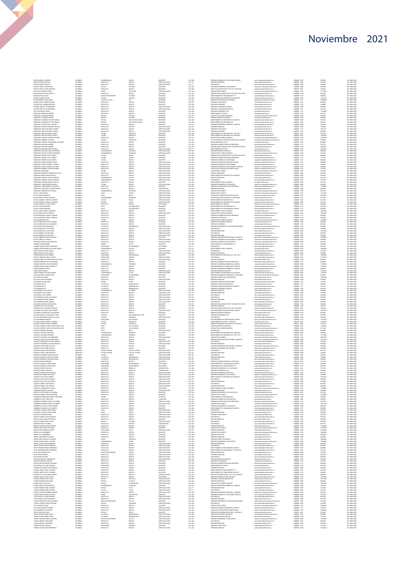|                                                                                                                                                                                                                                                                                                                                                                                                                                                | COLOMBIA                         | CUNDINAMARCA                         | SUESCA                               | MAGISTER                                | CAT_ASO                                       | PREGRADO ADMON DE LA SEGURIDAD CAMPUS                                                                                      | asso.campus@unimilitar.edu.co                                                                                                                        | 6500000 - 3093                                                       | 3010600                   | Res 2986/2020                                   |
|------------------------------------------------------------------------------------------------------------------------------------------------------------------------------------------------------------------------------------------------------------------------------------------------------------------------------------------------------------------------------------------------------------------------------------------------|----------------------------------|--------------------------------------|--------------------------------------|-----------------------------------------|-----------------------------------------------|----------------------------------------------------------------------------------------------------------------------------|------------------------------------------------------------------------------------------------------------------------------------------------------|----------------------------------------------------------------------|---------------------------|-------------------------------------------------|
|                                                                                                                                                                                                                                                                                                                                                                                                                                                | COLOMBIA<br>COLOMBIA             | BOGOTA D.C.<br><b>DOGOTA D.C.</b>    | BOGOTA<br>100017                     | ESPECIALIZACION<br>ESPECIALIZACION      | CAT_TIT<br>CAT_TIT                            | PREGRADO MEDICINA<br>ESP. MEDICAS                                                                                          | .<br>Tedicina@unimilitar.edu.co<br>post.medicina@unimilitar.edu.co                                                                                   | 6500000 - 2048<br>6500000 - 2042                                     | 5613600<br>8420400        | Res 2986/2020<br>Res 2986/2020                  |
| INCON MORA LUZ MIREYA<br>INCON SERRA OSWALDO<br>INCON SERRA OSWALDO<br>INCON VARGAS JOSE MIGUEL<br>INCON VARGAS LINDA CRISTIAM                                                                                                                                                                                                                                                                                                                 | coronan                          | <b>IOYACA</b>                        | <b>DUITAM</b>                        | <b>MAGISTER</b>                         | CAT_ASO                                       | PREGRADO INGENIERIA CIVILÍTAMENTE                                                                                          | genieria campus@unimilitatedu.c                                                                                                                      | 1500000 - 3000                                                       | 5835960                   | Res 2006/2020                                   |
| IOS VEGA CARMEN YANETH                                                                                                                                                                                                                                                                                                                                                                                                                         | COLOMBIA<br>COLOMBIA             | BOGOTA D.C.<br>CESAR                 | BOGOTA<br>RIO DE CRO                 | MAGISTER<br>ESPECIALIZACION             | CAT_ASO<br>CAT_ALD                            | PREG. RELACIONES INTER Y EST. POL. DISTANCIA<br>CONSULTORIO JURIDICO                                                       | riepdistancia@unimilitar.edu.co<br>consultorio (uridico@unimilitar.edu.co                                                                            | 7480333 - 6841<br>6500000 - 1239                                     | 7244640<br>12775360       | Res 2986/2020<br>Res 2986/2020                  |
| NTRA BAYONA JARO NICOLAS<br>NTRA BAYONA JARO NICOLAS<br>NTRA LOZANO WILSON<br>NTRA MIDINA JUAN CAMILO                                                                                                                                                                                                                                                                                                                                          | COLOMBIA<br><b>COLOMBI</b>       | BOGOTA D.C.<br>NORTE DE SANTANDE     | BOGOTA                               | MAGISTER<br>MAGISTER                    | CAT ALD                                       | PREGRADO RELACIONES INTER Y ESTUDIOS POLITICOS                                                                             | elntemal@unimiltar.edu.co<br>umanidades@unimilitar.edu.c                                                                                             | 6500000 - 1344                                                       | 8619520                   | Res 2986/2020<br>les 2986/202                   |
|                                                                                                                                                                                                                                                                                                                                                                                                                                                | COLOMBIA                         | TOLIMA                               | SALDANA                              | MAGISTER                                | CAT, ASO<br>CAT, ASO                          | DEPARTAMENTO DE HUMANIDADES ****<br>DEPARTAMENTO DE MATEMATICAS (CAMPUS)                                                   | matematicas@unimilitar.edu.cr                                                                                                                        | 6500000 - 3055                                                       | 11873160                  | Res 2986/2020                                   |
|                                                                                                                                                                                                                                                                                                                                                                                                                                                | COLOMBIA<br>COLOMBIA             | VALLE DEL CAUCA<br>BOGOTA D.C        | CALI<br>BOGOTA                       | MAGISTER<br>MAGISTER                    | CAT_AS<br>CAT_ALD                             | PREGRADO INGENIERIA MECATRONICA<br>PREGRADO CONTADURIA                                                                     | ingmecatronica@unimilitar.edu.co<br>.<br>Inteduria@unimilitar.edu.co                                                                                 | 6500000 - 1279<br>6500000 - 1313                                     | 10386800<br>4453680       | Res 2986/2020<br>Res 2986/2020                  |
| NTROS ANLA ANDRES RICARDO<br>NTROS ANLA ANDRES RICARDO<br>NTROS PRIETO LUS HERNANDO                                                                                                                                                                                                                                                                                                                                                            | COLOMBIA<br>COLOMBIA             | OGOTA D.C                            | 10001/                               | WAGISTER                                | CAT_AUX<br>CAT_AUX<br>CAT_ASO                 | PREGRADO ECONOMIA<br>PREGRADO ECONOMIA (CAMPUS)                                                                            | economia@unimilitar.edu.co<br>economia@unimilitar.edu.co                                                                                             | 4500000 - 1318<br>4500000 - 1318<br>4500000 - 1300                   |                           | les 2986/202                                    |
| INTROS PRIETO LUIS HERNANDO                                                                                                                                                                                                                                                                                                                                                                                                                    | COLOMBIA                         | BOGOTA D.C<br>BOGOTA D.C.            | BOGOTA<br>BOGOTA                     | ESPECIALIZACION<br>ESPECIALIZACION      | CAT_ASO                                       | PREGRADO CONTADURIA(CAMPUS)                                                                                                | contaduria@unimilitar.edu.cc                                                                                                                         | 6500000 - 3191                                                       | 4024800<br>7647120        | Res 2986/2020<br>Res 2986/2020                  |
| OA VEGA MIGUEL ANGEL<br>ODRIGUEZ BARRAGAN HERWEY<br>ODRIGUEZ CARDENAS EFRAN                                                                                                                                                                                                                                                                                                                                                                    | COLOMBIA                         | BOGOTA D.C                           | BOGOTA                               | MAGISTER                                | CAT_ASO                                       | PREGRADO INGENIERIA CIVIL                                                                                                  | ngcinl@unimilitar.edu.co<br>hsica@unimilitar.edu.co<br>consultorio.juridico@unim                                                                     | 6500000 - 1276                                                       | 12269440                  | Res 2986/2020                                   |
|                                                                                                                                                                                                                                                                                                                                                                                                                                                | COLOMBIA<br>COLOMBIA<br>COLOMBIA | BOGOTA D.C<br>BOYACA<br>BOYACA       | BOGOTA<br>DUITAM                     | MAGISTER<br>MAGISTER                    | CAT AS                                        | DEPARTAMENTO DE FISICA                                                                                                     |                                                                                                                                                      | 0300000 - 1523<br>0500000 - 1523<br>0500000 - 3206                   | 7647120<br>9552220        | Nes 2986/2020<br>Res 2986/2020<br>Res 2986/2020 |
| CORGUEZ CARDENAS EFRAI<br>CORGUEZ CARDENAS VICTOR HELMAN                                                                                                                                                                                                                                                                                                                                                                                       | COLOMBIA                         | BOYACA                               | <b>DUITAMA</b><br>SAN LUIS DE GACENC | MAGISTER<br>MAGISTER                    | CAT_ASO                                       | PREGRADO DERECHO(CAMPUS)<br>DEPARTAMENTO DE MATEMATICAS (CAMPUS)                                                           | derecho@unimilitar.edu.co<br>matematicas@unimilitar.edu.co                                                                                           | 6500000 - 3199<br>6500000 - 3055                                     | 7048240<br>7647120        | Res 2986/2020<br>Res 2986/2020                  |
| ODRIGUEZ CARDENAS VICTOR HELMAN                                                                                                                                                                                                                                                                                                                                                                                                                | COLOMBIA                         | BOYACA                               | SAN LUIS DE GACENO                   | MAGISTER                                | CAT_ASO                                       | DEPARTAMENTO DE MATEMATICAS                                                                                                | stematicas@unimilitar.edu.c                                                                                                                          | 6500000 - 1520                                                       | 8552700                   | Res 2986/2020                                   |
| CORNALE CHARANTE MULTIN FILLIANA<br>CORNALEZ CASTRO LEIDY JOHANNA<br>CORNALEZ FORERO FERNANDO ANCIZAR                                                                                                                                                                                                                                                                                                                                          | COLOMBIA<br>COLOMBIA             | <b>OGOTA D.C</b><br>BOGOTA D.C       | BOGOTA                               | WASTER<br>ESPECIALIZACION               | CAT ASI<br>CAT ASI                            | PREGRADO INGENIERIA AMBIENTAL (CAMPUS)<br>PREGRADO MEDICINA                                                                | ing ambiental@unimilitar.edu.cr<br>velicina@unimilitar.edu.co                                                                                        | 4500000 - 1300<br>4500000 - 3008<br>4500000 - 2048                   | 1054000                   | les 2986/202<br>Res 2986/2020                   |
| CORIGUEZ GARCIA RICARDO ALBERTO<br>ODRIGUEZ GARCIA RICARDO ALBERTO                                                                                                                                                                                                                                                                                                                                                                             | COLOMBIA<br>COLOMBIA             | BOGOTA D.C<br>BOGOTA D.C             | BOGOTA<br>BOGOTA                     | ESPECIALIZACION<br>ESPECIALIZACION      | CAT_ASO<br>CAT_ASO                            | PREGRADO CONTADURIA<br>PREGRADO ECONOMIA                                                                                   | contaduria@unimilitar.edu.co<br>conomialDunimilitar.edu.cr                                                                                           | 6500000 - 1313<br>6500000 - 1318                                     | 7647120<br>4024800        | Res 2986/2020<br>Res 2986/2020                  |
| CORGUEZ GIRALDO RONALD GENTI                                                                                                                                                                                                                                                                                                                                                                                                                   | COLOMBIA                         | TOLIMA                               |                                      | MAGISTER                                | CAT,ASO<br>CAT,ASO                            | DEPARTAMENTO DE MATEMATICAS - DIST 2013                                                                                    |                                                                                                                                                      | 7480333 - 6541                                                       | 4527000                   | Res 2986/2020                                   |
| CORGUEZ GRALDO RONALD GENTE<br>CORIGUEZ GUZMAN JOHANNA PATRICIA                                                                                                                                                                                                                                                                                                                                                                                | COLOMBIA<br>COLOMBIA             | TOLIMA<br>BOGOTA D.C.                | MARIQUITA<br>BOGOTA                  | MAGISTER<br>MAGISTER                    | CAT_AS                                        | DEPARTAMENTO DE MATEMATICAS (CAMPUS)<br>CONSULTORIO JURIDICO(CAMPUS)                                                       | matematicas@unimilitar.edu.co<br>consultorio (uridico@unimilitar.edu.co                                                                              | 6500000 - 3055<br>6500000 - 3206                                     | 1300060<br>16229500       | Res 2986/2020<br>Res 2986/2020                  |
| CORNELIST MERRERA CATALINA                                                                                                                                                                                                                                                                                                                                                                                                                     | COLOMBIA                         | CALDAS                               | MANIZALES                            | MAGISTER                                | CAT AS                                        | TEC. EN GESTION Y PRODUCCION HORTICOLA CAMPUS                                                                              | .<br>Chologia horticultura@unimilitar.edu.co                                                                                                         | 6500000 - 3183                                                       | 3709600                   | Res 2986/2020                                   |
| CORGUEZ JIMENEZ JUAN MANUEL SALVADO                                                                                                                                                                                                                                                                                                                                                                                                            | COLOMBIA                         | 1000TA D.C<br>BOGOTA D.C             | 105017<br>10501                      | MAGISTER                                | CAT, ASC                                      | PARTAMENTO DE FISICA<br>-<br>PREGRADO ADMINISTRACION DE EMPRESAS<br>PREGRADO RELACIONES INTER Y ESTUDIOS POLITICOS         | sica@unimilitar.edu.co                                                                                                                               | 1500000 - 1523                                                       | 7647120                   | les 2006/2020                                   |
| CORIGUEZ MAYORGA ANDRES<br>CORIGUEZ MAYORGA ANDRES<br>CORIGUEZ MONTAÑA FERY PATRICIA                                                                                                                                                                                                                                                                                                                                                           | COLOMBIA<br>COLOMBIA<br>COLOMBIA | BOGOTA D.C<br>BOGOTA D.C.            | BOGOTA<br>BOGOTA                     | MAGISTER<br>MAGISTER<br>ESPECIALIZACION | CAT_ASO<br>CAT_ASO<br>CAT_TIT                 | DEPARTAMENTO DE FISICA                                                                                                     | sdministracion@unimilitar.edu.co<br>velntemal@unimilitar.edu.co<br>fisica@unimilitar.edu.co                                                          | 6500000 - 1317<br>6500000 - 1344<br>6500000 - 1523                   | 4024800<br>22022200       | Res 2986/2020<br>Res 2986/2020<br>Res 2986/2020 |
| CORGUEZ OTALORA CAMILO FERNANDO                                                                                                                                                                                                                                                                                                                                                                                                                | COLOMBIA                         | CUNDINAMARCA                         | ZPAQURA                              | ESPECIALIZACION                         | CAT_ASO                                       | PREGRADO DERECHO/CAMPUS)                                                                                                   | <b>America Competitive adopted</b>                                                                                                                   | 6500000 - 3199                                                       | 4024800                   | Res 2986/2020                                   |
| CORGUEZ OTALORA CAMILO FERNANCO<br>CORGUEZ PINZON JULIO ALBERTO                                                                                                                                                                                                                                                                                                                                                                                | COLOMBIA<br>COLOMBIA             | CUNDINAMA<br>TOLIMA                  | ZPAQURA<br>IBAGUE                    | ESPECIALIZACIO<br>MAGISTER              | CAT,ASO<br>CAT,ASO                            | PREGRADO RELACIONES INTER Y ESTUDIOS POLÍTICOS                                                                             | ome.nogommma.execu<br>romsultorio juridico@unimilita<br>relinternal@unimilitar.edu.co                                                                | 6500000 - 3206<br>6500000 - 1344                                     | 6741540<br>4024800        | Res 2986/2020<br>Res 2986/2020                  |
| OTRIBUEZ PINZON JULIO ALBERTO<br>CORGUEZ PINZON JULIO ALBERTO                                                                                                                                                                                                                                                                                                                                                                                  | COLOMBIA<br>COLOMBIA             | TOLIMA<br>TOLIMA                     | IBAGUE<br>IBAGUE                     | MAGISTER<br>MAGISTER                    | CAT_ASO<br>CAT ASO                            | PREGRADO ADMINISTRACION DE EMPRESAS<br>PREGRADO ADMON DE LA SEGURIDAD                                                      | administracion@unimilitar.edu.co                                                                                                                     | 6500000-1317<br>6500000 - 1346                                       | 7647120<br>5035960        | Res 2986/2020<br>Res 2986/2020                  |
| CORGUEZ PORRAS EDWIN ANTON                                                                                                                                                                                                                                                                                                                                                                                                                     | COLOMBIA                         | 1000TA D.0                           |                                      | ESPECIALIZACION                         | CAT_AUX<br>CAT_AUX                            | PHILARADO ADMON DE LA SELORIDAD<br>TECNOLOGIA ATENCION PRE HOSPITALARIA<br>PREGRADO INGENERIA EN MULTIMEDIA                | seguridad integral@unimilitar.edu.co<br>medicina.social@unimilitar.edu.co                                                                            | 8500000-319                                                          |                           | es 2986/2020                                    |
| CORGUEZ PUERTO GABRIEL ALFONSO<br>CORGUEZ PUERTO GABRIEL ALFONSO                                                                                                                                                                                                                                                                                                                                                                               | COLOMBIA<br>COLOMBIA             | BOGOTA D.C<br>BOGOTA D.C.            | BOGOTA<br>BOGOTA                     | ESPECIALIZACION<br>ESPECIALIZACION      | CAT_ALD                                       | PREGRADO INGENIERIA DE MULTIMEDIA (CAMPUS)                                                                                 | ingmultimedia@unimilitar.edu.co<br>ingenieria.campus@unimilitar.edu.cc                                                                               | 6500000 - 1293<br>6500000 - 3247                                     | 4453680<br>2308800        | Res 2986/2020<br>Res 2986/2020                  |
| CORGUEZ RAMIREZ CARLOS EDUARDO                                                                                                                                                                                                                                                                                                                                                                                                                 | COLOMBIA                         | BOGOTA D.C.                          | BOGOTA                               | ESPECIALIZACION                         |                                               | TECNOLOGIA ATENCION PRE HOSPITALARIA                                                                                       | nedicina.social@unimilitar.edu.co                                                                                                                    | 6500000 - 3197                                                       | 1539200                   | Res 2986/2020                                   |
| INGUEZ ROAMARIA<br>INGUEZ ROAMARIA<br>INGUEZ RODINGUEZ ANDREA DEL PILAR                                                                                                                                                                                                                                                                                                                                                                        | COLOMBIA<br>COLOMBIA             | TOLIMA<br>BOGOTA D.C.                | BOGOT.                               | ESPECIALIZACION<br>ESPECIALIZACION      | CAT_ALK<br>CAT_ALK<br>CAT_ASO                 | CONSULTORIO JURIDICO<br>PREGRADO MEDICINA                                                                                  | .<br>consultata juridica@u<br>nedicina@unimilitar.edu.co                                                                                             | 4500000 - 1229<br>4500000 - 1229<br>4500000 - 2048                   | 3010600                   | Res 2986/202<br>Res 2986/2020                   |
| CORSGUEZ RUEDA OMAR VIRGILIO<br>CORIGUEZ SABOGAL CARLOS ALBERTO                                                                                                                                                                                                                                                                                                                                                                                | COLOMBIA<br>COLOMBIA             | BOGOTA D.C.<br>CUNDINAMARCA          | BOGOTA<br>GUASCA                     | ESPECIALIZACION<br>ESPECIALIZACION      | CAT_ASO<br>CAT_ALD                            | DEPARTAMENTO DE MATEMATICAS (CAMPUS)<br>PREGRADO MEDICINA                                                                  | matematicas@unimilitar.edu.co<br>nedicina@unimilitar.edu.co                                                                                          | 6500000 - 3055<br>6500000 - 2048                                     | 3010600<br>2616640        | Res 2986/2020<br>Res 2986/2020                  |
| ODRIGUEZ SABOGAL CARLOS ALBERTO                                                                                                                                                                                                                                                                                                                                                                                                                | COLOMBIA                         | CUNDITIAMARCA                        | GUASCA                               | ESPECIALIZACION                         | CAT ALD                                       | ESP. MEDICAS                                                                                                               | cost.medicina@unimilitar.edu.co                                                                                                                      | 6500000 - 2042                                                       | 2077920                   | Res 2986/2020                                   |
| CORNING SHECKE CHALG PLEAR<br>CORNING SALGADO EDGAR AUGUSTO<br>CORNING TORRES INGRID ADRIANA                                                                                                                                                                                                                                                                                                                                                   | COLOMBIA<br>COLOMBIA             | 1000TA D.C.<br>TOLIMA                | BOGOT.<br>ROVIEA                     | MGISTER<br>ESPECIALIZACION              | CAT, ASO<br>CAT, ASO                          | DEPARTAMENTO FISICA (CAMPUS)<br>PREGRADO INGENIERIA CIVIL(CAMPUS)                                                          | isca@unimilitar.edu.co                                                                                                                               | 1500000-3053<br>6500000 - 3008                                       | 7647120<br>3010600        | les 2006/2020<br>Res 2986/2020                  |
| CORGUEZ TORRES MONICA CONSUELD                                                                                                                                                                                                                                                                                                                                                                                                                 | COLOMBIA<br>COLOMBIA             | BOGOTA D.C.<br>BOGOTA D.C.           | BOGOTA<br>BOGOTA                     | MAGISTER<br>UNIVERSITARIO               | CAT_ASO                                       | PREGRADO ADMINISTRACION DE EMPRESAS<br>PREGRADO MEDICINA                                                                   | ingenieria.campus@unimilitar.edu.co<br>administracion@unimilitar.edu.co                                                                              | 6500000-1317<br>6500000 - 2048                                       | 11269440<br>3078400       | Res 2986/2020<br>Res 2986/2020                  |
| CORGUEZ VELASQUEZ JAVER OSWALDO<br>ODRIGUEZ VENDIÇOSE JAVIER OD<br>ODRIGUEZ VENDIGAS IVETH MARIA<br>OJAS JUAN MANUEL                                                                                                                                                                                                                                                                                                                           | COLOMBIA<br>COLOMBIA             |                                      |                                      | SPECIALIZACIO                           | CAT_ALK<br>CAT_ALK<br>CAT_ALK                 | CONSULTORIO JURISICO                                                                                                       | medicina@unimilitar.edu.co<br>consultorio.juridico@unimilitar.edu.co                                                                                 | 4500000 - 1239<br>4500000 - 1239<br>4500000 - 1239                   |                           | Res 2986/202                                    |
| <b>CJAS ARDEA MAGNOLIA</b>                                                                                                                                                                                                                                                                                                                                                                                                                     | COLOMBIA                         | CUNCO<br>HULA<br>HULA                | ZPAQURA<br>TARQUI<br>NEIVA           | ESPECIALIZACION<br>ESPECIALIZACION      | CAT_ALDO                                      | TECNOLOGIA ATENCION PRE HOSPITALARIA                                                                                       | onsultorio juridico@unimilitar.edu.ci<br>medicina.social@unimilitar.edu.co                                                                           | 6500000 - 3197                                                       | 1277536<br>3078400        | Res 2986/2020<br>Res 2986/2020                  |
|                                                                                                                                                                                                                                                                                                                                                                                                                                                | COLOMBIA                         | CUNDIT<br>anca                       | <b>ZPAQURA</b>                       | ESPECIALIZACION                         | CAT_ALD                                       | TECNOLOGIA EN CONTABILIDAD Y TRIBUTARIA                                                                                    | ontaduria@unimilitar.edu.co                                                                                                                          | 6500000 - 3191                                                       | 9312160                   | Res 2986/2020                                   |
| OJAS BONELA MARCO ANTONIO<br>OJAS DONELA MARCO ANTONIO<br>OJAS CAMARGO JORGE ALEJANDRO                                                                                                                                                                                                                                                                                                                                                         | coLoMBV<br>COLOMBIA              | <b>DOYACA</b><br>BOYACA              | TUNLIA<br><b>TUNJA</b>               | SPECIALIZACIO<br>ESPECIALIZACION        | CAT_AUX<br>CAT_AUX                            | DEPARTAMENTO DE MATEMATICAS<br>DEPARTAMENTO DE MATEMATICAS                                                                 | consuanzystemma.ess.co<br>matematicas@unimilitar.edu.co<br>matematicas@unimilitar.edu.co                                                             | 1500000-1520<br>6500000 - 3055                                       | 8157760                   | Res 2006/2020<br>Res 2986/2020                  |
| CJAS CARABALLO JOSE VICENTE                                                                                                                                                                                                                                                                                                                                                                                                                    | COLOMBIA<br>COLOMBIA             | BOGOTA D.C.<br><b>HULA</b>           | BOGOTA<br>SALADOBLANCO               | DOCTORADO<br>MAGISTER                   | CAT_ASO<br>CAT ASC                            | DEPARTAMENTO DE QUIMICA<br>DEPARTAMENTO DE HUMANIDADES ***                                                                 | departamento quimica@unimilitar.edu.co                                                                                                               | 6500000 - 1526<br>6500000 - 3179                                     | 9458280<br>2012400        | Res 2986/2020<br>Res 2986/2020                  |
| OJAS CLAROS ARMANDO<br>OJAS CLAROS ARMANDO<br>OJAS CUERVO ARGELA MARCELA<br>OJAS GARCIA DIANA YANNIETH                                                                                                                                                                                                                                                                                                                                         | COLOMBIA                         | HULA                                 | SALADOBLANCO                         | MAGISTER                                | CAT_ASO                                       | DEPARTAMENTO DE HUMANIDADES CAMPUS                                                                                         | .<br>urranidades@unimilitar.edu.co<br>urranidades@unimilitar.edu.co                                                                                  | 6500000 - 3179                                                       | 5835960                   | Res 2986/2020                                   |
|                                                                                                                                                                                                                                                                                                                                                                                                                                                | COLOMBIA<br>COLOMBIA             | EOGOTA D.C<br>BOGOTA D.C             | BOGOTA                               | WAGISTER<br>ESPECIALIZACION             | CAT ASI<br>CAT ASI                            | DEPARTAMENTO FISICA (CAMPUS)<br>CONSULTORIO, JURIDIOO(CAMPUS)                                                              | isca@unimilitar.edu.co<br>onsultorio juridico@uni                                                                                                    | 4500000 - 3053<br>4500000 - 3053<br>4500000 - 3206                   | 12890860<br>10697440      | les 2986/202<br>Res 2986/2020                   |
| CJAS MARTINEZ JAZMITH ADRIAN                                                                                                                                                                                                                                                                                                                                                                                                                   | COLOMBIA<br>COLOMBIA             | BOGOTA D.C<br><b>DOGOTA D.C</b>      | BOGOTA<br>BOGOTA                     | MAGISTER<br>MAGISTER                    | CAT_ASO<br>CAT ASC                            | PREGRADO ADMINISTRACION DE EMPRESAS<br>PREGRADO CONTADURIA                                                                 | administracion@unimilitar.edu.co<br>ontaduria@unimilitar.edu.co                                                                                      | 6500000-1317<br>6500000 - 1313                                       | 4024800<br>4024800        | Res 2986/2020<br>Res 2986/2020                  |
| OJAS MARTINEZ JAZMITH ADRIANA<br>OJAS MOLINA NELSON<br>OJAS PARDO NICOLAS ALEJANDRO                                                                                                                                                                                                                                                                                                                                                            | coLoMBV                          | TOLIMA                               | BAGUE                                | MAGISTER                                | CAT, ASI                                      |                                                                                                                            | preudonto juridico@unimit                                                                                                                            | 1500000-3206                                                         | 1539484                   | Res 2006/2020                                   |
| QJAS PARDO NICOLAS ALEJANDRO                                                                                                                                                                                                                                                                                                                                                                                                                   | COLOMBIA<br>COLOMBIA             | BOGOTA D.C<br>BOGOTA D.C.            | BOGOTA<br>BOGOTA                     | MAGISTER<br>MAGISTER                    | CAT_ASO<br>CAT_ASO                            | PREGRADO ECONOMIA (CAMPUS)<br>PREGRADO ECONOMIA (CAMPUS)<br>PREGRADO ECONOMIA                                              | economia@unimilitar.edu.co<br>conomialiunimilitar.edu.co                                                                                             | 6500000 - 1300<br>6500000 - 1318                                     | 0640920<br>8552700        | Res 2986/2020<br>Res 2986/2020                  |
|                                                                                                                                                                                                                                                                                                                                                                                                                                                | COLOMBIA                         | ATLANTICO                            | BARRANDULLA                          | ESPECIALIZACION                         | CAT ASC                                       | PRECISION INCOMERNA DE TELECOMINICACIONES                                                                                  | <b>China actual</b>                                                                                                                                  | 6500000 - 1282                                                       | 3010600                   | Res 2986/2020                                   |
| OJAS REALES WILSON MAURO<br>OJAS REALES WILSON MAURO<br>OJAS REDRIGUEZ LUIS CARLOS                                                                                                                                                                                                                                                                                                                                                             | COLOMBIA<br>COLOMBIA             | 1000TA D.C<br>BOGOTA D.C             | 105014<br>BOGOTA                     | SPECIALIZACION<br>ESPECIALIZACION       | CAT, ALD<br>CAT_ALD                           | ESP. MEDICAS<br>PREGRADO MEDICINA                                                                                          | post.medicina@unimilitar.edu.co<br>nedicina@unimilitar.edu.co                                                                                        | 1500000-2042<br>6500000 - 2048                                       | 3594081<br>1077440        | Res 2006/2020<br>Res 2986/2020                  |
| CUAS ROMERO LUIS ORLANDO                                                                                                                                                                                                                                                                                                                                                                                                                       | COLOMBIA<br>COLOMBIA             | BOGOTA D.C<br>BOGOTA D.C             | BOGOTA<br>BOGOTA                     | ESPECIALIZACION                         | CAT_ASO                                       | ESP. MEDICAS<br>perceano Minicina                                                                                          | post.medicina@unimilitar.edu.co<br>coubs satimization and                                                                                            | 6500000 - 2042<br>6500000 - 2048                                     | 4829760<br>4024800        | Res 2986/2020<br>Res 2986/2020                  |
| OURS ROMERO LUIS ORLANDO<br>OURS SARMENTO DIEGO ALFONSO<br>OURS TORRES LIZ VISELTH<br>OLDAN BOLAÑOS JHON SEBASTIAN                                                                                                                                                                                                                                                                                                                             | COLOMBIA                         | <b>DOGOTA D.C</b>                    | 100017                               | ESPECIALIZACION<br>MAGISTER             | CAT_ASO<br>CAT_ALIX<br>CAT_ALIX               | PREGRADO INGENIERIA MECATRONICA (CAMPUS)                                                                                   |                                                                                                                                                      | 6500000 - 3009                                                       |                           | Res 2986/2020                                   |
|                                                                                                                                                                                                                                                                                                                                                                                                                                                | coLoMBV<br>COLOMBIA              | OGOTA D.C<br>BOGOTA D.C.             | 102017                               | ESPECIALIZACION                         | CAT_ALD                                       | PREGRADO INGENERIA DE MULTIMEDIA (CAMPUS)<br>PREGRADO INGENERIA DE MULTIMEDIA (CAMPUS)<br>PREGRADO INGENERIA CIVIL(CAMPUS) | rmocatronica.compus@unimilitar.edu.co<br>Ingenieria.compus@unimilitar.edu.co<br>Ingenieria.compus@unimilitar.edu.co<br>humanidades@unimilitar.edu.co | 6500000-3247<br>6500000 - 3008                                       | <b>CORRECC</b><br>4453680 | Res 2006/2020                                   |
|                                                                                                                                                                                                                                                                                                                                                                                                                                                | COLOMBIA                         | NARNO                                | BOGOTA<br>PASTO                      | ESPECIALIZACION<br>MAGISTER             | CAT_ASO                                       | DEPARTAMENTO DE HUMANIDADES ***                                                                                            |                                                                                                                                                      | 6500000 - 3179                                                       | 4024800                   | Res 2986/2020<br>Res 2986/2020                  |
| CMERO OTERO GERMAN<br>CMERO SANCHEZ MARIA CONSULTO<br>CMERO SUAREZ BORIS CRISTHIAN CAMEO<br>CMO ARTEAGA DIANA CAMILA                                                                                                                                                                                                                                                                                                                           | COLOMBIA<br>cocovery             | SANTANDER                            | <b>BUCARAMANGA</b><br>SOACHA         | DOCTORADO<br><b>MAGISTER</b>            | CAT TIT                                       | ESP. MEDICAS<br>DEPARTAMENTO FISICA (CAMPUS)                                                                               | ost.medicin<br>isca@unimilitar.edu.co                                                                                                                | 6500000 - 2042<br>1500000-3053                                       | 6736320                   | Res 2986/2020<br>Res 2006/2020                  |
|                                                                                                                                                                                                                                                                                                                                                                                                                                                | COLOMBIA                         | BOGOTA D.C.                          | BOGOTA                               | ESPECIALIZACION                         | CAT_ASI<br>CAT_AUX                            | ESP. MEDICAS                                                                                                               | post.medicina@unimilitar.edu.co                                                                                                                      | 6500000 - 2042                                                       | 1847040                   | Res 2986/2020                                   |
| CMO ARTEAGA DIANA CAMILA                                                                                                                                                                                                                                                                                                                                                                                                                       | COLOMBIA<br>COLOMBIA             | BOGOTA D.C.<br>SANTANDER             | BOGOTA<br><b>BUCARAMANGA</b>         | ESPECIALIZACION<br>MAGISTER             | CAT_ALD<br>CAT ASC                            | PREGRADO MEDICINA<br>DEPARTAMENTO DE MATEMATICAS - DIST 2013                                                               | medicina@unimilitar.edu.co<br>matematicas@unimilitar.edu.cr                                                                                          | 6500000 - 2048<br>7400333 - 6841                                     | 3078400<br>16300440       | Res 2986/2020<br>Res 2986/2020                  |
|                                                                                                                                                                                                                                                                                                                                                                                                                                                | COLOMBIA<br>COLOMBIA             |                                      | CENAGA                               | ESPECIALIZACIO                          | CAT_AUX<br>CAT_AUX                            | ESP. MEDICAS<br>FREGRADO DERECHO                                                                                           | post.medicina@unimilitar.edu.co                                                                                                                      | 0500000-2042<br>0500000-1244                                         | 477632                    | les 2986/2020<br>Res 2986/2020                  |
| OMO ARTIFALA KUAN CANILA<br>OPIERO RUESA PAGLA ANEREA<br>OPIERO RUESA PAGLA ANEREA<br>UNIVA CABINALES OMAR ULPIANO<br>URIANOT MORERO LUCIA ESPERANZA<br>URIANOT MORENA OSCAR GERAREO<br>URIAO FERMANDEZ DIEGO<br>URIO FERMANDEZ DIEGO<br>URIO FERMANDE                                                                                                                                                                                         | COLOMBIA                         | BOGOTA D.C<br>BOGOTA D.C.            | BOGOTA<br>BOGOTA                     | ESPECIALIZACION<br>MAGISTER             | CAT_ASO                                       | PREGRADO ADMINISTRACION DE EMPRESAS                                                                                        | erecho@unimilitar.edu.co<br>administracion@unimilitar.edu.co                                                                                         | 6500000-1317                                                         | 5848960<br>4024800        | Res 2986/2020                                   |
|                                                                                                                                                                                                                                                                                                                                                                                                                                                | COLOMBIA                         | <b>CUNDINAMARCA</b>                  | <b>ZPAQURA</b>                       | MAGISTER<br>HAGISTER                    | CAT_ALK<br>CAT_ALK<br>CAT_ASO                 | REGRADO INGENERIA BIOMEDICA (CAMPUS)                                                                                       | ing biomedica@unimilitar.edu.co<br>seccion.bienestas@unimilitar.edu.<br>ing ambiental@unimilitar.edu.co                                              | 6500000 - 3008                                                       | 11290000                  | Res 2986/2020                                   |
|                                                                                                                                                                                                                                                                                                                                                                                                                                                | COLOMBIA                         | BOGOTA D.C.<br>BOGOTA D.C.           |                                      |                                         |                                               | PREGRADO INVENERIA BIOMELILA (LANFU)<br>SECCION BIENESTAR UNIVERSITARIO CAMPU<br>PREGRADO INGENIERIA AMBIENTAL (CAMPU)     |                                                                                                                                                      | 4500000 - 3310<br>4500000 - 3310                                     | 11082240<br>4024800       | Res 2986/2020<br>Res 2986/2020                  |
| UEDA RAMIREZ CRISTIAN GABRIEL                                                                                                                                                                                                                                                                                                                                                                                                                  | COLOMBIA<br>COLOMBIA             | BOGOTA D.C.<br><b>CUNDINAMARCA</b>   | BOGOTA<br>CAJICA                     | ESPECIALIZACION<br>ESPECIALIZACION      | CAT_ASO<br>CAT_ASO                            | PREGRADO DERECHO(CAMPUS)<br>DEPARTAMENTO DE MATEMATICAS (CAMPUS)                                                           | derecho@unimilitar.edu.co<br>matematicas@unimilitar.edu.co                                                                                           | 6500000 - 3199<br>6500000 - 3055                                     | 12986180<br>11269440      | Res 2986/2020<br>Res 2986/2020                  |
| UEDA SANADRIA JORGE DANILO<br>UEDA SANADRIA JORGE DANILO<br>UE AVILA HECTOR ANDRES                                                                                                                                                                                                                                                                                                                                                             | COLOMBIA                         | SANTANDER<br>1000TA D.0              | <b>BUCARAMANGA</b><br>80GOTA         | MAGISTER<br>MAGISTER                    | CAT ASO                                       | PREGRADO INGENIERIA INFORMATICA A DISTANCIA                                                                                | informatica.distancia@unimilitar.edu.co                                                                                                              | 6500000 - 8001<br>1500000 - 1060                                     | 8150220                   | Res 2986/2020<br>les 2986/202                   |
|                                                                                                                                                                                                                                                                                                                                                                                                                                                | COLOMBIA<br>COLOMBIA             | BOGOTA D.C.                          | BOGOTA                               | ESPECIALIZACION                         | CAT, ASO<br>CAT, ASO                          | DIVISION DE BIENESTAR UNIVERSITARIO<br>PREGRADO MEDICINA                                                                   |                                                                                                                                                      | 6500000 - 2040                                                       | 3924960                   | Res 2986/2020                                   |
| UZ HIDALGO NAN DARIO<br>UZ MARIN WILLIS<br>UZ MARIN WILLIS<br>UZ MARIN WILLIS                                                                                                                                                                                                                                                                                                                                                                  | COLOMBIA<br>COLOMBIA             | NARNO<br>ATLANTICO                   | PASTO<br>BARRANDULLA                 | MAGISTER<br>MAGISTER                    | CAT_ALD                                       | PREGRADO INGENERIA MECATRONICA<br>PREGRADO CONTADURIA/CAMPUS)                                                              | ingmecatronica@unimilitar.edu.co<br>ontaduria@unimilitar.edu.co                                                                                      | 6500000 - 1279<br>6500000 - 3191                                     | 7234240<br>4024800        | Res 2986/2020<br>Res 2986/2020                  |
|                                                                                                                                                                                                                                                                                                                                                                                                                                                | COLOMBIA                         | ATLANTICO                            | <b>LARRANQUELL</b>                   | MACHTER                                 | CAT_ASO<br>CAT_ASO<br>CAT_ASO                 | PREGRADO ADMON DE EMPRESAS (CAMPUS                                                                                         |                                                                                                                                                      | 6500000 - 1317                                                       | 7647120                   | Res 2006/2020                                   |
|                                                                                                                                                                                                                                                                                                                                                                                                                                                | COLOMBIA<br>COLOMBIA             | ATLANTICO<br>CUNDINAMARCA            | <b>BARRANQUELLA</b><br>EL PENON      | MAGISTER<br>ESPECIALIZACION             | CAT_ALD                                       | PREGRADO ECONOMIA (CAMPUS)<br>PREGRADO DERECHO                                                                             | economia@unimilitar.edu.co<br>derecho@unimilitar.edu.co                                                                                              | 6500000 - 1300<br>6500000 - 1244                                     | 6741540<br>3078400        | Res 2986/2020<br>Res 2986/2020                  |
| UIZ QUIROGA LUIS AUGUSTO<br>UIZ ROBLES LUIS ALBERTO<br>UIZ ROBLES LUIS ALBERTO                                                                                                                                                                                                                                                                                                                                                                 | COLOMBIA<br>coLoMBV              | BOGOTA D.C.<br><b>IOGOTA D.C</b>     | BOGOTA<br>105017                     | ESPECIALIZACION<br>SPECIALIZACION       | CAT AS<br>CAT, ASI                            | PREGRADO MEDICINA<br>ESP. MEDICAS                                                                                          | edicina@unimilitar.edu.co<br>post.medicina@unimilitar.edu                                                                                            | 6500000 - 2048<br>6500000-2042                                       | 3709600<br>5564400        | Res 2986/2020<br>Res 2006/2020                  |
| UZ RODRGUEZ DIANA ALEJANDRA<br>UZ RODRGUEZ UREL ANDRES                                                                                                                                                                                                                                                                                                                                                                                         | COLOMBIA<br>COLOMBIA             | BOGOTA D.C                           | 10501                                | ESPECIALIZACION<br>ESPECIALIZACION      | CAT_ALX<br>CAT_ASO                            | ESP. MEDICAS<br>PREGRADO MEDICINA                                                                                          | post.medicina@unimilitar.edu.co<br>medicina@unimilitar.edu.co                                                                                        | 6500000 - 2042<br>6500000 - 2048                                     | 3694080<br>6037200        | Res 2986/2020<br>Res 2986/2020                  |
| UZ RODRIGUEZ UREL ANDRES                                                                                                                                                                                                                                                                                                                                                                                                                       | COLOMBIA                         | <b>SOGOTA D.C</b><br>BOGOTA D.C.     | 10501/<br>BOGOTA                     | ESPECIALIZACION                         | CAT_ASO                                       | ESP. MEDICAS                                                                                                               | post.medicina@unimilitar.edu.co                                                                                                                      | 6500000 - 2042                                                       | 2414880                   | Res 2986/2020                                   |
| AAVEDRA RAMIREZ LUIS EDUARDO<br>AAVEDRA ROA JOSE EDUARDO<br>AENZ BOJACA JOHANNA CAROUNA                                                                                                                                                                                                                                                                                                                                                        | COLOMBIA                         | BOGOTA D.C<br><b>DOGOTA D.</b>       | BOGOTA<br>socoti                     | MAGISTER<br>MACKTER                     | CAT_ASI<br>CAT_ASI<br>CAT_ASI                 | REGRADO RELACIONES INTER Y ESTUDIOS POLITICOS                                                                              | internal@unimilitat.edu.co                                                                                                                           | 6500000 - 1344                                                       | 7048240                   | Res 2986/2020                                   |
|                                                                                                                                                                                                                                                                                                                                                                                                                                                | COLOMBIA<br>COLOMBIA             | BOGOTA D.C                           | BOGOTA                               | MAGISTER                                |                                               | PREG. RELACIONES INTER Y EST. POL. DISTANCIA                                                                               | derecho@unimilitar.edu.co<br>riepdistancia@unimilitar.edu.ci                                                                                         | 6500000 - 1244<br>5500000 - 1244<br>7480333 - 6841                   | 7647120<br>7244640        | Res 2006/2020<br>Res 2986/2020                  |
| OZISTA AZOL ODKIAJNA AJMANA<br>ALAMANCA RODRIGUEZ LUIS EDUARDO                                                                                                                                                                                                                                                                                                                                                                                 | COLOMBIA<br>COLOMBIA             | BOGOTA D.C<br>BOGOTA D.C             | BOGOTA<br>BOGOTA                     | ESPECIALIZACION<br>MAGISTER             | CAT_ALD<br>CAT ASC                            | SECCION BENESTAR UNIVERSITARIO CAMPUS<br>PREGRADO DERECHO/CAMPUS)                                                          | seccion.blenestar@unimilitar.edu.co<br>erecho@unimilitar.edu.co                                                                                      | 6500000 - 3310<br>6500000 - 3199                                     | 12467520<br>4024800       | Res 2986/2020<br>Res 2986/2020                  |
| ALAMANCA ROSRIEUEZ LUS ETUARDO<br>ALAZAR MISHER AZUCENA DEL PEAR<br>ALAZAR MISHEMUZZ MARTHA LILIANA<br>ALAZAR SUAREZ FRANCIA LEONORA<br>ALAZAR SUAREZ FRANCIA LEONORA<br>ALAZAR SUAREZ FRANCIA LEONORA<br>ALAZAR SUAREZ FRANCIA LEONORA<br>ALAZAR S                                                                                                                                                                                            | COLOMBIA                         | CAQUETA                              | SAN VICENTE DEL CAGL                 | MAGISTER                                | CAT, ASC                                      | PREGRADO INGENIERIA CIVI                                                                                                   | ingcirilgamman easco<br>ingcirilgammiltar.edu.co<br>post.medicina@unimilitar.edu.co                                                                  | 6500000-1276                                                         | 3318600                   | Res 2006/2020                                   |
|                                                                                                                                                                                                                                                                                                                                                                                                                                                | COLOMBIA<br>COLOMBIA             | CAQUETA<br>SANTANDER                 | <b>FLORENCIA</b><br>MUDACL MAZ       | ESPECIALIZACION<br>MAGISTER             | CAT_ASO<br>CAT_ASO                            | ESP. MEDICAS<br>SECCION BENESTAR UNIVERSITARIO CAMPUS                                                                      | seccion bienestar@unimilitar.edu.co                                                                                                                  | 6500000 - 2042<br>6500000 - 3310                                     | 2414880<br>12678120       | Res 2986/2020<br>Res 2986/2020                  |
|                                                                                                                                                                                                                                                                                                                                                                                                                                                | COLOMBIA                         | CALDAS                               | MANIZALES                            | MAGISTER                                | CAT ASC                                       | DEPARTAMENTO DE FISICA - DISTANCIA                                                                                         | fisica@unimilitar.edu.co                                                                                                                             | 7400333 - 6841                                                       | 13583700                  | Res 2986/2020                                   |
|                                                                                                                                                                                                                                                                                                                                                                                                                                                | COLOMBIA<br>COLOMBIA             | CALDAS<br>META                       | MANIZALES<br>VILLAMOINDE             | MAGISTEI<br>MAGISTER                    | CAT,ASO<br>CAT,ASO                            | PREGRADO INGENERIA INDUSTRIAL A DISTANCIA<br>PREGRADO DERECHO(CAMPUS)                                                      | distancia@unimilitar.edu.co<br>derecho@unimilitar.edu.co                                                                                             | 7480333 - 6841<br>5480333 - 6841<br>6500000 - 3199                   | 2716740<br>1126944        | Res 2986/202<br>Res 2986/2020                   |
| $\begin{split} &\text{ALG}(\mathcal{L}_1) = \mathcal{L}_2(\mathcal{L}_2) = \mathcal{L}_3(\mathcal{L}_3) = \mathcal{L}_4(\mathcal{L}_4) = \mathcal{L}_5(\mathcal{L}_5) = \mathcal{L}_5(\mathcal{L}_5) = \mathcal{L}_5(\mathcal{L}_5) = \mathcal{L}_5(\mathcal{L}_5) = \mathcal{L}_5(\mathcal{L}_5) = \mathcal{L}_5(\mathcal{L}_5) = \mathcal{L}_5(\mathcal{L}_5) = \mathcal{L}_5(\mathcal{L}_5) = \mathcal{L}_5(\mathcal{L}_5) = \mathcal{L}_5$ | COLOMBIA<br>COLOMBIA             | META<br>HULA                         | VILLAWIDINGIO<br>NEIVA               | MAGISTER<br>ESPECIALIZACION             | CAT_ASO<br>CAT_ALD                            | CONSULTORIO JURIDICO(CAMPUS)<br>ESP. MEDICAS                                                                               | consultorio (uridico@unimilitar.edu.co<br>post.medicina@unimilitar.edu.co                                                                            | 6500000 - 3206<br>6500000 - 2042                                     | 6741540<br>3694080        | Res 2986/2020<br>Res 2986/2020                  |
|                                                                                                                                                                                                                                                                                                                                                                                                                                                | COLOMBIA                         | CUNDIN<br>MADCA<br>CUNDINAMARO       | GIRARDOT<br>CIRARDO                  | MAGISTER<br>MAGISTER                    | CAT ASC                                       | DEDUCT AMENTO DE MATEMATICAS (CAMPUS)<br>CEPARTAMENTO DE MATEMATICAS - DIST 2013                                           | demotives Europeaktor edu ve                                                                                                                         | 6500000 - 3055                                                       | 3010600                   | Res 2986/2020                                   |
|                                                                                                                                                                                                                                                                                                                                                                                                                                                | COLOMBIA<br>COLOMBIA             | BOGOTA D.C.                          | BOGOTA                               | ESPECIALIZACION                         | CAT, ASC<br>CAT_ALD                           | CONSULTORIO JURIDICO                                                                                                       | ratematicas@unimilitar.edu.cr<br>consultorio (uridico@unimilitar.edu.ci                                                                              | 7480333 - 6841<br>6500000 - 1239                                     | 1177254<br>10697440       | Res 2006/2020<br>Res 2986/2020                  |
|                                                                                                                                                                                                                                                                                                                                                                                                                                                | COLOMBIA<br>COLOMBIA             | BOGOTA D.C.<br>BOGOTA D.C.           | BOGOTA<br>BOGOTA                     | MAGISTER<br>ESPECIALIZACION             | CAT_AS<br>CAT_ASO                             | PREGRADO INGENIERIA MECATRONICA (CAMPUS)<br>ESP. MEDICAS                                                                   | mecatronica.campus@unimilitar.edu.co<br>post.medicina@unimilitar.edu.co                                                                              | 6500000 - 3009<br>6500000 - 2042                                     | 11221540<br>4829760       | Res 2986/2020<br>Res 2986/2020                  |
|                                                                                                                                                                                                                                                                                                                                                                                                                                                | COLOMBIA<br>COLOMBIA             | 1000TA D.0                           |                                      | ESPECIALIZACION                         | CAT,ASO<br>CAT,ASO                            | PREGRADO MEDICINA<br>PREGRADO INGENIERIA MECATRONICA (CAMPUS)                                                              | edicina@unimiltar.edu.co                                                                                                                             | 1500000-2040                                                         |                           | Res 2986/202                                    |
|                                                                                                                                                                                                                                                                                                                                                                                                                                                | COLOMBIA                         | BOGOTA D.C<br>BOGOTA D.C.            | BOGOTA<br>BOGOTA                     | MAGISTER<br>MAGISTER                    | CAT_ASO                                       | PREGRADO INGENIERIA MECATRONICA                                                                                            | mecatronica.campus@unimilitar.edu.co<br>ingmecatronica@unimilitar.edu.co                                                                             | 6500000 - 3009<br>6500000 - 1279                                     | 4024800<br>9458280        | Res 2986/2020<br>Res 2986/2020                  |
|                                                                                                                                                                                                                                                                                                                                                                                                                                                | VENEZUELA                        | ESTADO TACHIN                        | CAPITAL TACHIN                       | ESPECIALIZACION                         | CAT_AS                                        | ESP. MEDICAS                                                                                                               | ost.medicina@unimilitar.edu.co                                                                                                                       | 6500000 - 2042                                                       | 4451520                   | Res 2986/2020                                   |
|                                                                                                                                                                                                                                                                                                                                                                                                                                                | mazu<br>COLOMBIA                 | <b>ISTADO TACHIRA</b><br>TOLIMA      | <b>APITAL TACHIN</b><br>LIBANO       | ESPECIALIZACION<br>ESPECIALIZACION      | CAT AS                                        | PREGRADO MEDICINA<br>ESP. MEDICAS                                                                                          | edicina@unimilitar.edu.co<br>post.medicina@unimilitar.edu.co                                                                                         | 4500000 - 2048<br>4500000 - 2048<br>4500000 - 2042                   | 3694080                   | les 2986/202<br>Res 2986/2020                   |
|                                                                                                                                                                                                                                                                                                                                                                                                                                                | COLOMBIA                         | ATLANTICO<br>ATLANTICO               | BARRANQUILLA<br>BARRANDULLA          | ESPECIALIZACION<br>ESPECIALIZACION      | CAT_AS                                        | PREGRADO MEDICINA                                                                                                          | coupe satimitized artistic<br>ost.medicina@unimilitar.edu.co                                                                                         | 6500000 - 2048                                                       | 1054000<br>5564400        | Res 2986/2020<br>Res 2986/2020                  |
|                                                                                                                                                                                                                                                                                                                                                                                                                                                | COLOMBIA<br>COLOMBIA             | BOGOTA D.C                           | BOGOTA                               | MAGISTER                                | CAT_ASI<br>CAT_ASO                            | ESP: MEDICAS<br>PREGRADO ADMON SEGURIDAD A DISTANCIA                                                                       | aso datancia@unimilitar.edu.ca                                                                                                                       | 6500000 - 2042<br>7480333 - 6841                                     | 2716740                   | Res 2986/2020                                   |
|                                                                                                                                                                                                                                                                                                                                                                                                                                                | COLOMBIA                         | SANTANDER                            | <b>BUCARAMANGA</b>                   | DOCTORADO                               | CAT,ASO<br>CAT,ASO                            | DEPARTAMENTO DE HUMANIDADES CAMPUS<br>DEPARTAMENTO DE HUMANIDADES ****                                                     | .<br>umanidades@unimilitar.edu.ca<br>umanidades@unimilitar.edu.cr                                                                                    | 1500000-317<br>6500000 - 3179                                        | 4024800                   | les 2986/202<br>Res 2986/2020                   |
|                                                                                                                                                                                                                                                                                                                                                                                                                                                | COLOMBIA<br>COLOMBIA             | <b>ANTIOQUIA</b><br><b>ANTIOCULA</b> | MEDELLIN<br>MEDELLIN                 | UNIVERSITARIO<br>UNIVERSITARIO          | CAT_ASO<br>CAT ASO                            | PREGRADO INGENIERIA CIVIL A DISTANCIA<br>PREGRADO INGENIERIA CIVIL                                                         | icdistancia@unimilitar.edu.co<br>nochritis<br><b>Includes advices</b>                                                                                | 7480333 - 6841<br>6500000 - 1276                                     | 2716740<br>3010600        | Res 2986/2020<br>Res 2986/2020                  |
|                                                                                                                                                                                                                                                                                                                                                                                                                                                |                                  |                                      |                                      |                                         |                                               |                                                                                                                            |                                                                                                                                                      |                                                                      |                           |                                                 |
| ANCHEZ PINEDA DANIEL ENRIQUE<br>ANCHEZ REY MARIA CONSUELO<br>ANCHEZ SILVA ROCIO ANDREA<br>ANCHEZ TORO CARLOS ALBERTO<br>ANCHEZ URBINA JOSE IGNACIO<br>ANCHEZ URBINA JOSE IGNACIO                                                                                                                                                                                                                                                               | COLOMBIA<br>COLOMBIA             | BOGOTA D.C<br>BOGOTA D.C.            | BOGOTA<br>BOGOTA                     | ESPECIALIZACION<br>ESPECIALIZACION      | CAT_ALM<br>CAT_ASO                            | PREGRADO INGENERIA CIVIL (CAMPUS)<br>DEPARTAMENTO DE MATEMATICAS (CAMPUS)                                                  | ingenieria.campus@unimilitar.edu.co<br>matematicas@unimilitar.edu.co                                                                                 | 6500000-3008<br>6500000 - 3055                                       | 2308800<br>10665720       | Res 2986/2020<br>Res 2986/2020                  |
|                                                                                                                                                                                                                                                                                                                                                                                                                                                | COLOMBIA<br>coLoMBV              | BOGOTA D.C<br>incota n.c             | BOGOTA<br>BOGOT                      | ESPECIALIZACION<br>ESPECIALIZACIO       | CAT AS<br>CAT, ASI                            | ESP. MEDICAS<br><b>OF GRADO MEDICINA</b>                                                                                   | out marketing to interfit or adults on<br>nedicina@unimilitar.edu.co                                                                                 | 6500000 - 2042<br>6500000 - 2040                                     | 5564400<br>1709600        | Res 2986/2020<br>Res 2986/202                   |
|                                                                                                                                                                                                                                                                                                                                                                                                                                                | COLOMBIA                         | BOGOTA D.C                           | BOGOTA                               | ESPECIALIZACION                         | CAT_ASO                                       | ESP. MEDICAS                                                                                                               | post.medicina@unimilitar.edu.co                                                                                                                      | 6500000 - 2042                                                       | 6037200                   | Res 2986/2020                                   |
| CIOANDI 320L ANIBILI SINORA<br>ANDOVAL USME MARIA CLAUDIA                                                                                                                                                                                                                                                                                                                                                                                      | COLOMBIA<br>COLOMBIA             | BOGOTA D.C<br>BOGOTA D.C.            | BOGOTA<br>BOGOTA                     | ESPECIALIZACION<br>DOCTORADO            | CAT_ASO<br>CAT ASO                            | PREGRADO MEDICINA<br>DEPARTAMENTO CUIMICA (CAMPUS)                                                                         | nedicina@unimilitar.edu.co<br>departamento quimica@unimilitar.edu.co                                                                                 | 6500000 - 2048<br>6500000 - 1526                                     | 4024800<br>17608500       | Res 2986/2020<br>Res 2986/2020                  |
| ANDOVAL USAIK MARIA (ILAUDIA<br>ANMIGUEL IBARRA CARICUNA<br>ANTO'S CASTELLANOS LUZ AGRIANA<br>ANTOYO ROMERO YESID FERNANDO<br>ARMIENTO ERUZ JORGE NURA<br>ARMIENTO ERUZ JORGE NUN<br>ARMIENTO ERUZ JORGE NURA<br>ARMIENTO ERUZ JORGE NURA                                                                                                                                                                                                      | COLOMBIA<br>COLOMBIA             | OGOTA D.C<br>OGOTA D.C               | BOGOTA<br>BOGOTA<br>BOGOTA           | ESPECIALIZACION<br>MAGISTER<br>MAGISTER | CAT ALD<br>CAT ALD<br>CAT ASI                 | .<br>EGRADO MEDICINA<br>EGRADO INGENIERIA CIVIL A DISTANCIA                                                                | osperanteno que magaren esa esa:<br>rodicina@unimilitar edu.co<br>consultorio jaridico@unimilitar edu.co                                             | 6500000 - 2046<br>7480333 - 6841                                     | 3078400<br>8311680        | Res 2986/202<br>Res 2986/202                    |
|                                                                                                                                                                                                                                                                                                                                                                                                                                                |                                  | BOGOTA D.C.                          |                                      |                                         |                                               | CONSULTORIO JURIDICO                                                                                                       |                                                                                                                                                      | 6500000 - 1239                                                       | 1205620                   | Res 2986/2020                                   |
|                                                                                                                                                                                                                                                                                                                                                                                                                                                | COLOMBIA<br>COLOMBIA             | TOLIMA<br>BOGOTA D.C.                | IBAGUE<br>BOGOTA                     | MAGISTER<br>LICENCIADO                  | CAT_ASO<br>CAT ALD                            | DEPARTAMENTO DE MATEMATICAS<br>DIMSON OF BENESTAD INDUSTRIANO                                                              | matematicas@unimilitar.edu.co<br>.<br>Nenestar@unimilitar.edu.co                                                                                     | 6500000 - 1520<br>6500000 - 1060                                     | 5835960<br>assesso        | Res 2986/2020<br>Res 2986/2020                  |
| ARMENTO MORENO JORGE ALEJANDRO                                                                                                                                                                                                                                                                                                                                                                                                                 | coLoMBV<br>COLOMBIA              | <b>DOGOTA D.C</b><br>BOGOTA D.C      | BOGOT<br>BOGOTA                      | ESPECIALIZACION<br>ESPECIALIZACION      | CAT, ASO<br>CAT_ASO                           | PREGRADO ADMINISTRACION DE EMPRESAS<br>CONSULTORIO JURIDICO                                                                | .<br>scion@unimilitar.edu.co<br>consultorio juridico@unimilitar.edu.co                                                                               | 6500000-1317<br>6500000 - 1239                                       | 2012400<br>14091760       | Res 2986/202<br>Res 2986/2020                   |
| CORARIO 320L RAZAJA2 OTMINIAN                                                                                                                                                                                                                                                                                                                                                                                                                  | COLOMBIA                         | BOGOTA D.C                           | BOGOTA                               | MAGISTER                                | CAT_ASO                                       | PREGRADO INGENIERIA CIVIL (CAMPUS)                                                                                         | ingenieria.campus@unimilitar.edu.co<br>manifestan Dunimality adu co.                                                                                 | 6500000 - 3008                                                       | 9458280                   | Res 2986/2020                                   |
| ARMENTO SANCHEZ LUIS ALBERTO                                                                                                                                                                                                                                                                                                                                                                                                                   | COLOMBIA<br>COLOMBIA             | BOGOTA D.C.<br>KILA                  | BOGOTA<br>wie                        | MAGISTER<br>SPECIALIZACION              | CAT ASO<br>CAT, ASO                           | DEPARTAMENTO DE HUMANIDADES CAMPUS<br>SP. MEDICAS                                                                          | post.medicina@unimilitar.edu.co                                                                                                                      | 6500000 - 3179<br>1500000-2042                                       | 5835960<br>4829760        | Res 2986/2020<br>les 2986/202                   |
| NAMENTO SANCHIA LOS PAMORIS<br>ATIZABAL AZUERO CARLOS ARNUL<br>CARPETTA PEREZ RICARDO                                                                                                                                                                                                                                                                                                                                                          | COLOMBIA<br>COLOMBIA             | HULA<br>BOGOTA D.C.                  | RIVERA<br>BOGOTA                     | ESPECIALIZACION<br>ESPECIALIZACION      | CAT_ASO<br>CAT_ALDO                           | PREGRADO MEDICINA<br>PREGRADO CONTADURIA                                                                                   | medicina@unimilitar.edu.co<br>contaduria@unimilitar.edu.co                                                                                           | 6500000 - 2048<br>6500000 - 1313                                     | 3010600<br>8619520        | Res 2986/2020<br>Res 2986/2020                  |
| EGOVIA GOMEZ JAVER MAURICIO                                                                                                                                                                                                                                                                                                                                                                                                                    | COLOMBIA                         | BOGOTA D.C.                          | BOGOTA                               | ESPECIALIZACION                         |                                               | ESP. MEDICAS                                                                                                               | post medicina@unimilitar.edu.co                                                                                                                      | 6500000 - 2042                                                       | 6037200                   | Res 2986/2020                                   |
| EGUINA GAMELE SAVAN MANARA<br>EGUINA CALVO SONIA ESPERANZA<br>ERRANO BONITTO CAMILO                                                                                                                                                                                                                                                                                                                                                            | COLOMBIA<br>COLOMBIA<br>COLOMBIA | IOGOTA D.C<br>BOYACA                 | DUITAM                               | AAGISTER<br>ESPECIALIZACION             | CAT_ASO<br>CAT_ASO<br>CAT_ASO<br>CAT_ASI      | ESP. MEDICAS                                                                                                               | erecho@unimiltar.edu.co                                                                                                                              | 1500000-1244<br>6500000 - 2042                                       | 4829760                   | Res 2986/202<br>Res 2986/2020                   |
| DRATO ALVAREZ YEZID ALBERTO                                                                                                                                                                                                                                                                                                                                                                                                                    | COLOMBIA                         | BOGOTA D.C<br>BOGOTA D.C.            | BOGOTA<br>BOGOTA                     | LINIVERSITARIO<br>MAGISTER              | CAT_ASO                                       | ESP. MEDICAS<br>PREGRADO DERECHO                                                                                           | post.medicina@unimilitar.edu.co<br>post.medicina@unimilitar.edu.co<br>derecho@unimilitar.edu.co                                                      | 6500000 - 2042<br>6500000 - 1244                                     | 4451520<br>11269440       | Res 2986/2020<br>Res 2986/2020                  |
| ERRATO DIAZ CRISTIAN CAMILO                                                                                                                                                                                                                                                                                                                                                                                                                    | COLOMBIA                         | BOGOTA D.C.                          | BOGOTA                               | MAGISTER                                | CAT ASO                                       | CONSULTORO JURISICO                                                                                                        | committed a batchcollenged by advance                                                                                                                | 6500000 - 1239                                                       | 15797240                  | Res 2986/2020                                   |
| ERRATO DIAZ CRISTIAN CAMEL<br>IERRA ARIZA SANDRA PATRICIA<br>IERRA AVILA ROSEMBERT<br>IERRA AVILA ROSEMBERT                                                                                                                                                                                                                                                                                                                                    | COLOMBIA<br>COLOMBIA             | SANTANDER<br>BOGOTA D.C              | vnez<br>BOGOTA                       | SPECIALIZACION<br>MAGISTER              | CAT ASI<br>CAT ASI                            | E GRADO MEDICINA<br>CONSULTORIO JURIDICO                                                                                   | neticina@unimilitat.edu.co<br>consultorio juridico@unimilitar.edu.co                                                                                 | 1500000-2040<br>6500000 - 1239                                       | 13000600                  | les 2986/202<br>Res 2986/2020                   |
|                                                                                                                                                                                                                                                                                                                                                                                                                                                | COLOMBIA                         | BOGOTA D.C.                          | BOGOTA                               | MAGISTER                                | CAT_ASO                                       | PREGRADO DERECHO                                                                                                           | derecho@unimilitar.edu.co<br>.<br>madrina@unimitesratur.co                                                                                           | 6500000 - 1244                                                       | 4930380                   | Res 2986/2020                                   |
|                                                                                                                                                                                                                                                                                                                                                                                                                                                | COLOMBIA                         | BOGOTA D.C.<br>SUCPE                 | BOGOTA                               | MAGISTER<br>MAGISTER                    | CAT_ASO<br>CAT, ALIX<br>CAT, ALIX<br>CAT, ASO | PREGRADO MEDICINA<br>PREGRADO BERECHO(CAMPUS)<br>PREGRADO DERECHO(CAMPUS)<br>PREGRADO INGENERIA CIVIL(CAMPUS)              | erecho@unimilitar.edu.co                                                                                                                             | 6500000 - 2048<br>4500000 - 3199<br>4500000 - 3199<br>4500000 - 3008 | 6540300                   | Res 2986/2020<br>les 2986/202                   |
|                                                                                                                                                                                                                                                                                                                                                                                                                                                | COLOMBIA<br>COLOMBIA<br>COLOMBIA | <b>CUNDINAMARCA</b><br>BOGOTA D.C.   | PAME<br>BOGOTA                       | MAGISTER<br>ESPECIALIZACION             | CAT_ASO                                       | PREGRADO MEDICINA                                                                                                          | ingenieria.campus@unimilitar.edu.cc<br>medicina@unimilitar.edu.co                                                                                    | 6500000 - 2048                                                       | 12004000<br>4024800       | Res 2986/2020<br>Res 2986/2020                  |
|                                                                                                                                                                                                                                                                                                                                                                                                                                                | COLOMBIA                         | BOGOTA D.C.                          | BOGOTA                               | ESPECIALIZACION                         | CAT_ASO                                       | ESP. MEDICAS                                                                                                               | out.med<br>ina@unimilitar.edu.co                                                                                                                     | 6500000 - 2042                                                       | 4829760                   | Res 2986/2020                                   |
|                                                                                                                                                                                                                                                                                                                                                                                                                                                | COLOMBIA<br>COLOMBIA             | OGOTA D.C<br>BOGOTA D.C.             | 105017<br>BOGOTA                     | SPECIALIZACION<br>ESPECIALIZACION       | CAT, ASO<br>CAT_ASO                           | <b>PARTAMENTO DE HEIMANIDADES CAMPUS</b><br>DEPARTAMENTO DE HUMANIDADES - DISTANCIA                                        | humanidades@unimilitar.edu.co<br>humanidades@unimilitar.edu.co<br>humanidades@unimilitar.edu.co                                                      | 6500000-3179<br>7480333 - 6841                                       | 1811160                   | Res 2986/202<br>Res 2986/2020                   |
| ISBRA ANLA ROSEMBERT<br>ISBRA CANCI BREATH YESSEYA<br>ISBRA GARCIA MARA ALEJANDRA<br>ISBRA FARADA RONAL JACASON<br>ISBRA SARADA DINAL JACASON<br>ISBRA SAMARZ DIEGO FEBRANDO<br>ISVA CORONADO DARIA FEBRANDA<br>ISVA DIAZ GRANADO LISS<br>ISVA BIETA B                                                                                                                                                                                         | COLOMBIA<br>COLOMBIA             | NORTE DE SANTANDER<br>BOGOTA D.C.    | <b>OCANA</b><br>BOGOTA               | ESPECIALIZACION<br>ESPECIALIZACION      | CAT_ASI<br>CAT_ASO                            | PREGRADO MEDICINA<br>PREGRADO MEDICINA                                                                                     | medicina@unimilitar.edu.co<br>medicina@unimilitar.edu.co                                                                                             | 6500000 - 2048<br>6500000 - 2048                                     | 2782200<br>5031000        | Res 2986/2020<br>Res 2986/2020                  |
|                                                                                                                                                                                                                                                                                                                                                                                                                                                | COLOMBIA                         | BOGOTA D.C.                          | BOGOTA                               | ESPECIALIZACION                         | CAT_ASO                                       | ESP. MEDICAS                                                                                                               | post markings/laminities who co                                                                                                                      | 6500000 - 2042                                                       | 6037200                   | Res 2986/2020                                   |
| ILVA RUEDA RICARDO<br>DACHA PEDRAZA JAZMIN ROCIO<br>DLANO RODRIGUEZ WILSON                                                                                                                                                                                                                                                                                                                                                                     | COLOMBIA<br>COLOMBIA             | IOGOTA D.<br>BOGOTA D.C              | BOGOTA                               | SPECIALIZACION<br>MAGISTER              | CAT_AUX<br>CAT_AUX<br>CAT_ASO                 | PREGRADO DERECHO(CAMPUS)<br>PREGRADO CONTADURIA                                                                            | erecho@unimiltar.edu.co<br>contaduria@unimilitar.edu.co                                                                                              | 6500000-3199<br>6500000-1313                                         | 3078400<br>7647120        | les 2986/202<br>Res 2986/2020                   |
| ANNANCIA ASSISTANCE OCARINA SELLE                                                                                                                                                                                                                                                                                                                                                                                                              | COLOMBIA                         | BOGOTA D.C.                          | BOGOTA                               | MAGISTER                                | CAT_ASO                                       | PREGRADO ADMINISTRACION DE EMPRESAS                                                                                        | administracion@unimilitar.edu.co                                                                                                                     | 6500000 - 1317                                                       | 4024800                   | Res 2986/2020                                   |
| OLER MANTILLA ALBA GUIOMAR<br>OTOMAYOR TRIBIN HUGO ARMANDO<br>UAREZ CAMELO DAISY JOHANNA                                                                                                                                                                                                                                                                                                                                                       | COLOMBIA<br>COLOMBIA             | SANTANDER<br><b>OGOTA D.C</b>        | SAN GIL<br>BOGOTA                    | MAGISTER<br>MAGISTER                    | CAT ASO<br>CAT, ASO                           | DEPARTAMENTO DE FISICA                                                                                                     | isica@unimilitar.edu.co                                                                                                                              | 6500000 - 1523<br>6500000-2046                                       | 8552700                   | Res 2986/2020<br>Res 2986/202                   |
|                                                                                                                                                                                                                                                                                                                                                                                                                                                | COLOMBIA                         | BOGOTA D.C                           | BOGOTA                               | MAGISTER                                | CAT_ASO                                       | PREGRADO MEDICINA<br>DEPARTAMENTO DE HUMANIDADES ****                                                                      | mecagommecano<br>meticina@unimilitar.edu.co<br>humanidades@unimilitar.edu.co                                                                         | 6500000 - 3179                                                       | 2012400                   | Res 2986/2020                                   |
| LIAREZ CAMELO DAISY JOHANNA<br>LIAREZ DE LA HOZ CAMELO ANDRES<br>LIAREZ GARCIA OSCAR JAVIER<br>LIAREZ HERRERA ANA LILIANA                                                                                                                                                                                                                                                                                                                      | COLOMBIA<br>COLOMBIA             | BOGOTA D.C.<br>BOGOTA D.C.           | BOGOTA<br>BOGOTA                     | MAGISTER<br>ESPECIALIZACION             | CAT_ASO<br>CAT ALD                            | DEPARTAMENTO DE HUMANIDADES CAMPUS<br>PREG. RELACIONES INTERN. Y EST. POL/CAMPUS)                                          | humanidades@unimilitar.edu.co<br>co.ube.tatilminu@ismetriler                                                                                         | 6500000 - 3179<br>6500000 - 3033                                     | 4024800<br>5848960        | Res 2986/2020<br>Res 2986/2020                  |
|                                                                                                                                                                                                                                                                                                                                                                                                                                                | COLOMBIA<br>COLOMBIA             | <b>DOGOTA D.C</b>                    | 105017                               | COCTORADO                               | CAT, ASO<br>CAT_ASO                           | <b>PREGRADO INGENIERIA MECATRONICA</b><br>PREGRADO CONTADURIA(CAMPUS)                                                      | ngmecatronica@unimilitar.edu.co                                                                                                                      | 6500000-1279                                                         | 1409170                   | Res 2986/202                                    |
| UAREZ NAMEN GINNA MARIA                                                                                                                                                                                                                                                                                                                                                                                                                        | COLOMBIA                         | BOYACA<br>BOYACA                     | MOTAWTA<br>EL COCUY                  | ESPECIALIZACION<br>ESPECIALIZACION      | CAT_ASO                                       | PREGRADO MEDICINA                                                                                                          | contaduria@unimilitar.edu.co<br>medicina@unimilitar.edu.co                                                                                           | 6500000 - 3191<br>6500000 - 2048                                     | 12175020<br>8049600       | Res 2986/2020<br>Res 2986/2020                  |
|                                                                                                                                                                                                                                                                                                                                                                                                                                                | COLOMBIA<br>COLOMBIA             | BOYACA<br>CLINDINAM<br><b>ARCA</b>   | CHICURGURA<br><b>ZPAQURA</b>         | ESPECIALIZACION<br>MAGISTER             | CAT_ALD<br>CAT ALD                            | CONSULTORIO JURIDICO/CAMPUS<br>REGRADO INGENIERIA AMBIENTAL (CAMPUS)                                                       | consultorio juridico@unimilitar.edu.co<br>ing ambiental@unimilitar.edu.co<br>medicina@unimilitar.edu.co                                              | 6500000 - 3206<br>6500000 - 3000                                     | 10697440<br>7234240       | Res 2986/2020<br>Res 2986/202                   |
| LIAREZ NOVA OLGA LUCIA<br>LIAREZ ROBAYO HEIDI MARCELA<br>LIAREZ ROMERO FABIO ALFONSO<br>LIAREZ ROMERO FABIO ALFONSO                                                                                                                                                                                                                                                                                                                            | COLOMBIA<br>COLOMBIA             | <b>DOYACA</b>                        | TUNLIA                               | ESPECIALIZACION                         | $\frac{64}{10}$                               | ANDERSON ODRES<br>ESP. MEDICAS                                                                                             |                                                                                                                                                      | 6500000-2048<br>6500000 - 2042                                       | 010200                    | Res 2986/202                                    |
|                                                                                                                                                                                                                                                                                                                                                                                                                                                | COLOMBIA                         | BOYACA<br>BOGOTA D.C.                | <b>TUNJA</b><br>BOGOTA               | ESPECIALIZACION<br>ESPECIALIZACION      | CAT_ASO                                       | PREGRADO INGENIERIA INDUSTRIAL (CAMPUS)                                                                                    | post.medicina@unimilitar.edu.co<br>ingenieria.campus@unimilitar.edu.co                                                                               | 6500000 - 3245                                                       | 6736320<br>8552700        | Res 2986/2020<br>Res 2986/2020                  |
| MANIL NAMING PRID MATH<br>LIARIZ SAAVEDRA GERMAN ANDRES<br>LIARIZ SERRA LORINA PATRICIA<br>AFUR ANICELA ALVARO AMADOR<br>AMARA ROCRIGUEZ LEYCK JOHANNA                                                                                                                                                                                                                                                                                         | COLOMBIA<br>COLOMBIA             | CESAR<br>1000TA D.C                  | VALLEDUPAR<br><b>SOGOTA</b>          | MAGISTER<br>ESPECIALIZACION             | CAT ASO<br>CAT, ASO                           | PREGRADO ADMON DE LA SEGURIDAD CAMPUS<br>ESP. MEDICAS                                                                      | asso.campus@unimiltar.edu.co<br>post.medicina@unimiltar.edu.co                                                                                       | 6500000 - 3093<br>6500000-2042                                       | 6741540<br>4829764        | Res 2986/2020<br>Res 2986/202                   |
|                                                                                                                                                                                                                                                                                                                                                                                                                                                | COLOMBIA                         | BOGOTA D.C.                          | BOGOTA                               | ESPECIALIZACION                         | CAT_ASO                                       | PREGRADO MEDICINA                                                                                                          | neticina@unimilitar.edu.co                                                                                                                           | 6500000 - 2048                                                       | 2012400                   | Res 2986/2020                                   |
| AMAYO FONSECA SERVIO RICARDO                                                                                                                                                                                                                                                                                                                                                                                                                   | COLOMBIA<br>COLOMBIA             | NORTE DE SANTANDER<br>BOYACA         | CUCUTA<br>SOGAMOSO                   | MAGISTER<br>ESPECIALIZACION             | CAT_ASO<br>CAT ASO                            | PREGRADO INGENIERIA DE TELECOMUNICACIONES<br>ESP. MEDICAS                                                                  | ingtelecomunicaciones@unimilitar.edu.co<br>ost.medicina@unimilitar.edu.co                                                                            | 6500000 - 1282<br>6500000 - 2042                                     | 6741540<br>2414880        | Res 2986/2020<br>Res 2986/2020                  |
| NANO FORMAN MARIO ROM<br>ELLO RUZ MAURICIO ANDRES                                                                                                                                                                                                                                                                                                                                                                                              | COLOMBIA<br>COLOMBIA             | 1000TA D.0                           | BOGOTA<br>BOGOTA                     | MAGISTER<br>ESPECIALIZACION             | CAT, ASO<br>CAT, ASO                          | CONSULTORIO JURISICO<br>PREGRADO ADMON DE EMPRESAS (CAMPUS)                                                                | .<br>consultorio juridico@unimilitar.edu.co<br>administracion@unimilitar.edu.co                                                                      | 6500000-1317                                                         | 1308060<br>5156320        | les 2986/202                                    |
| OTRIBUA ZULI SORUM CLAS                                                                                                                                                                                                                                                                                                                                                                                                                        | COLOMBIA                         | BOGOTA D.C<br>BOGOTA D.C.            | BOGOTA                               | ESPECIALIZACION                         | CAT_ALDO                                      | TECNOLOGIA ATENCION PRE HOSPITALARIA                                                                                       | medicina.social@unimilitar.edu.co                                                                                                                    | 6500000 - 3197                                                       | 10389600                  | Res 2986/2020<br>Res 2986/2020                  |
| ENJO TENJO ANA ELSA<br>IRADO ADUÑA DANERY ELBER<br>IRADO ADUÑA DANERY ELBER<br>IRADO ADUÑA DANERY ELBER<br>OBITO DUBEROS MANUEL ANTONIO                                                                                                                                                                                                                                                                                                        | COLOMBIA                         | BOYACA<br><b>ATLANTICO</b>           | PESCA                                | MAGISTER                                | CAT_ASO<br>CAT_ASO<br>CAT_ASO                 | PREGRADO INGENIERIA INDUSTRIAL A DISTANCIA                                                                                 | idistancia@unimilitar.edu.co                                                                                                                         | 7400333 - 6841                                                       | 5433480                   | Res 2986/2020                                   |
|                                                                                                                                                                                                                                                                                                                                                                                                                                                | COLOMBIA                         |                                      |                                      | ESPECIALIZACION                         |                                               | CONSULTORIO JURIDICO(CAMPUS)                                                                                               | onsultorio juridico@unimilita<br>Ierecho@unimilitar.edu.co                                                                                           | 4500000 - 3206<br>4500000 - 3799                                     | 5835960<br>7647120        | Res 2986/2020<br>Res 2986/2020                  |
| OLEDO ARENAS JOSE DANIEL                                                                                                                                                                                                                                                                                                                                                                                                                       | COLOMBIA<br>COLOMBIA             | NORTE DE SANTANDER<br>BOGOTA D.C.    | CUCUTA<br>BOGOTA                     | ESPECIALIZACION<br>ESPECIALIZACION      | CAT_ALD<br>CAT_ASO                            | PREGRADO INGENERIA CIVIL(CAMPUS)<br>ESP. MEDICAS                                                                           | ingenieria campus@unimilitar.edu.ci<br>post.medicina@unimilitar.edu.co                                                                               | 6500000 - 3008<br>6500000 - 2042                                     | 1139008<br>4829760        | Res 2986/2020<br>Res 2986/2020                  |
| OLEDO ARENAS JOSE DANIEL<br>ORRES AGLIDELO FABIOLA<br>ORRES ALONSO OSCAR FERNA                                                                                                                                                                                                                                                                                                                                                                 | COLOMBIA                         | BOGOTA D.C.                          | BOGOTA                               | ESPECIALIZACION<br>MGISTER              | CAT ASO<br>CAT, ASO                           | PREGRADO MEDICINA                                                                                                          | coupe satimitized artistic<br>contaduris@unimilitar.edu.co                                                                                           | 6500000 - 2048<br>1500000 - 1313                                     | 4024800                   | Res 2986/2020                                   |
| <b>SILS ALONSO OSCAR FERNANDO</b>                                                                                                                                                                                                                                                                                                                                                                                                              | COLOMBIA                         | <b>SOGOTA D.C</b>                    | BOGOTA                               | ESPECIALIZACION                         | CAT_ASO                                       | REGRADO CONTADURI<br>PREGRADO MEDICINA                                                                                     | nilitar.edu.co                                                                                                                                       | 6500000 - 2048                                                       | 12074400                  | Res 2986/2020                                   |